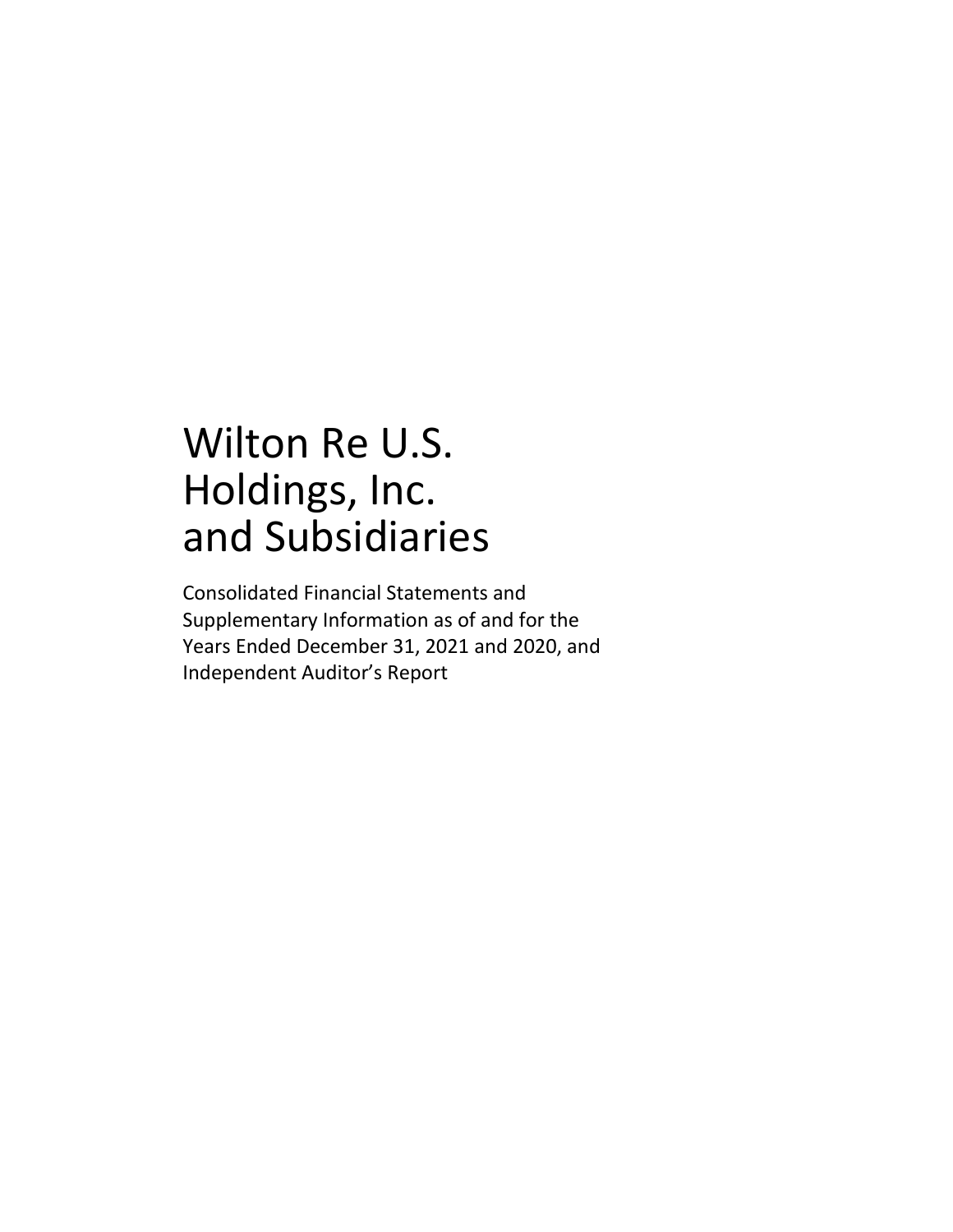## Wilton Re U.S. Holdings, Inc. and Subsidiaries

Consolidated Financial Statements and Supplementary Information as of and for the Years Ended December 31, 2021 and 2020, and Independent Auditor's Report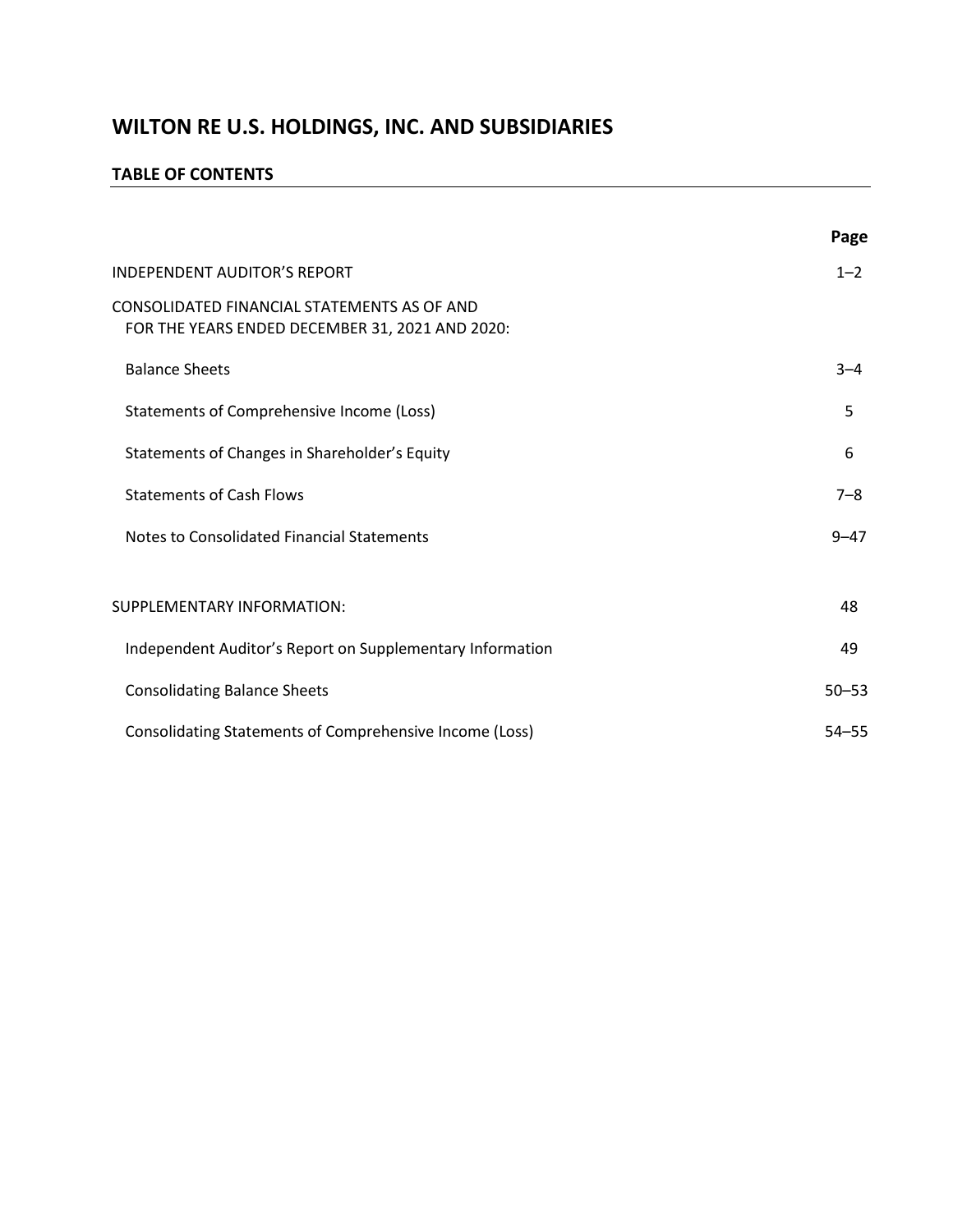#### **TABLE OF CONTENTS**

|                                                                                                | Page      |
|------------------------------------------------------------------------------------------------|-----------|
| <b>INDEPENDENT AUDITOR'S REPORT</b>                                                            | $1 - 2$   |
| CONSOLIDATED FINANCIAL STATEMENTS AS OF AND<br>FOR THE YEARS ENDED DECEMBER 31, 2021 AND 2020: |           |
| <b>Balance Sheets</b>                                                                          | $3 - 4$   |
| Statements of Comprehensive Income (Loss)                                                      | 5         |
| Statements of Changes in Shareholder's Equity                                                  | 6         |
| <b>Statements of Cash Flows</b>                                                                | $7 - 8$   |
| Notes to Consolidated Financial Statements                                                     | $9 - 47$  |
| SUPPLEMENTARY INFORMATION:                                                                     | 48        |
|                                                                                                |           |
| Independent Auditor's Report on Supplementary Information                                      | 49        |
| <b>Consolidating Balance Sheets</b>                                                            | $50 - 53$ |
| Consolidating Statements of Comprehensive Income (Loss)                                        | $54 - 55$ |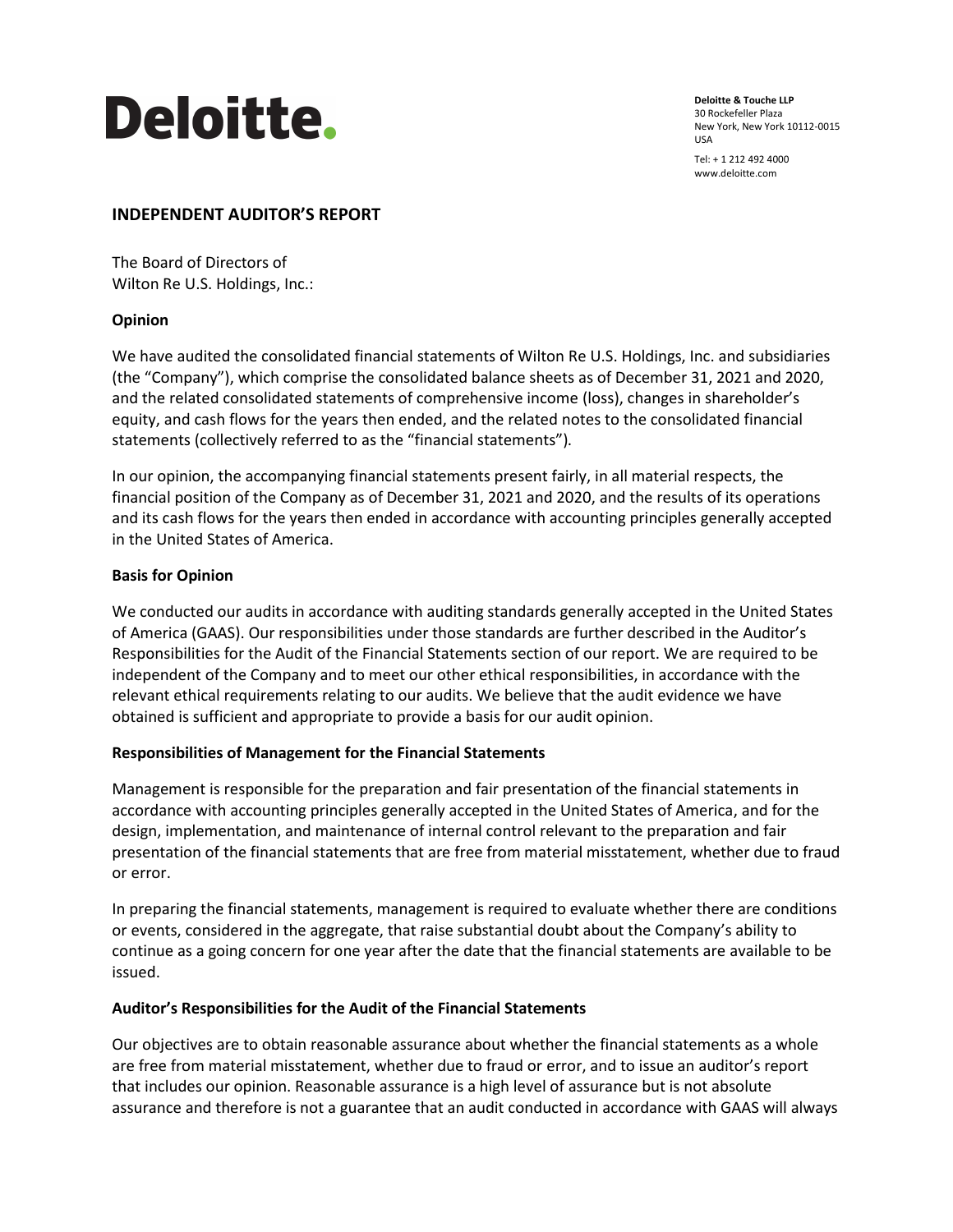# **Deloitte.**

**Deloitte & Touche LLP** 30 Rockefeller Plaza New York, New York 10112-0015 USA

Tel: + 1 212 492 4000 <www.deloitte.com>

#### **INDEPENDENT AUDITOR'S REPORT**

The Board of Directors of Wilton Re U.S. Holdings, Inc.:

#### **Opinion**

We have audited the consolidated financial statements of Wilton Re U.S. Holdings, Inc. and subsidiaries (the "Company"), which comprise the consolidated balance sheets as of December 31, 2021 and 2020, and the related consolidated statements of comprehensive income (loss), changes in shareholder's equity, and cash flows for the years then ended, and the related notes to the consolidated financial statements (collectively referred to as the "financial statements").

In our opinion, the accompanying financial statements present fairly, in all material respects, the financial position of the Company as of December 31, 2021 and 2020, and the results of its operations and its cash flows for the years then ended in accordance with accounting principles generally accepted in the United States of America.

#### **Basis for Opinion**

We conducted our audits in accordance with auditing standards generally accepted in the United States of America (GAAS). Our responsibilities under those standards are further described in the Auditor's Responsibilities for the Audit of the Financial Statements section of our report. We are required to be independent of the Company and to meet our other ethical responsibilities, in accordance with the relevant ethical requirements relating to our audits. We believe that the audit evidence we have obtained is sufficient and appropriate to provide a basis for our audit opinion.

#### **Responsibilities of Management for the Financial Statements**

Management is responsible for the preparation and fair presentation of the financial statements in accordance with accounting principles generally accepted in the United States of America, and for the design, implementation, and maintenance of internal control relevant to the preparation and fair presentation of the financial statements that are free from material misstatement, whether due to fraud or error.

In preparing the financial statements, management is required to evaluate whether there are conditions or events, considered in the aggregate, that raise substantial doubt about the Company's ability to continue as a going concern for one year after the date that the financial statements are available to be issued.

#### **Auditor's Responsibilities for the Audit of the Financial Statements**

Our objectives are to obtain reasonable assurance about whether the financial statements as a whole are free from material misstatement, whether due to fraud or error, and to issue an auditor's report that includes our opinion. Reasonable assurance is a high level of assurance but is not absolute assurance and therefore is not a guarantee that an audit conducted in accordance with GAAS will always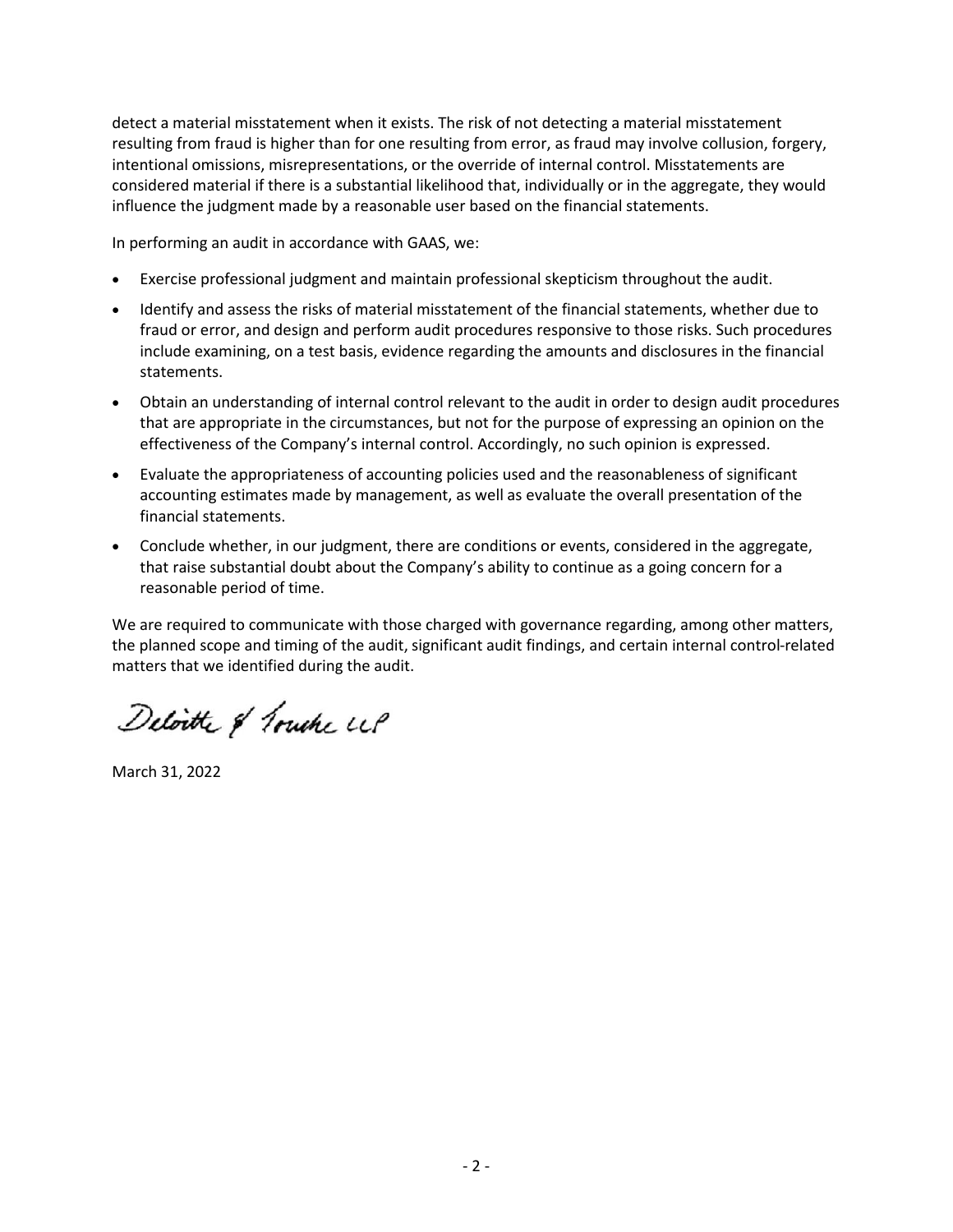detect a material misstatement when it exists. The risk of not detecting a material misstatement resulting from fraud is higher than for one resulting from error, as fraud may involve collusion, forgery, intentional omissions, misrepresentations, or the override of internal control. Misstatements are considered material if there is a substantial likelihood that, individually or in the aggregate, they would influence the judgment made by a reasonable user based on the financial statements.

In performing an audit in accordance with GAAS, we:

- · Exercise professional judgment and maintain professional skepticism throughout the audit.
- · Identify and assess the risks of material misstatement of the financial statements, whether due to fraud or error, and design and perform audit procedures responsive to those risks. Such procedures include examining, on a test basis, evidence regarding the amounts and disclosures in the financial statements.
- · Obtain an understanding of internal control relevant to the audit in order to design audit procedures that are appropriate in the circumstances, but not for the purpose of expressing an opinion on the effectiveness of the Company's internal control. Accordingly, no such opinion is expressed.
- · Evaluate the appropriateness of accounting policies used and the reasonableness of significant accounting estimates made by management, as well as evaluate the overall presentation of the financial statements.
- · Conclude whether, in our judgment, there are conditions or events, considered in the aggregate, that raise substantial doubt about the Company's ability to continue as a going concern for a reasonable period of time.

We are required to communicate with those charged with governance regarding, among other matters, the planned scope and timing of the audit, significant audit findings, and certain internal control-related matters that we identified during the audit.

Deloitte & Touche UP

March 31, 2022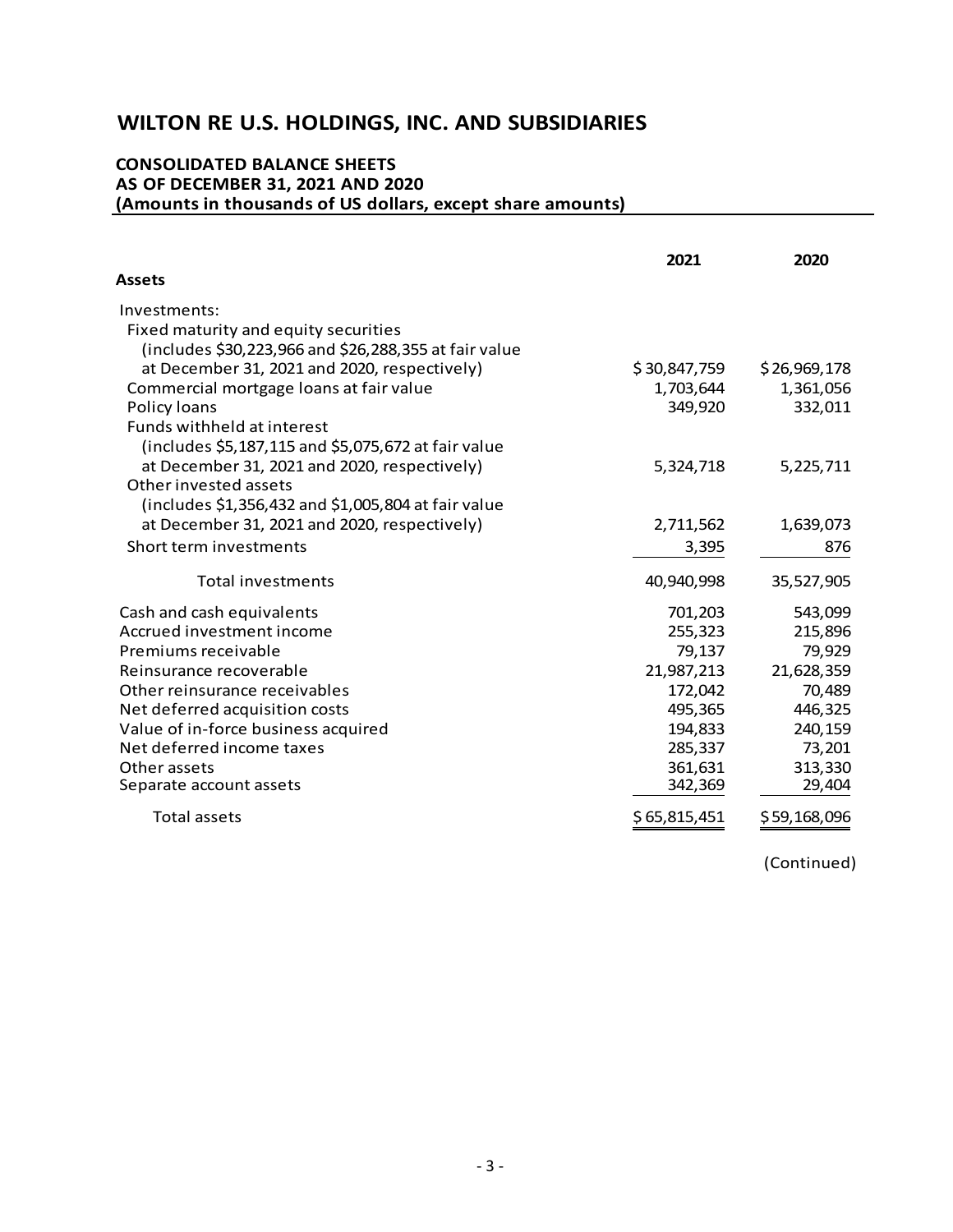#### **CONSOLIDATED BALANCE SHEETS AS OF DECEMBER 31, 2021 AND 2020 (Amounts in thousands of US dollars, except share amounts)**

|                                                       | 2021         | 2020         |
|-------------------------------------------------------|--------------|--------------|
| Assets                                                |              |              |
| Investments:                                          |              |              |
| Fixed maturity and equity securities                  |              |              |
| (includes \$30,223,966 and \$26,288,355 at fair value |              |              |
| at December 31, 2021 and 2020, respectively)          | \$30,847,759 | \$26,969,178 |
| Commercial mortgage loans at fair value               | 1,703,644    | 1,361,056    |
| Policy loans                                          | 349,920      | 332,011      |
| Funds withheld at interest                            |              |              |
| (includes \$5,187,115 and \$5,075,672 at fair value   |              |              |
| at December 31, 2021 and 2020, respectively)          | 5,324,718    | 5,225,711    |
| Other invested assets                                 |              |              |
| (includes \$1,356,432 and \$1,005,804 at fair value   |              |              |
| at December 31, 2021 and 2020, respectively)          | 2,711,562    | 1,639,073    |
| Short term investments                                | 3,395        | 876          |
| <b>Total investments</b>                              | 40,940,998   | 35,527,905   |
| Cash and cash equivalents                             | 701,203      | 543,099      |
| Accrued investment income                             | 255,323      | 215,896      |
| Premiums receivable                                   | 79,137       | 79,929       |
| Reinsurance recoverable                               | 21,987,213   | 21,628,359   |
| Other reinsurance receivables                         | 172,042      | 70,489       |
| Net deferred acquisition costs                        | 495,365      | 446,325      |
| Value of in-force business acquired                   | 194,833      | 240,159      |
| Net deferred income taxes                             | 285,337      | 73,201       |
| Other assets                                          | 361,631      | 313,330      |
| Separate account assets                               | 342,369      | 29,404       |
| <b>Total assets</b>                                   | \$65,815,451 | \$59,168,096 |

(Continued)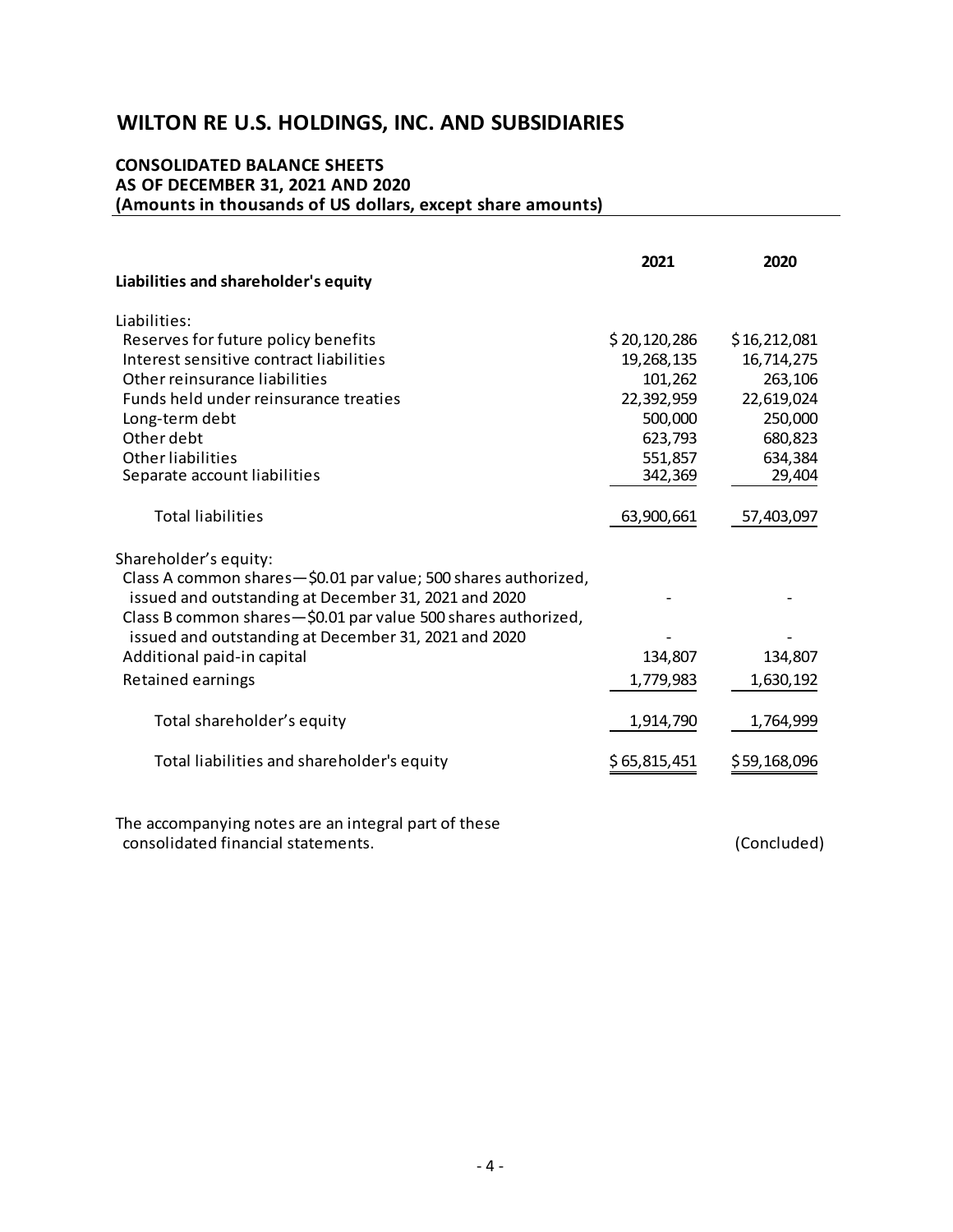#### **CONSOLIDATED BALANCE SHEETS AS OF DECEMBER 31, 2021 AND 2020 (Amounts in thousands of US dollars, except share amounts)**

| Liabilities and shareholder's equity                                                                                                            | 2021         | 2020         |
|-------------------------------------------------------------------------------------------------------------------------------------------------|--------------|--------------|
|                                                                                                                                                 |              |              |
| Liabilities:                                                                                                                                    |              |              |
| Reserves for future policy benefits                                                                                                             | \$20,120,286 | \$16,212,081 |
| Interest sensitive contract liabilities                                                                                                         | 19,268,135   | 16,714,275   |
| Other reinsurance liabilities                                                                                                                   | 101,262      | 263,106      |
| Funds held under reinsurance treaties                                                                                                           | 22,392,959   | 22,619,024   |
| Long-term debt                                                                                                                                  | 500,000      | 250,000      |
| Other debt                                                                                                                                      | 623,793      | 680,823      |
| <b>Other liabilities</b>                                                                                                                        | 551,857      | 634,384      |
| Separate account liabilities                                                                                                                    | 342,369      | 29,404       |
| <b>Total liabilities</b>                                                                                                                        | 63,900,661   | 57,403,097   |
| Shareholder's equity:<br>Class A common shares-\$0.01 par value; 500 shares authorized,<br>issued and outstanding at December 31, 2021 and 2020 |              |              |
| Class B common shares-\$0.01 par value 500 shares authorized,                                                                                   |              |              |
| issued and outstanding at December 31, 2021 and 2020                                                                                            |              |              |
| Additional paid-in capital                                                                                                                      | 134,807      | 134,807      |
| Retained earnings                                                                                                                               | 1,779,983    | 1,630,192    |
| Total shareholder's equity                                                                                                                      | 1,914,790    | 1,764,999    |
| Total liabilities and shareholder's equity                                                                                                      | \$65,815,451 | \$59,168,096 |
| The accompanying notes are an integral part of these                                                                                            |              |              |

consolidated financial statements. (Concluded)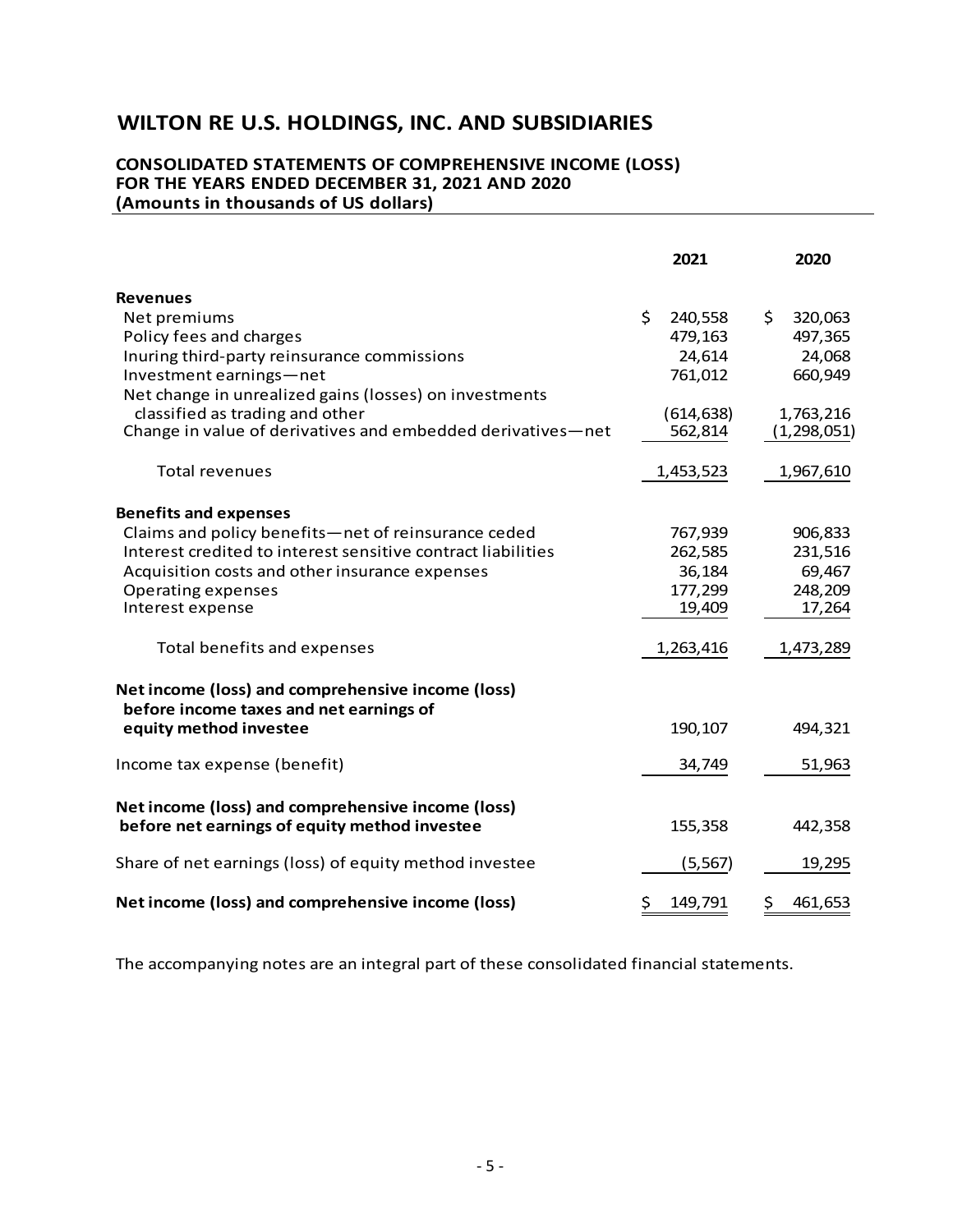#### **CONSOLIDATED STATEMENTS OF COMPREHENSIVE INCOME (LOSS) FOR THE YEARS ENDED DECEMBER 31, 2021 AND 2020 (Amounts in thousands of US dollars)**

|                                                              | 2021          | 2020          |
|--------------------------------------------------------------|---------------|---------------|
| <b>Revenues</b>                                              |               |               |
| Net premiums                                                 | \$<br>240,558 | \$<br>320,063 |
| Policy fees and charges                                      | 479,163       | 497,365       |
| Inuring third-party reinsurance commissions                  | 24,614        | 24,068        |
| Investment earnings-net                                      | 761,012       | 660,949       |
| Net change in unrealized gains (losses) on investments       |               |               |
| classified as trading and other                              | (614, 638)    | 1,763,216     |
| Change in value of derivatives and embedded derivatives-net  | 562,814       | (1, 298, 051) |
| <b>Total revenues</b>                                        | 1,453,523     | 1,967,610     |
| <b>Benefits and expenses</b>                                 |               |               |
| Claims and policy benefits-net of reinsurance ceded          | 767,939       | 906,833       |
| Interest credited to interest sensitive contract liabilities | 262,585       | 231,516       |
| Acquisition costs and other insurance expenses               | 36,184        | 69,467        |
| <b>Operating expenses</b>                                    | 177,299       | 248,209       |
| Interest expense                                             | 19,409        | 17,264        |
| Total benefits and expenses                                  | 1,263,416     | 1,473,289     |
| Net income (loss) and comprehensive income (loss)            |               |               |
| before income taxes and net earnings of                      |               |               |
| equity method investee                                       | 190,107       | 494,321       |
| Income tax expense (benefit)                                 | 34,749        | 51,963        |
| Net income (loss) and comprehensive income (loss)            |               |               |
| before net earnings of equity method investee                | 155,358       | 442,358       |
| Share of net earnings (loss) of equity method investee       | (5, 567)      | 19,295        |
| Net income (loss) and comprehensive income (loss)            | \$<br>149,791 | \$<br>461,653 |

The accompanying notes are an integral part of these consolidated financial statements.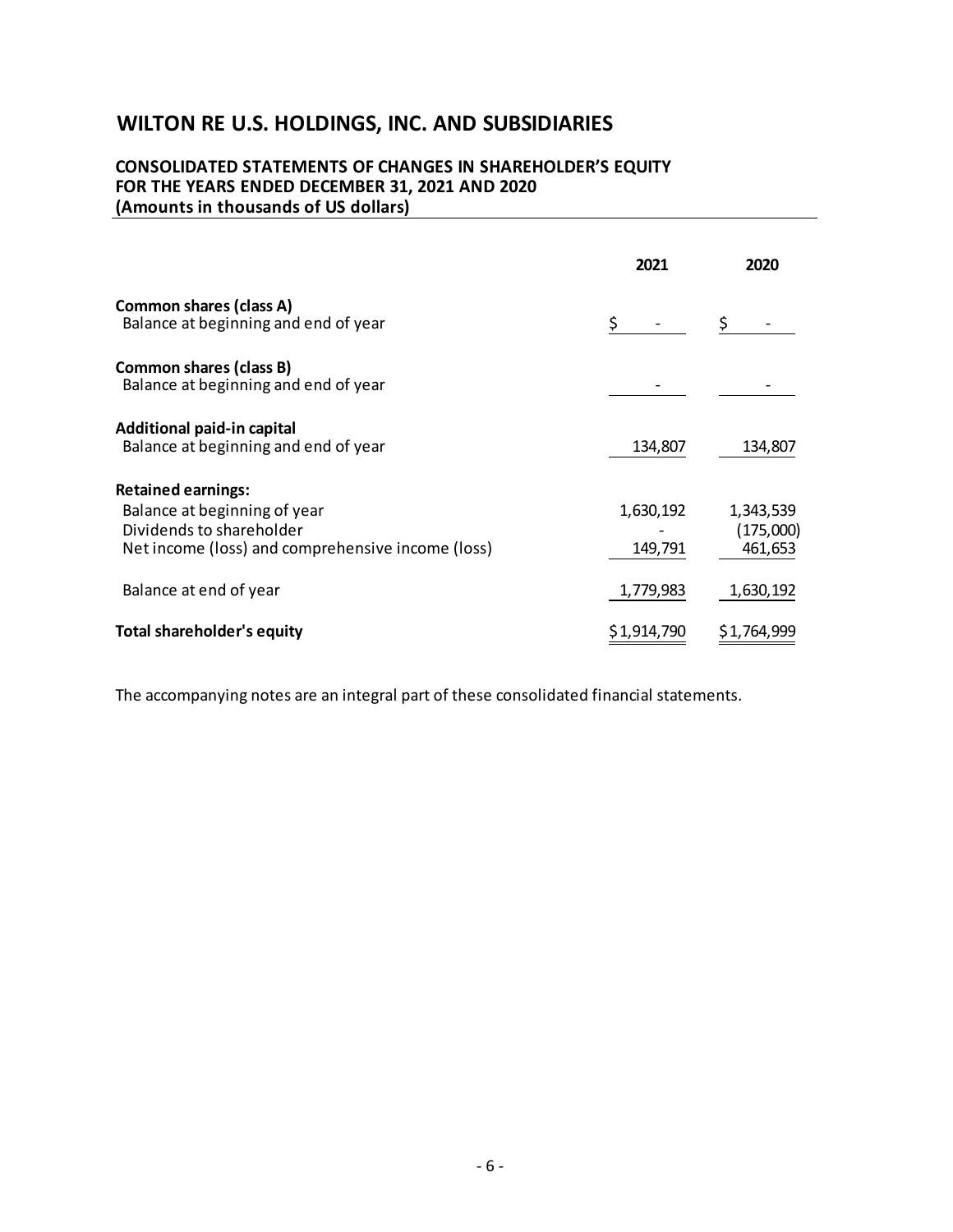#### **CONSOLIDATED STATEMENTS OF CHANGES IN SHAREHOLDER'S EQUITY FOR THE YEARS ENDED DECEMBER 31, 2021 AND 2020 (Amounts in thousands of US dollars)**

|                                                                                                                                            | 2021                 | 2020                              |
|--------------------------------------------------------------------------------------------------------------------------------------------|----------------------|-----------------------------------|
| <b>Common shares (class A)</b><br>Balance at beginning and end of year                                                                     |                      | Ş.                                |
| <b>Common shares (class B)</b><br>Balance at beginning and end of year                                                                     |                      |                                   |
| Additional paid-in capital<br>Balance at beginning and end of year                                                                         | 134,807              | 134,807                           |
| <b>Retained earnings:</b><br>Balance at beginning of year<br>Dividends to shareholder<br>Net income (loss) and comprehensive income (loss) | 1,630,192<br>149,791 | 1,343,539<br>(175,000)<br>461,653 |
| Balance at end of year                                                                                                                     | 1,779,983            | 1,630,192                         |
| Total shareholder's equity                                                                                                                 | \$1,914,790          | \$1,764,999                       |

The accompanying notes are an integral part of these consolidated financial statements.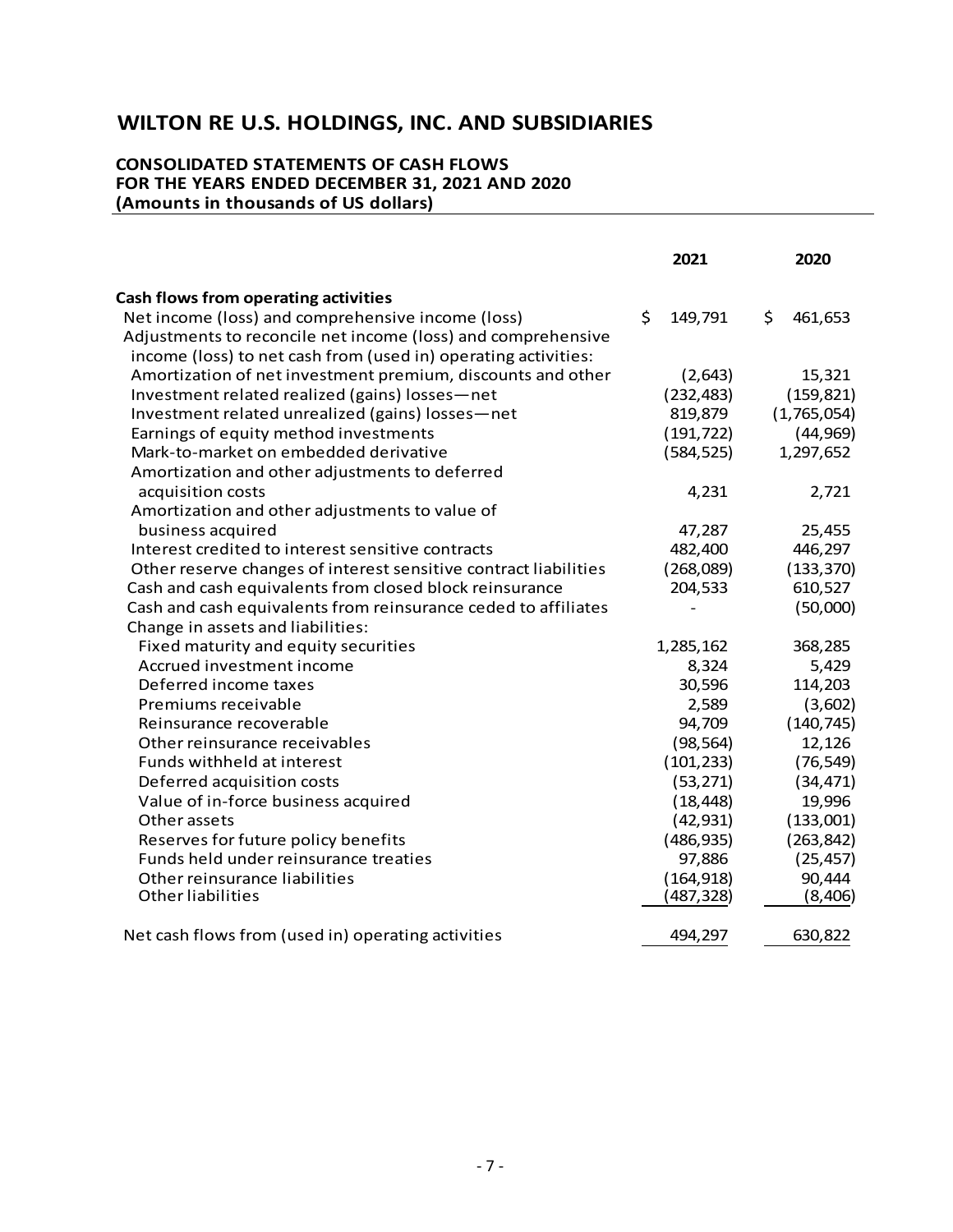#### **CONSOLIDATED STATEMENTS OF CASH FLOWS FOR THE YEARS ENDED DECEMBER 31, 2021 AND 2020 (Amounts in thousands of US dollars)**

|                                                                  | 2021          | 2020          |
|------------------------------------------------------------------|---------------|---------------|
| <b>Cash flows from operating activities</b>                      |               |               |
| Net income (loss) and comprehensive income (loss)                | \$<br>149,791 | \$<br>461,653 |
| Adjustments to reconcile net income (loss) and comprehensive     |               |               |
| income (loss) to net cash from (used in) operating activities:   |               |               |
| Amortization of net investment premium, discounts and other      | (2,643)       | 15,321        |
| Investment related realized (gains) losses-net                   | (232, 483)    | (159, 821)    |
| Investment related unrealized (gains) losses-net                 | 819,879       | (1,765,054)   |
| Earnings of equity method investments                            | (191, 722)    | (44, 969)     |
| Mark-to-market on embedded derivative                            | (584, 525)    | 1,297,652     |
| Amortization and other adjustments to deferred                   |               |               |
| acquisition costs                                                | 4,231         | 2,721         |
| Amortization and other adjustments to value of                   |               |               |
| business acquired                                                | 47,287        | 25,455        |
| Interest credited to interest sensitive contracts                | 482,400       | 446,297       |
| Other reserve changes of interest sensitive contract liabilities | (268,089)     | (133, 370)    |
| Cash and cash equivalents from closed block reinsurance          | 204,533       | 610,527       |
| Cash and cash equivalents from reinsurance ceded to affiliates   |               | (50,000)      |
| Change in assets and liabilities:                                |               |               |
| Fixed maturity and equity securities                             | 1,285,162     | 368,285       |
| Accrued investment income                                        | 8,324         | 5,429         |
| Deferred income taxes                                            | 30,596        | 114,203       |
| Premiums receivable                                              | 2,589         | (3,602)       |
| Reinsurance recoverable                                          | 94,709        | (140, 745)    |
| Other reinsurance receivables                                    | (98, 564)     | 12,126        |
| Funds withheld at interest                                       | (101, 233)    | (76, 549)     |
| Deferred acquisition costs                                       | (53, 271)     | (34, 471)     |
| Value of in-force business acquired                              | (18, 448)     | 19,996        |
| Other assets                                                     | (42, 931)     | (133,001)     |
| Reserves for future policy benefits                              | (486, 935)    | (263, 842)    |
| Funds held under reinsurance treaties                            | 97,886        | (25, 457)     |
| Other reinsurance liabilities                                    | (164, 918)    | 90,444        |
| Other liabilities                                                | (487,328)     | (8,406)       |
| Net cash flows from (used in) operating activities               | 494,297       | 630,822       |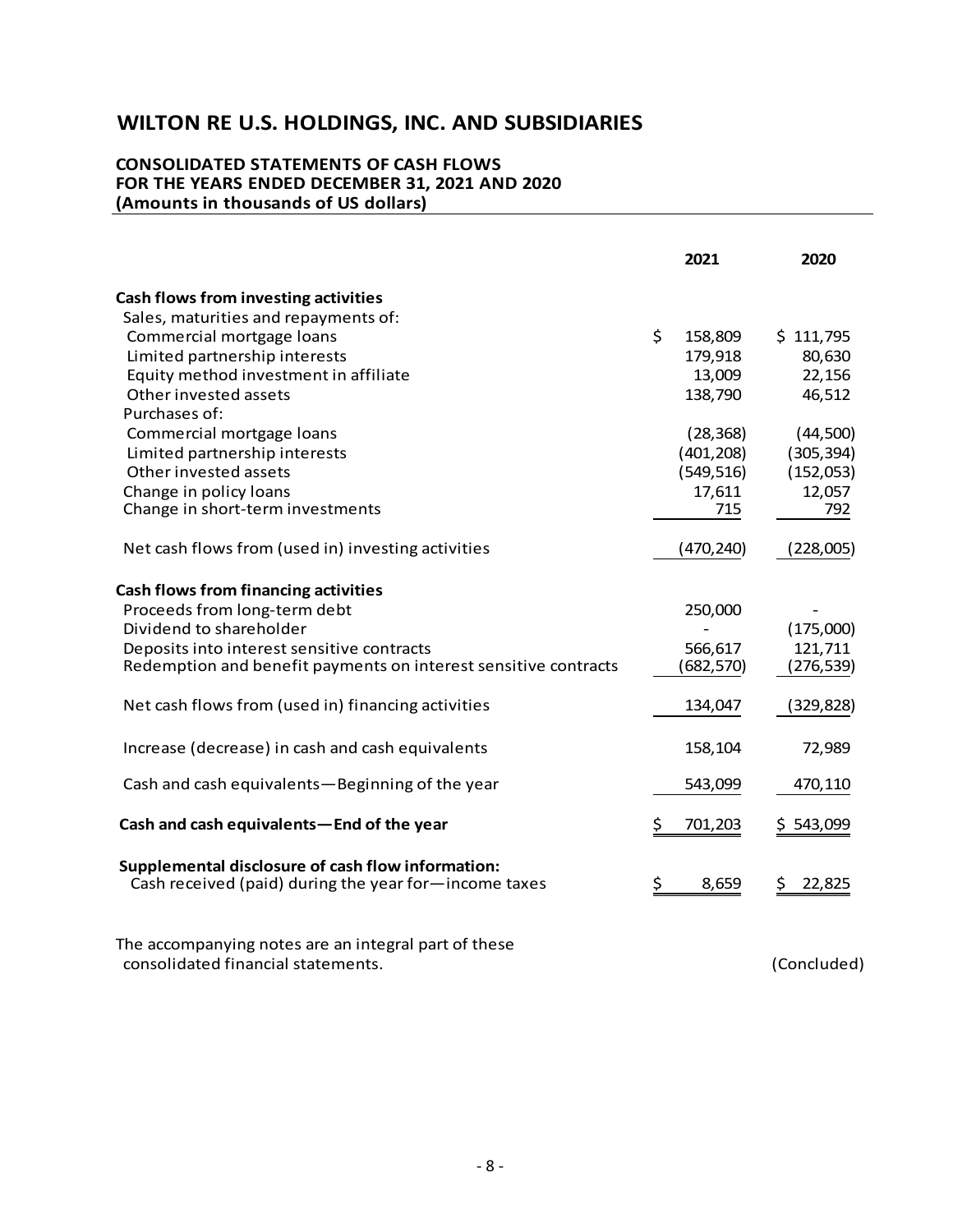#### **CONSOLIDATED STATEMENTS OF CASH FLOWS FOR THE YEARS ENDED DECEMBER 31, 2021 AND 2020 (Amounts in thousands of US dollars)**

|                                                                                                            | 2021          | 2020         |
|------------------------------------------------------------------------------------------------------------|---------------|--------------|
| <b>Cash flows from investing activities</b>                                                                |               |              |
| Sales, maturities and repayments of:                                                                       |               |              |
| Commercial mortgage loans                                                                                  | \$<br>158,809 | \$111,795    |
| Limited partnership interests                                                                              | 179,918       | 80,630       |
| Equity method investment in affiliate                                                                      | 13,009        | 22,156       |
| Other invested assets                                                                                      | 138,790       | 46,512       |
| Purchases of:                                                                                              |               |              |
| Commercial mortgage loans                                                                                  | (28, 368)     | (44,500)     |
| Limited partnership interests                                                                              | (401, 208)    | (305, 394)   |
| Other invested assets                                                                                      | (549, 516)    | (152,053)    |
| Change in policy loans                                                                                     | 17,611        | 12,057       |
| Change in short-term investments                                                                           | 715           | 792          |
|                                                                                                            |               |              |
| Net cash flows from (used in) investing activities                                                         | (470, 240)    | (228,005)    |
| <b>Cash flows from financing activities</b>                                                                |               |              |
| Proceeds from long-term debt                                                                               | 250,000       |              |
| Dividend to shareholder                                                                                    |               | (175,000)    |
| Deposits into interest sensitive contracts                                                                 | 566,617       | 121,711      |
| Redemption and benefit payments on interest sensitive contracts                                            | (682, 570)    | (276, 539)   |
| Net cash flows from (used in) financing activities                                                         | 134,047       | (329, 828)   |
| Increase (decrease) in cash and cash equivalents                                                           | 158,104       | 72,989       |
| Cash and cash equivalents-Beginning of the year                                                            | 543,099       | 470,110      |
| Cash and cash equivalents - End of the year                                                                | \$<br>701,203 | \$543,099    |
| Supplemental disclosure of cash flow information:<br>Cash received (paid) during the year for-income taxes | \$<br>8,659   | \$<br>22,825 |
|                                                                                                            |               |              |
| The accompanying notes are an integral part of these<br>consolidated financial statements.                 |               | (Concluded)  |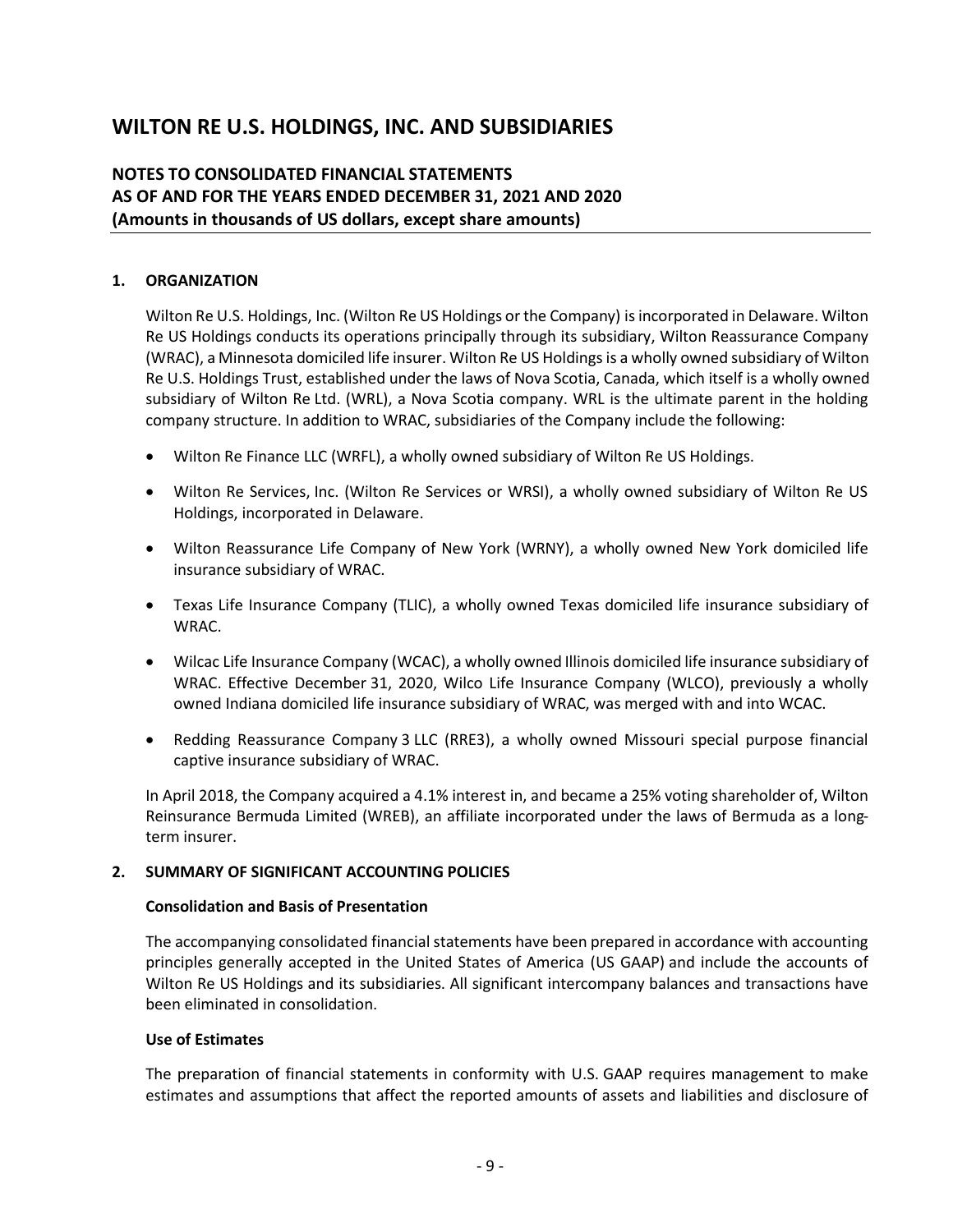#### **NOTES TO CONSOLIDATED FINANCIAL STATEMENTS AS OF AND FOR THE YEARS ENDED DECEMBER 31, 2021 AND 2020 (Amounts in thousands of US dollars, except share amounts)**

#### **1. ORGANIZATION**

Wilton Re U.S. Holdings, Inc. (Wilton Re US Holdings or the Company) is incorporated in Delaware. Wilton Re US Holdings conducts its operations principally through its subsidiary, Wilton Reassurance Company (WRAC), a Minnesota domiciled life insurer. Wilton Re US Holdings is a wholly owned subsidiary of Wilton Re U.S. Holdings Trust, established under the laws of Nova Scotia, Canada, which itself is a wholly owned subsidiary of Wilton Re Ltd. (WRL), a Nova Scotia company. WRL is the ultimate parent in the holding company structure. In addition to WRAC, subsidiaries of the Company include the following:

- · Wilton Re Finance LLC (WRFL), a wholly owned subsidiary of Wilton Re US Holdings.
- · Wilton Re Services, Inc. (Wilton Re Services or WRSI), a wholly owned subsidiary of Wilton Re US Holdings, incorporated in Delaware.
- · Wilton Reassurance Life Company of New York (WRNY), a wholly owned New York domiciled life insurance subsidiary of WRAC.
- · Texas Life Insurance Company (TLIC), a wholly owned Texas domiciled life insurance subsidiary of WRAC.
- · Wilcac Life Insurance Company (WCAC), a wholly owned Illinois domiciled life insurance subsidiary of WRAC. Effective December 31, 2020, Wilco Life Insurance Company (WLCO), previously a wholly owned Indiana domiciled life insurance subsidiary of WRAC, was merged with and into WCAC.
- · Redding Reassurance Company 3 LLC (RRE3), a wholly owned Missouri special purpose financial captive insurance subsidiary of WRAC.

In April 2018, the Company acquired a 4.1% interest in, and became a 25% voting shareholder of, Wilton Reinsurance Bermuda Limited (WREB), an affiliate incorporated under the laws of Bermuda as a longterm insurer.

#### **2. SUMMARY OF SIGNIFICANT ACCOUNTING POLICIES**

#### **Consolidation and Basis of Presentation**

The accompanying consolidated financial statements have been prepared in accordance with accounting principles generally accepted in the United States of America (US GAAP) and include the accounts of Wilton Re US Holdings and its subsidiaries. All significant intercompany balances and transactions have been eliminated in consolidation.

#### **Use of Estimates**

The preparation of financial statements in conformity with U.S. GAAP requires management to make estimates and assumptions that affect the reported amounts of assets and liabilities and disclosure of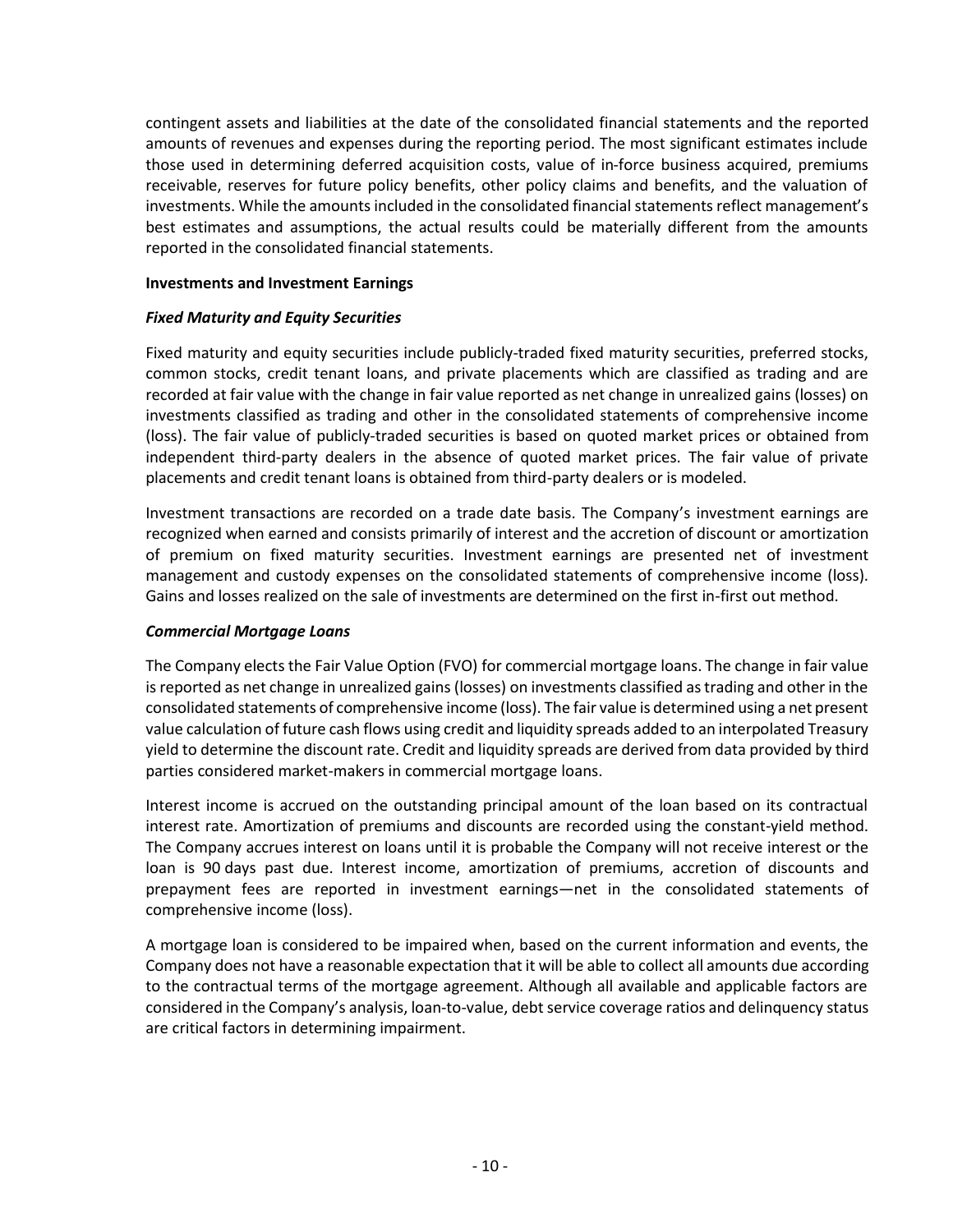contingent assets and liabilities at the date of the consolidated financial statements and the reported amounts of revenues and expenses during the reporting period. The most significant estimates include those used in determining deferred acquisition costs, value of in-force business acquired, premiums receivable, reserves for future policy benefits, other policy claims and benefits, and the valuation of investments. While the amounts included in the consolidated financial statements reflect management's best estimates and assumptions, the actual results could be materially different from the amounts reported in the consolidated financial statements.

#### **Investments and Investment Earnings**

#### *Fixed Maturity and Equity Securities*

Fixed maturity and equity securities include publicly-traded fixed maturity securities, preferred stocks, common stocks, credit tenant loans, and private placements which are classified as trading and are recorded at fair value with the change in fair value reported as net change in unrealized gains (losses) on investments classified as trading and other in the consolidated statements of comprehensive income (loss). The fair value of publicly-traded securities is based on quoted market prices or obtained from independent third-party dealers in the absence of quoted market prices. The fair value of private placements and credit tenant loans is obtained from third-party dealers or is modeled.

Investment transactions are recorded on a trade date basis. The Company's investment earnings are recognized when earned and consists primarily of interest and the accretion of discount or amortization of premium on fixed maturity securities. Investment earnings are presented net of investment management and custody expenses on the consolidated statements of comprehensive income (loss). Gains and losses realized on the sale of investments are determined on the first in-first out method.

#### *Commercial Mortgage Loans*

The Company elects the Fair Value Option (FVO) for commercial mortgage loans. The change in fair value is reported as net change in unrealized gains (losses) on investments classified as trading and other in the consolidated statements of comprehensive income (loss). The fair value is determined using a net present value calculation of future cash flows using credit and liquidity spreads added to an interpolated Treasury yield to determine the discount rate. Credit and liquidity spreads are derived from data provided by third parties considered market-makers in commercial mortgage loans.

Interest income is accrued on the outstanding principal amount of the loan based on its contractual interest rate. Amortization of premiums and discounts are recorded using the constant-yield method. The Company accrues interest on loans until it is probable the Company will not receive interest or the loan is 90 days past due. Interest income, amortization of premiums, accretion of discounts and prepayment fees are reported in investment earnings—net in the consolidated statements of comprehensive income (loss).

A mortgage loan is considered to be impaired when, based on the current information and events, the Company does not have a reasonable expectation that it will be able to collect all amounts due according to the contractual terms of the mortgage agreement. Although all available and applicable factors are considered in the Company's analysis, loan-to-value, debt service coverage ratios and delinquency status are critical factors in determining impairment.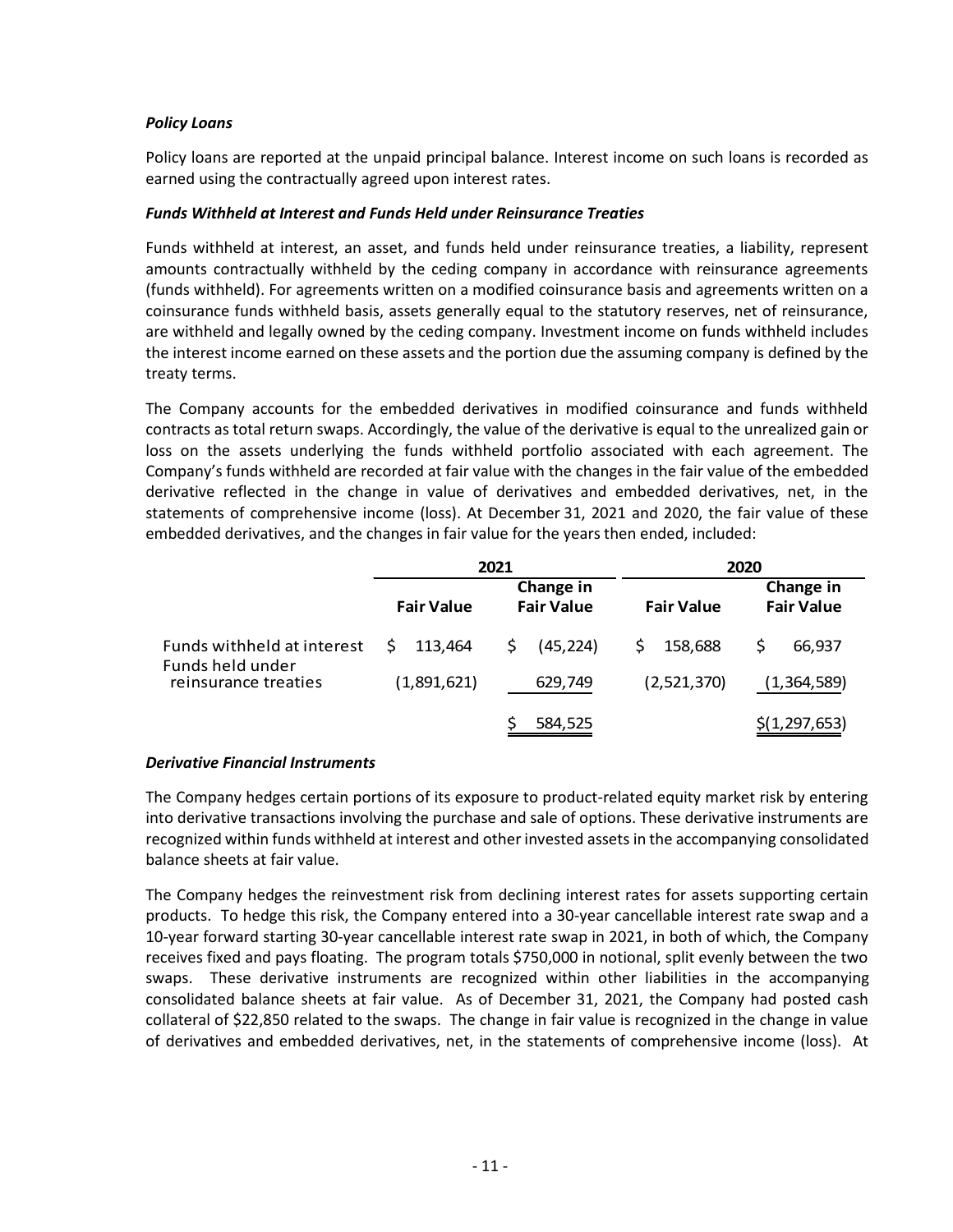#### *Policy Loans*

Policy loans are reported at the unpaid principal balance. Interest income on such loans is recorded as earned using the contractually agreed upon interest rates.

#### *Funds Withheld at Interest and Funds Held under Reinsurance Treaties*

Funds withheld at interest, an asset, and funds held under reinsurance treaties, a liability, represent amounts contractually withheld by the ceding company in accordance with reinsurance agreements (funds withheld). For agreements written on a modified coinsurance basis and agreements written on a coinsurance funds withheld basis, assets generally equal to the statutory reserves, net of reinsurance, are withheld and legally owned by the ceding company. Investment income on funds withheld includes the interest income earned on these assets and the portion due the assuming company is defined by the treaty terms.

The Company accounts for the embedded derivatives in modified coinsurance and funds withheld contracts as total return swaps. Accordingly, the value of the derivative is equal to the unrealized gain or loss on the assets underlying the funds withheld portfolio associated with each agreement. The Company's funds withheld are recorded at fair value with the changes in the fair value of the embedded derivative reflected in the change in value of derivatives and embedded derivatives, net, in the statements of comprehensive income (loss). At December 31, 2021 and 2020, the fair value of these embedded derivatives, and the changes in fair value for the yearsthen ended, included:

|                                                | 2021              |                                | 2020              |                                |  |
|------------------------------------------------|-------------------|--------------------------------|-------------------|--------------------------------|--|
|                                                | <b>Fair Value</b> | Change in<br><b>Fair Value</b> | <b>Fair Value</b> | Change in<br><b>Fair Value</b> |  |
| Funds withheld at interest<br>Funds held under | 113.464<br>S.     | (45, 224)<br>S.                | 158.688           | S.<br>66.937                   |  |
| reinsurance treaties                           | (1,891,621)       | 629,749                        | (2,521,370)       | (1,364,589)                    |  |
|                                                |                   | 584,525                        |                   | \$(1, 297, 653)                |  |

#### *Derivative Financial Instruments*

The Company hedges certain portions of its exposure to product-related equity market risk by entering into derivative transactions involving the purchase and sale of options. These derivative instruments are recognized within funds withheld at interest and other invested assets in the accompanying consolidated balance sheets at fair value.

The Company hedges the reinvestment risk from declining interest rates for assets supporting certain products. To hedge this risk, the Company entered into a 30-year cancellable interest rate swap and a 10-year forward starting 30-year cancellable interest rate swap in 2021, in both of which, the Company receives fixed and pays floating. The program totals \$750,000 in notional, split evenly between the two swaps. These derivative instruments are recognized within other liabilities in the accompanying consolidated balance sheets at fair value. As of December 31, 2021, the Company had posted cash collateral of \$22,850 related to the swaps. The change in fair value is recognized in the change in value of derivatives and embedded derivatives, net, in the statements of comprehensive income (loss). At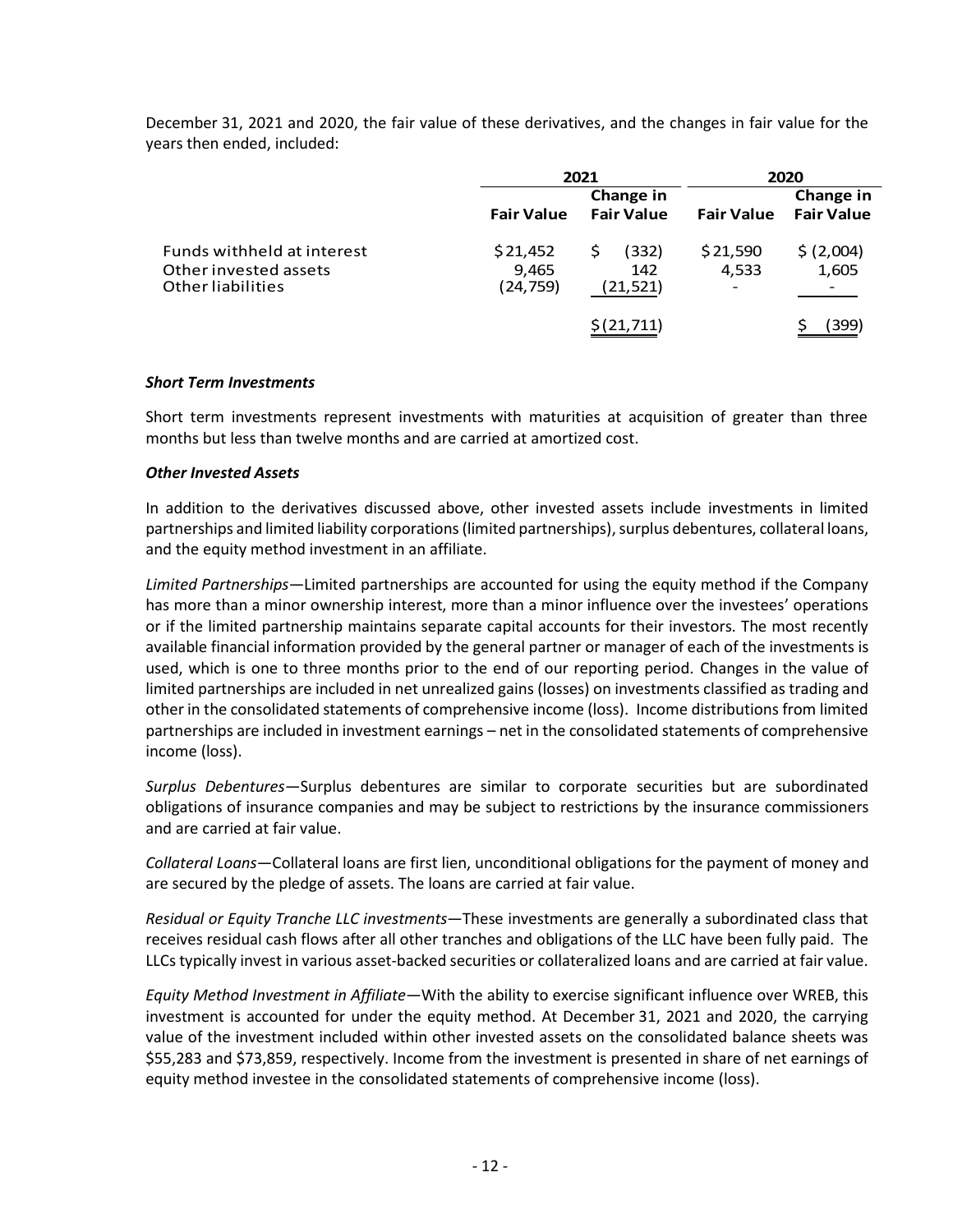|                                                                          |                                | 2021                           |                                               | 2020                           |
|--------------------------------------------------------------------------|--------------------------------|--------------------------------|-----------------------------------------------|--------------------------------|
|                                                                          | <b>Fair Value</b>              | Change in<br><b>Fair Value</b> | <b>Fair Value</b>                             | Change in<br><b>Fair Value</b> |
| Funds withheld at interest<br>Other invested assets<br>Other liabilities | \$21,452<br>9,465<br>(24, 759) | (332)<br>142<br>(21, 521)      | \$21,590<br>4,533<br>$\overline{\phantom{0}}$ | \$ (2,004)<br>1,605            |
|                                                                          |                                | \$(21,711)                     |                                               | (399)                          |

December 31, 2021 and 2020, the fair value of these derivatives, and the changes in fair value for the years then ended, included:

#### *Short Term Investments*

Short term investments represent investments with maturities at acquisition of greater than three months but less than twelve months and are carried at amortized cost.

#### *Other Invested Assets*

In addition to the derivatives discussed above, other invested assets include investments in limited partnerships and limited liability corporations (limited partnerships), surplus debentures, collateral loans, and the equity method investment in an affiliate.

*Limited Partnerships*—Limited partnerships are accounted for using the equity method if the Company has more than a minor ownership interest, more than a minor influence over the investees' operations or if the limited partnership maintains separate capital accounts for their investors. The most recently available financial information provided by the general partner or manager of each of the investments is used, which is one to three months prior to the end of our reporting period. Changes in the value of limited partnerships are included in net unrealized gains (losses) on investments classified as trading and other in the consolidated statements of comprehensive income (loss). Income distributions from limited partnerships are included in investment earnings – net in the consolidated statements of comprehensive income (loss).

*Surplus Debentures*—Surplus debentures are similar to corporate securities but are subordinated obligations of insurance companies and may be subject to restrictions by the insurance commissioners and are carried at fair value.

*Collateral Loans*—Collateral loans are first lien, unconditional obligations for the payment of money and are secured by the pledge of assets. The loans are carried at fair value.

*Residual or Equity Tranche LLC investments*—These investments are generally a subordinated class that receives residual cash flows after all other tranches and obligations of the LLC have been fully paid. The LLCs typically invest in various asset-backed securities or collateralized loans and are carried at fair value.

*Equity Method Investment in Affiliate*—With the ability to exercise significant influence over WREB, this investment is accounted for under the equity method. At December 31, 2021 and 2020, the carrying value of the investment included within other invested assets on the consolidated balance sheets was \$55,283 and \$73,859, respectively. Income from the investment is presented in share of net earnings of equity method investee in the consolidated statements of comprehensive income (loss).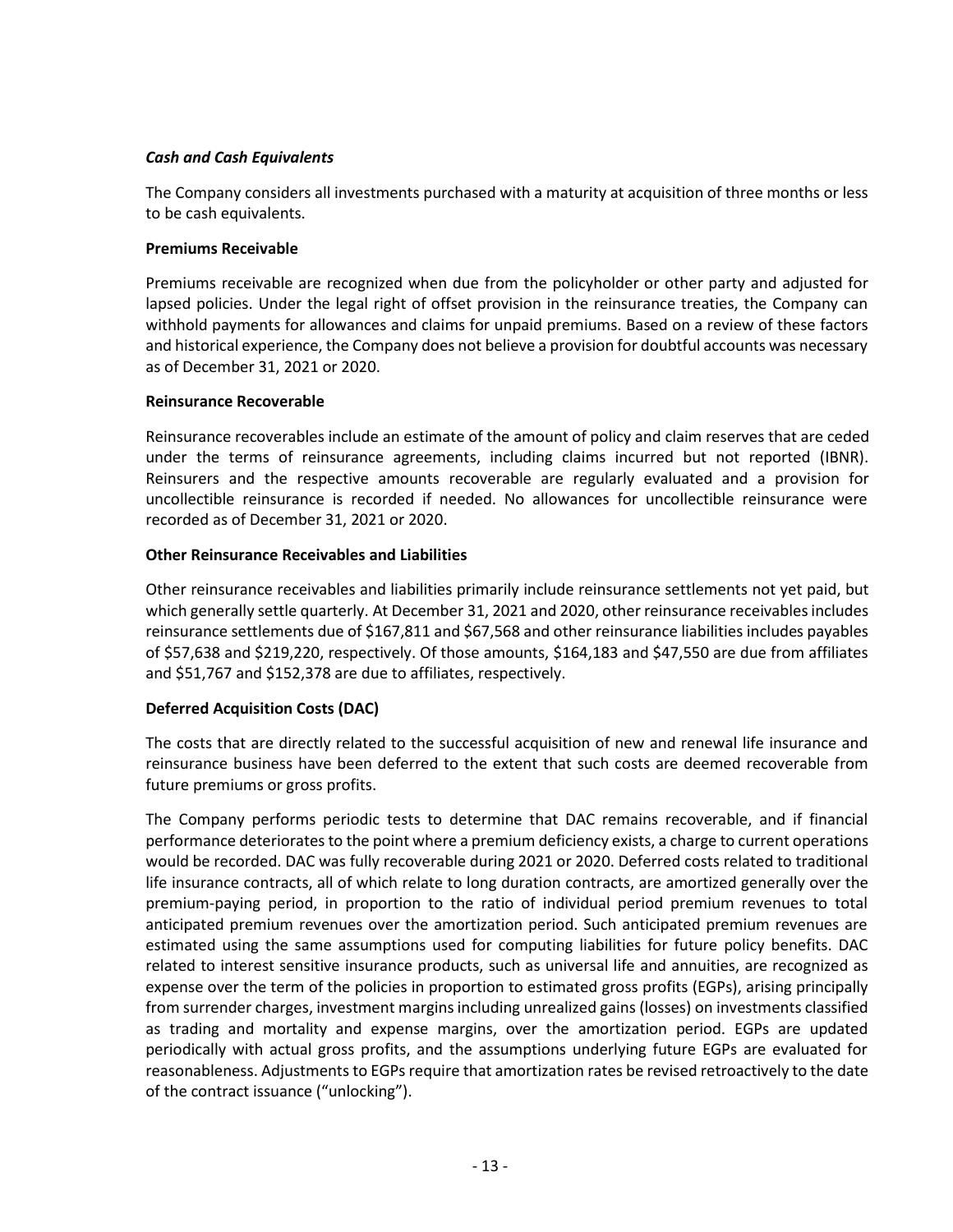#### *Cash and Cash Equivalents*

The Company considers all investments purchased with a maturity at acquisition of three months or less to be cash equivalents.

#### **Premiums Receivable**

Premiums receivable are recognized when due from the policyholder or other party and adjusted for lapsed policies. Under the legal right of offset provision in the reinsurance treaties, the Company can withhold payments for allowances and claims for unpaid premiums. Based on a review of these factors and historical experience, the Company does not believe a provision for doubtful accounts was necessary as of December 31, 2021 or 2020.

#### **Reinsurance Recoverable**

Reinsurance recoverables include an estimate of the amount of policy and claim reserves that are ceded under the terms of reinsurance agreements, including claims incurred but not reported (IBNR). Reinsurers and the respective amounts recoverable are regularly evaluated and a provision for uncollectible reinsurance is recorded if needed. No allowances for uncollectible reinsurance were recorded as of December 31, 2021 or 2020.

#### **Other Reinsurance Receivables and Liabilities**

Other reinsurance receivables and liabilities primarily include reinsurance settlements not yet paid, but which generally settle quarterly. At December 31, 2021 and 2020, other reinsurance receivables includes reinsurance settlements due of \$167,811 and \$67,568 and other reinsurance liabilities includes payables of \$57,638 and \$219,220, respectively. Of those amounts, \$164,183 and \$47,550 are due from affiliates and \$51,767 and \$152,378 are due to affiliates, respectively.

#### **Deferred Acquisition Costs (DAC)**

The costs that are directly related to the successful acquisition of new and renewal life insurance and reinsurance business have been deferred to the extent that such costs are deemed recoverable from future premiums or gross profits.

The Company performs periodic tests to determine that DAC remains recoverable, and if financial performance deteriorates to the point where a premium deficiency exists, a charge to current operations would be recorded. DAC was fully recoverable during 2021 or 2020. Deferred costs related to traditional life insurance contracts, all of which relate to long duration contracts, are amortized generally over the premium-paying period, in proportion to the ratio of individual period premium revenues to total anticipated premium revenues over the amortization period. Such anticipated premium revenues are estimated using the same assumptions used for computing liabilities for future policy benefits. DAC related to interest sensitive insurance products, such as universal life and annuities, are recognized as expense over the term of the policies in proportion to estimated gross profits (EGPs), arising principally from surrender charges, investment margins including unrealized gains (losses) on investments classified as trading and mortality and expense margins, over the amortization period. EGPs are updated periodically with actual gross profits, and the assumptions underlying future EGPs are evaluated for reasonableness. Adjustments to EGPs require that amortization rates be revised retroactively to the date of the contract issuance ("unlocking").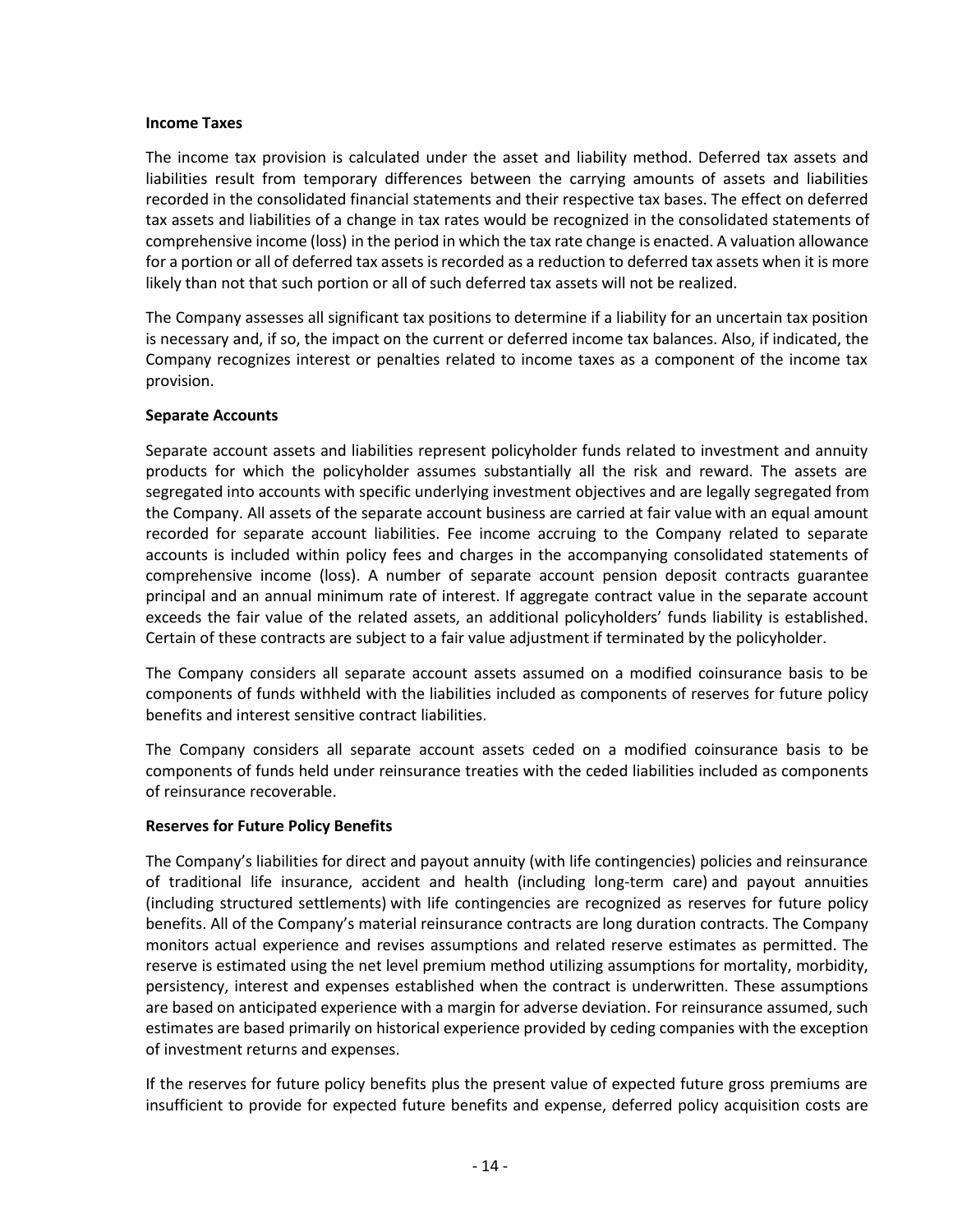#### **Income Taxes**

The income tax provision is calculated under the asset and liability method. Deferred tax assets and liabilities result from temporary differences between the carrying amounts of assets and liabilities recorded in the consolidated financial statements and their respective tax bases. The effect on deferred tax assets and liabilities of a change in tax rates would be recognized in the consolidated statements of comprehensive income (loss) in the period in which the tax rate change is enacted. A valuation allowance for a portion or all of deferred tax assets is recorded as a reduction to deferred tax assets when it is more likely than not that such portion or all of such deferred tax assets will not be realized.

The Company assesses all significant tax positions to determine if a liability for an uncertain tax position is necessary and, if so, the impact on the current or deferred income tax balances. Also, if indicated, the Company recognizes interest or penalties related to income taxes as a component of the income tax provision.

#### **Separate Accounts**

Separate account assets and liabilities represent policyholder funds related to investment and annuity products for which the policyholder assumes substantially all the risk and reward. The assets are segregated into accounts with specific underlying investment objectives and are legally segregated from the Company. All assets of the separate account business are carried at fair value with an equal amount recorded for separate account liabilities. Fee income accruing to the Company related to separate accounts is included within policy fees and charges in the accompanying consolidated statements of comprehensive income (loss). A number of separate account pension deposit contracts guarantee principal and an annual minimum rate of interest. If aggregate contract value in the separate account exceeds the fair value of the related assets, an additional policyholders' funds liability is established. Certain of these contracts are subject to a fair value adjustment if terminated by the policyholder.

The Company considers all separate account assets assumed on a modified coinsurance basis to be components of funds withheld with the liabilities included as components of reserves for future policy benefits and interest sensitive contract liabilities.

The Company considers all separate account assets ceded on a modified coinsurance basis to be components of funds held under reinsurance treaties with the ceded liabilities included as components of reinsurance recoverable.

#### **Reserves for Future Policy Benefits**

The Company's liabilities for direct and payout annuity (with life contingencies) policies and reinsurance of traditional life insurance, accident and health (including long-term care) and payout annuities (including structured settlements) with life contingencies are recognized as reserves for future policy benefits. All of the Company's material reinsurance contracts are long duration contracts. The Company monitors actual experience and revises assumptions and related reserve estimates as permitted. The reserve is estimated using the net level premium method utilizing assumptions for mortality, morbidity, persistency, interest and expenses established when the contract is underwritten. These assumptions are based on anticipated experience with a margin for adverse deviation. For reinsurance assumed, such estimates are based primarily on historical experience provided by ceding companies with the exception of investment returns and expenses.

If the reserves for future policy benefits plus the present value of expected future gross premiums are insufficient to provide for expected future benefits and expense, deferred policy acquisition costs are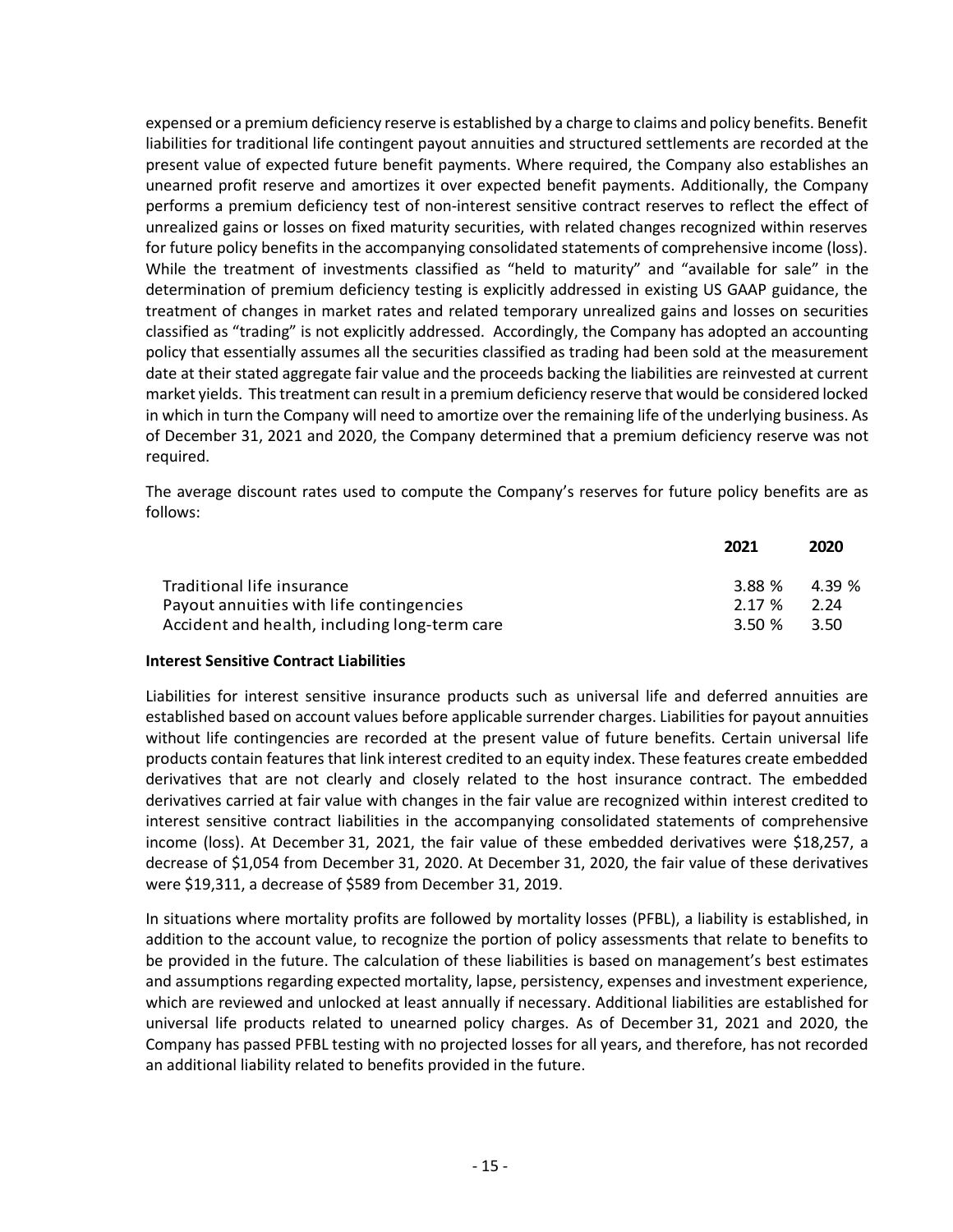expensed or a premium deficiency reserve is established by a charge to claims and policy benefits. Benefit liabilities for traditional life contingent payout annuities and structured settlements are recorded at the present value of expected future benefit payments. Where required, the Company also establishes an unearned profit reserve and amortizes it over expected benefit payments. Additionally, the Company performs a premium deficiency test of non-interest sensitive contract reserves to reflect the effect of unrealized gains or losses on fixed maturity securities, with related changes recognized within reserves for future policy benefits in the accompanying consolidated statements of comprehensive income (loss). While the treatment of investments classified as "held to maturity" and "available for sale" in the determination of premium deficiency testing is explicitly addressed in existing US GAAP guidance, the treatment of changes in market rates and related temporary unrealized gains and losses on securities classified as "trading" is not explicitly addressed. Accordingly, the Company has adopted an accounting policy that essentially assumes all the securities classified as trading had been sold at the measurement date at their stated aggregate fair value and the proceeds backing the liabilities are reinvested at current market yields. This treatment can result in a premium deficiency reserve that would be considered locked in which in turn the Company will need to amortize over the remaining life of the underlying business. As of December 31, 2021 and 2020, the Company determined that a premium deficiency reserve was not required.

The average discount rates used to compute the Company's reserves for future policy benefits are as follows:

|                                               | 2021            | 2020            |
|-----------------------------------------------|-----------------|-----------------|
| Traditional life insurance                    |                 | $3.88\%$ 4.39 % |
| Payout annuities with life contingencies      | 2.17%           | 2.24            |
| Accident and health, including long-term care | $3.50\%$ $3.50$ |                 |

#### **Interest Sensitive Contract Liabilities**

Liabilities for interest sensitive insurance products such as universal life and deferred annuities are established based on account values before applicable surrender charges. Liabilities for payout annuities without life contingencies are recorded at the present value of future benefits. Certain universal life products contain features that link interest credited to an equity index. These features create embedded derivatives that are not clearly and closely related to the host insurance contract. The embedded derivatives carried at fair value with changes in the fair value are recognized within interest credited to interest sensitive contract liabilities in the accompanying consolidated statements of comprehensive income (loss). At December 31, 2021, the fair value of these embedded derivatives were \$18,257, a decrease of \$1,054 from December 31, 2020. At December 31, 2020, the fair value of these derivatives were \$19,311, a decrease of \$589 from December 31, 2019.

In situations where mortality profits are followed by mortality losses (PFBL), a liability is established, in addition to the account value, to recognize the portion of policy assessments that relate to benefits to be provided in the future. The calculation of these liabilities is based on management's best estimates and assumptions regarding expected mortality, lapse, persistency, expenses and investment experience, which are reviewed and unlocked at least annually if necessary. Additional liabilities are established for universal life products related to unearned policy charges. As of December 31, 2021 and 2020, the Company has passed PFBL testing with no projected losses for all years, and therefore, has not recorded an additional liability related to benefits provided in the future.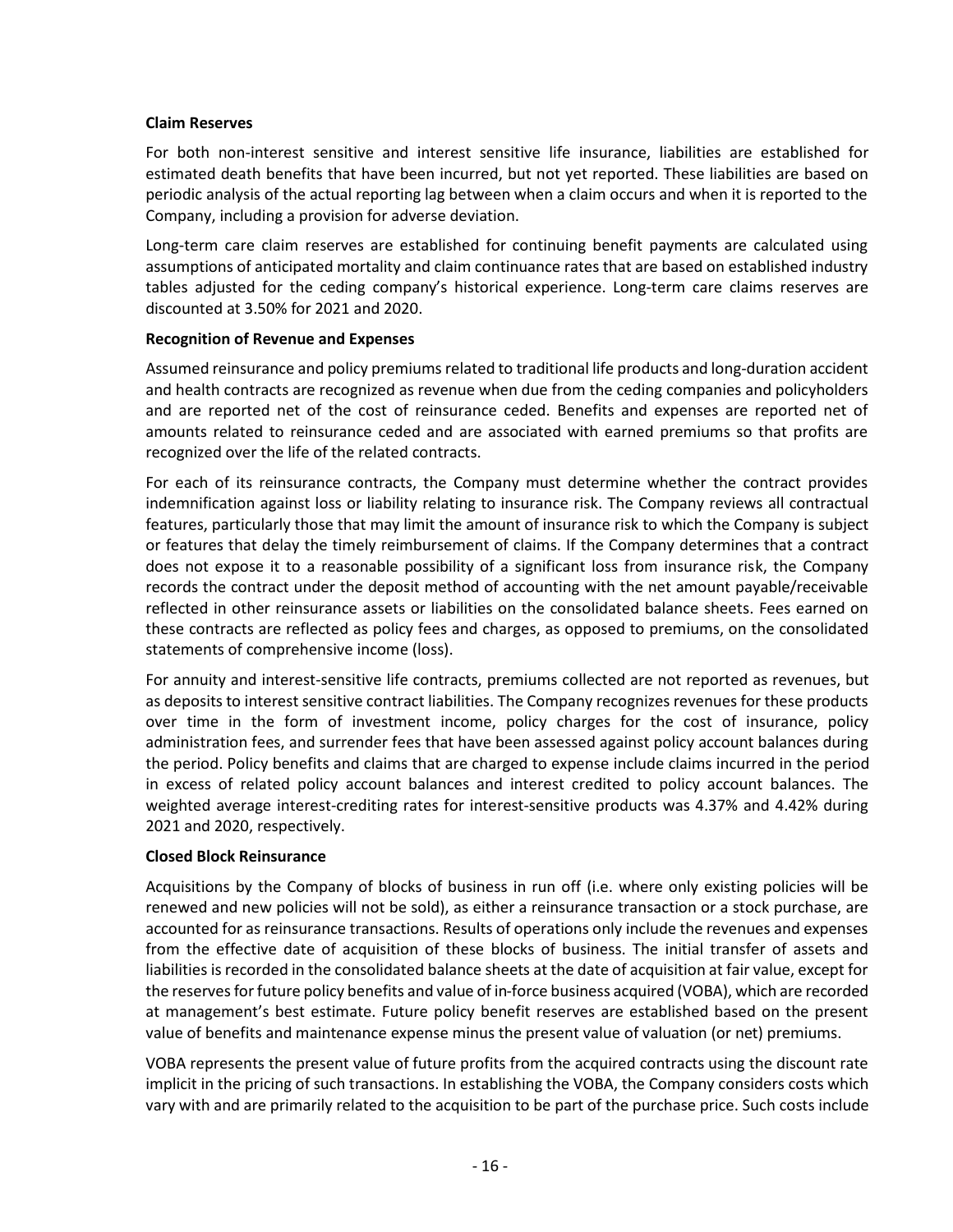#### **Claim Reserves**

For both non-interest sensitive and interest sensitive life insurance, liabilities are established for estimated death benefits that have been incurred, but not yet reported. These liabilities are based on periodic analysis of the actual reporting lag between when a claim occurs and when it is reported to the Company, including a provision for adverse deviation.

Long-term care claim reserves are established for continuing benefit payments are calculated using assumptions of anticipated mortality and claim continuance rates that are based on established industry tables adjusted for the ceding company's historical experience. Long-term care claims reserves are discounted at 3.50% for 2021 and 2020.

#### **Recognition of Revenue and Expenses**

Assumed reinsurance and policy premiums related to traditional life products and long-duration accident and health contracts are recognized as revenue when due from the ceding companies and policyholders and are reported net of the cost of reinsurance ceded. Benefits and expenses are reported net of amounts related to reinsurance ceded and are associated with earned premiums so that profits are recognized over the life of the related contracts.

For each of its reinsurance contracts, the Company must determine whether the contract provides indemnification against loss or liability relating to insurance risk. The Company reviews all contractual features, particularly those that may limit the amount of insurance risk to which the Company is subject or features that delay the timely reimbursement of claims. If the Company determines that a contract does not expose it to a reasonable possibility of a significant loss from insurance risk, the Company records the contract under the deposit method of accounting with the net amount payable/receivable reflected in other reinsurance assets or liabilities on the consolidated balance sheets. Fees earned on these contracts are reflected as policy fees and charges, as opposed to premiums, on the consolidated statements of comprehensive income (loss).

For annuity and interest-sensitive life contracts, premiums collected are not reported as revenues, but as deposits to interest sensitive contract liabilities. The Company recognizes revenues for these products over time in the form of investment income, policy charges for the cost of insurance, policy administration fees, and surrender fees that have been assessed against policy account balances during the period. Policy benefits and claims that are charged to expense include claims incurred in the period in excess of related policy account balances and interest credited to policy account balances. The weighted average interest-crediting rates for interest-sensitive products was 4.37% and 4.42% during 2021 and 2020, respectively.

#### **Closed Block Reinsurance**

Acquisitions by the Company of blocks of business in run off (i.e. where only existing policies will be renewed and new policies will not be sold), as either a reinsurance transaction or a stock purchase, are accounted for as reinsurance transactions. Results of operations only include the revenues and expenses from the effective date of acquisition of these blocks of business. The initial transfer of assets and liabilities is recorded in the consolidated balance sheets at the date of acquisition at fair value, except for the reserves for future policy benefits and value of in-force business acquired (VOBA), which are recorded at management's best estimate. Future policy benefit reserves are established based on the present value of benefits and maintenance expense minus the present value of valuation (or net) premiums.

VOBA represents the present value of future profits from the acquired contracts using the discount rate implicit in the pricing of such transactions. In establishing the VOBA, the Company considers costs which vary with and are primarily related to the acquisition to be part of the purchase price. Such costs include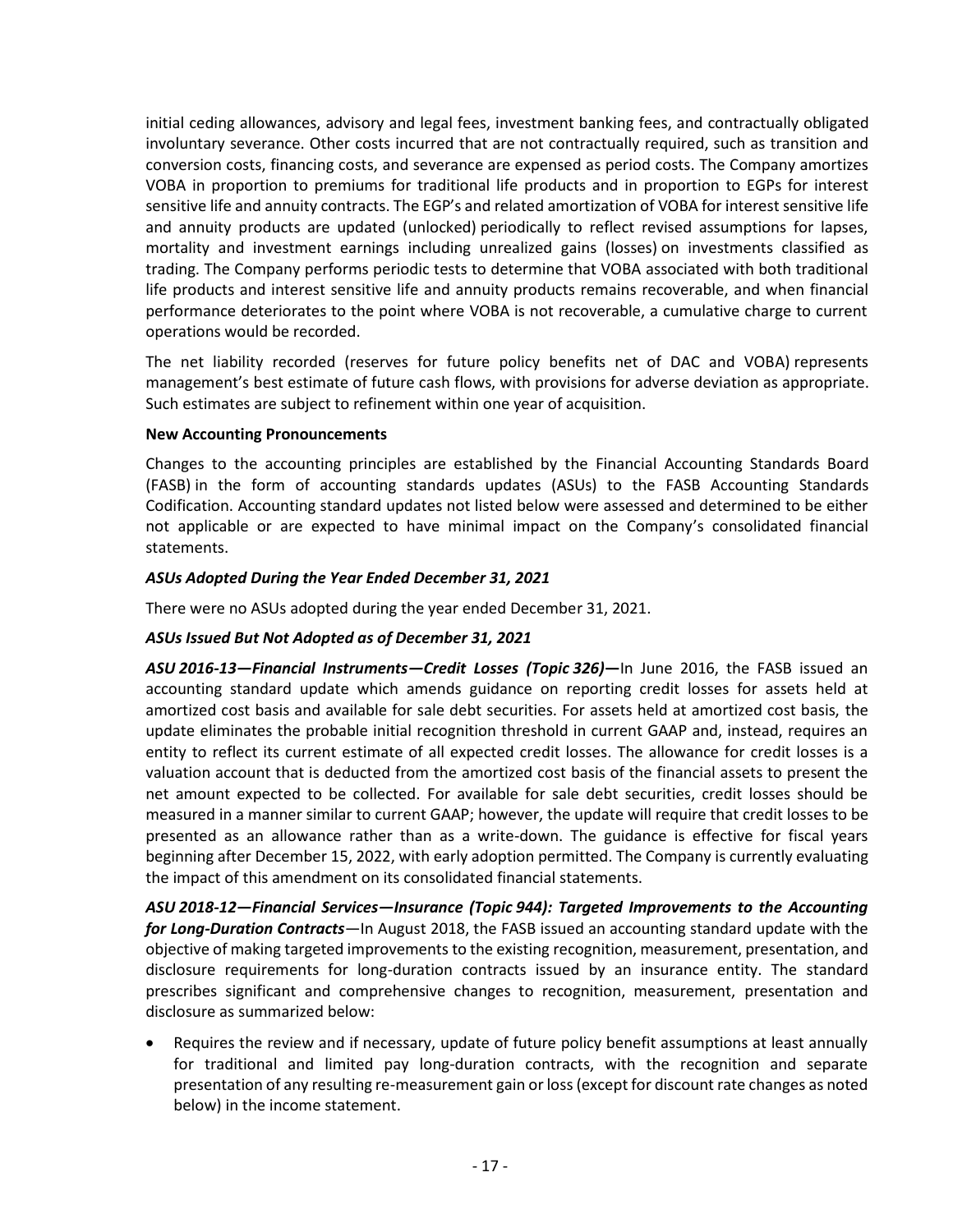initial ceding allowances, advisory and legal fees, investment banking fees, and contractually obligated involuntary severance. Other costs incurred that are not contractually required, such as transition and conversion costs, financing costs, and severance are expensed as period costs. The Company amortizes VOBA in proportion to premiums for traditional life products and in proportion to EGPs for interest sensitive life and annuity contracts. The EGP's and related amortization of VOBA for interest sensitive life and annuity products are updated (unlocked) periodically to reflect revised assumptions for lapses, mortality and investment earnings including unrealized gains (losses) on investments classified as trading. The Company performs periodic tests to determine that VOBA associated with both traditional life products and interest sensitive life and annuity products remains recoverable, and when financial performance deteriorates to the point where VOBA is not recoverable, a cumulative charge to current operations would be recorded.

The net liability recorded (reserves for future policy benefits net of DAC and VOBA) represents management's best estimate of future cash flows, with provisions for adverse deviation as appropriate. Such estimates are subject to refinement within one year of acquisition.

#### **New Accounting Pronouncements**

Changes to the accounting principles are established by the Financial Accounting Standards Board (FASB) in the form of accounting standards updates (ASUs) to the FASB Accounting Standards Codification. Accounting standard updates not listed below were assessed and determined to be either not applicable or are expected to have minimal impact on the Company's consolidated financial statements.

#### *ASUs Adopted During the Year Ended December 31, 2021*

There were no ASUs adopted during the year ended December 31, 2021.

#### *ASUs Issued But Not Adopted as of December 31, 2021*

*ASU 2016-13—Financial Instruments—Credit Losses (Topic 326)***—**In June 2016, the FASB issued an accounting standard update which amends guidance on reporting credit losses for assets held at amortized cost basis and available for sale debt securities. For assets held at amortized cost basis, the update eliminates the probable initial recognition threshold in current GAAP and, instead, requires an entity to reflect its current estimate of all expected credit losses. The allowance for credit losses is a valuation account that is deducted from the amortized cost basis of the financial assets to present the net amount expected to be collected. For available for sale debt securities, credit losses should be measured in a manner similar to current GAAP; however, the update will require that credit losses to be presented as an allowance rather than as a write-down. The guidance is effective for fiscal years beginning after December 15, 2022, with early adoption permitted. The Company is currently evaluating the impact of this amendment on its consolidated financial statements.

*ASU 2018-12—Financial Services—Insurance (Topic 944): Targeted Improvements to the Accounting for Long-Duration Contracts*—In August 2018, the FASB issued an accounting standard update with the objective of making targeted improvements to the existing recognition, measurement, presentation, and disclosure requirements for long-duration contracts issued by an insurance entity. The standard prescribes significant and comprehensive changes to recognition, measurement, presentation and disclosure as summarized below:

· Requires the review and if necessary, update of future policy benefit assumptions at least annually for traditional and limited pay long-duration contracts, with the recognition and separate presentation of any resulting re-measurement gain or loss (except for discount rate changes as noted below) in the income statement.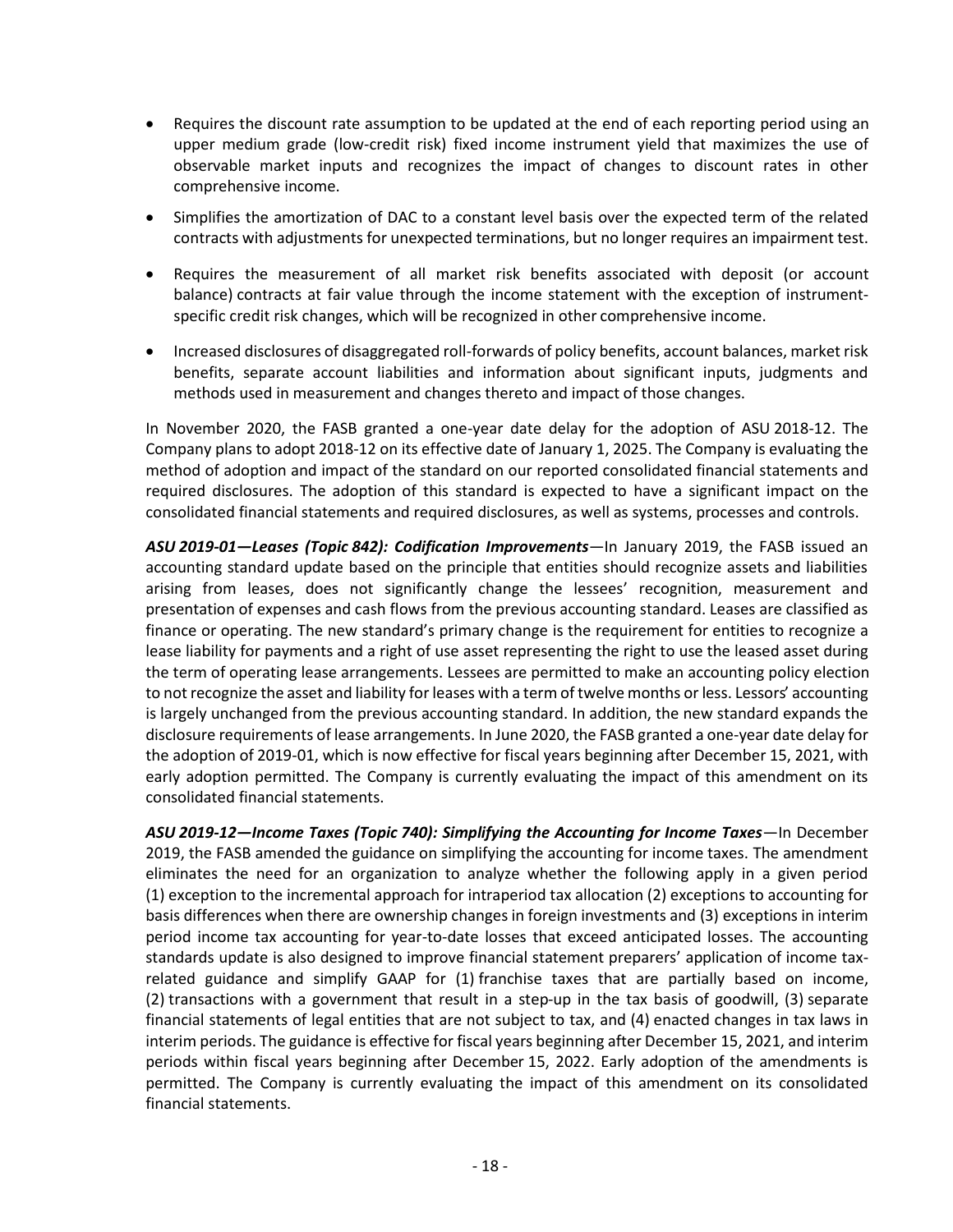- · Requires the discount rate assumption to be updated at the end of each reporting period using an upper medium grade (low-credit risk) fixed income instrument yield that maximizes the use of observable market inputs and recognizes the impact of changes to discount rates in other comprehensive income.
- Simplifies the amortization of DAC to a constant level basis over the expected term of the related contracts with adjustments for unexpected terminations, but no longer requires an impairment test.
- Requires the measurement of all market risk benefits associated with deposit (or account balance) contracts at fair value through the income statement with the exception of instrumentspecific credit risk changes, which will be recognized in other comprehensive income.
- · Increased disclosures of disaggregated roll-forwards of policy benefits, account balances, market risk benefits, separate account liabilities and information about significant inputs, judgments and methods used in measurement and changes thereto and impact of those changes.

In November 2020, the FASB granted a one-year date delay for the adoption of ASU 2018-12. The Company plans to adopt 2018-12 on its effective date of January 1, 2025. The Company is evaluating the method of adoption and impact of the standard on our reported consolidated financial statements and required disclosures. The adoption of this standard is expected to have a significant impact on the consolidated financial statements and required disclosures, as well as systems, processes and controls.

*ASU 2019-01—Leases (Topic 842): Codification Improvements*—In January 2019, the FASB issued an accounting standard update based on the principle that entities should recognize assets and liabilities arising from leases, does not significantly change the lessees' recognition, measurement and presentation of expenses and cash flows from the previous accounting standard. Leases are classified as finance or operating. The new standard's primary change is the requirement for entities to recognize a lease liability for payments and a right of use asset representing the right to use the leased asset during the term of operating lease arrangements. Lessees are permitted to make an accounting policy election to not recognize the asset and liability for leases with a term of twelve months or less. Lessors' accounting is largely unchanged from the previous accounting standard. In addition, the new standard expands the disclosure requirements of lease arrangements. In June 2020, the FASB granted a one-year date delay for the adoption of 2019-01, which is now effective for fiscal years beginning after December 15, 2021, with early adoption permitted. The Company is currently evaluating the impact of this amendment on its consolidated financial statements.

*ASU 2019-12—Income Taxes (Topic 740): Simplifying the Accounting for Income Taxes*—In December 2019, the FASB amended the guidance on simplifying the accounting for income taxes. The amendment eliminates the need for an organization to analyze whether the following apply in a given period (1) exception to the incremental approach for intraperiod tax allocation (2) exceptions to accounting for basis differences when there are ownership changes in foreign investments and (3) exceptions in interim period income tax accounting for year-to-date losses that exceed anticipated losses. The accounting standards update is also designed to improve financial statement preparers' application of income taxrelated guidance and simplify GAAP for (1) franchise taxes that are partially based on income, (2) transactions with a government that result in a step-up in the tax basis of goodwill, (3) separate financial statements of legal entities that are not subject to tax, and (4) enacted changes in tax laws in interim periods. The guidance is effective for fiscal years beginning after December 15, 2021, and interim periods within fiscal years beginning after December 15, 2022. Early adoption of the amendments is permitted. The Company is currently evaluating the impact of this amendment on its consolidated financial statements.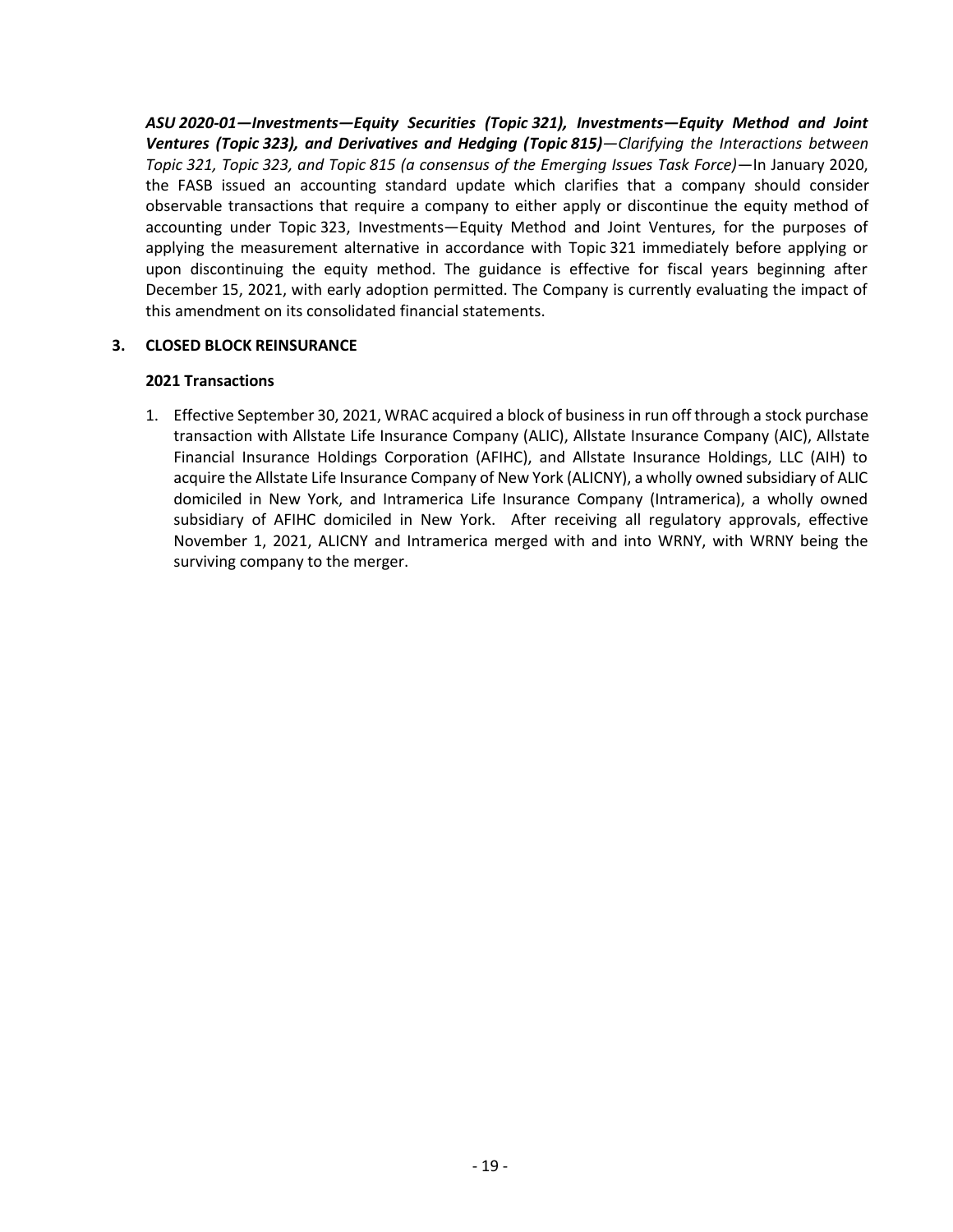*ASU 2020-01—Investments—Equity Securities (Topic 321), Investments—Equity Method and Joint Ventures (Topic 323), and Derivatives and Hedging (Topic 815)—Clarifying the Interactions between Topic 321, Topic 323, and Topic 815 (a consensus of the Emerging Issues Task Force)*—In January 2020, the FASB issued an accounting standard update which clarifies that a company should consider observable transactions that require a company to either apply or discontinue the equity method of accounting under Topic 323, Investments—Equity Method and Joint Ventures, for the purposes of applying the measurement alternative in accordance with Topic 321 immediately before applying or upon discontinuing the equity method. The guidance is effective for fiscal years beginning after December 15, 2021, with early adoption permitted. The Company is currently evaluating the impact of this amendment on its consolidated financial statements.

#### **3. CLOSED BLOCK REINSURANCE**

#### **2021 Transactions**

1. Effective September 30, 2021, WRAC acquired a block of business in run off through a stock purchase transaction with Allstate Life Insurance Company (ALIC), Allstate Insurance Company (AIC), Allstate Financial Insurance Holdings Corporation (AFIHC), and Allstate Insurance Holdings, LLC (AIH) to acquire the Allstate Life Insurance Company of New York (ALICNY), a wholly owned subsidiary of ALIC domiciled in New York, and Intramerica Life Insurance Company (Intramerica), a wholly owned subsidiary of AFIHC domiciled in New York. After receiving all regulatory approvals, effective November 1, 2021, ALICNY and Intramerica merged with and into WRNY, with WRNY being the surviving company to the merger.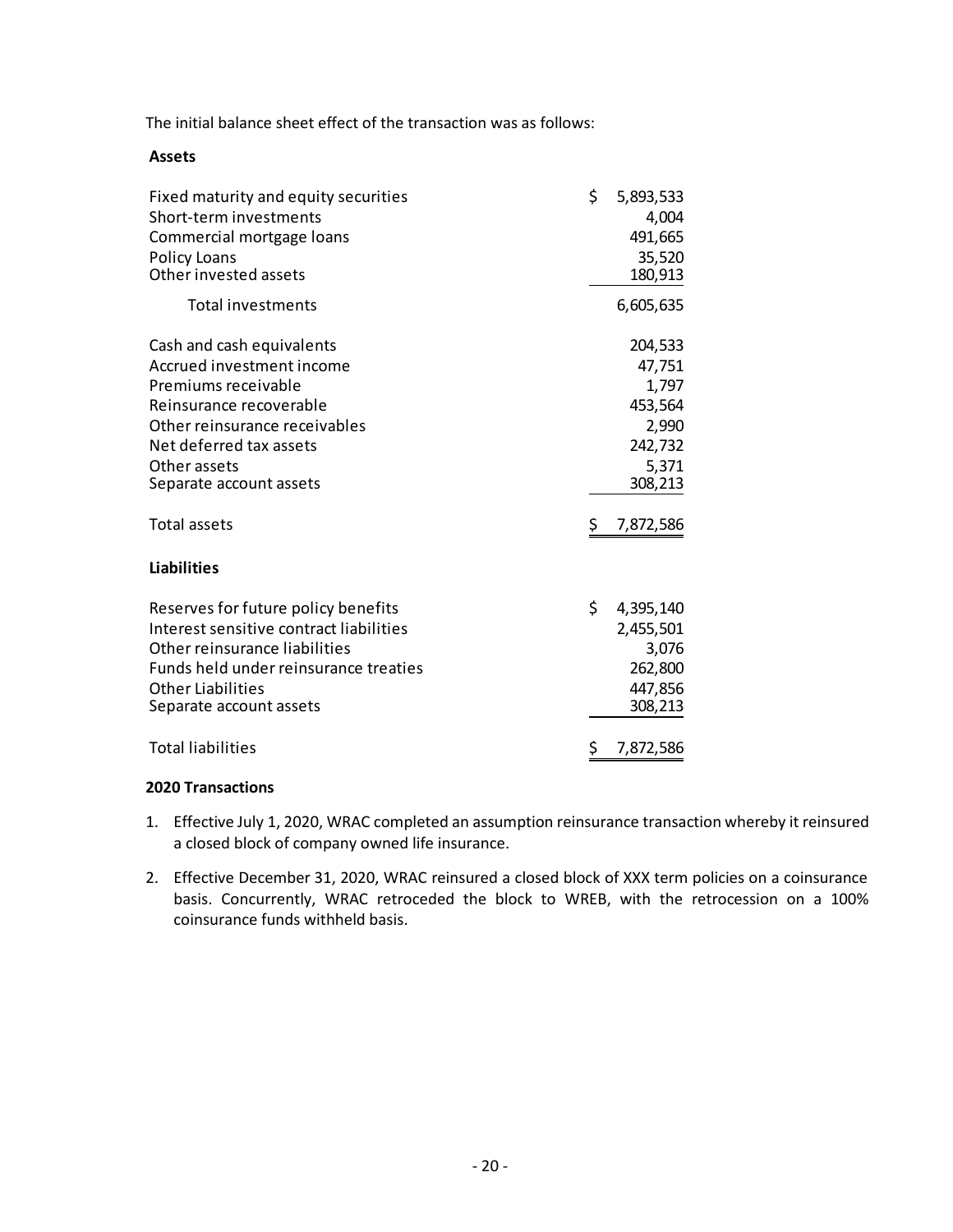The initial balance sheet effect of the transaction was as follows:

| ×<br>۰.<br>×<br>۰.<br>۰,<br>×<br>۰.<br>I |
|------------------------------------------|
|------------------------------------------|

| Fixed maturity and equity securities<br>Short-term investments<br>Commercial mortgage loans<br>Policy Loans<br>Other invested assets                                                                            | \$ | 5,893,533<br>4,004<br>491,665<br>35,520<br>180,913                            |
|-----------------------------------------------------------------------------------------------------------------------------------------------------------------------------------------------------------------|----|-------------------------------------------------------------------------------|
| <b>Total investments</b>                                                                                                                                                                                        |    | 6,605,635                                                                     |
| Cash and cash equivalents<br>Accrued investment income<br>Premiums receivable<br>Reinsurance recoverable<br>Other reinsurance receivables<br>Net deferred tax assets<br>Other assets<br>Separate account assets |    | 204,533<br>47,751<br>1,797<br>453,564<br>2,990<br>242,732<br>5,371<br>308,213 |
| <b>Total assets</b>                                                                                                                                                                                             | Ş  | 7,872,586                                                                     |
| <b>Liabilities</b>                                                                                                                                                                                              |    |                                                                               |
| Reserves for future policy benefits<br>Interest sensitive contract liabilities<br>Other reinsurance liabilities<br>Funds held under reinsurance treaties<br><b>Other Liabilities</b><br>Separate account assets | \$ | 4,395,140<br>2,455,501<br>3,076<br>262,800<br>447,856<br>308,213              |
| <b>Total liabilities</b>                                                                                                                                                                                        | \$ | 7,872,586                                                                     |

#### **2020 Transactions**

- 1. Effective July 1, 2020, WRAC completed an assumption reinsurance transaction whereby it reinsured a closed block of company owned life insurance.
- 2. Effective December 31, 2020, WRAC reinsured a closed block of XXX term policies on a coinsurance basis. Concurrently, WRAC retroceded the block to WREB, with the retrocession on a 100% coinsurance funds withheld basis.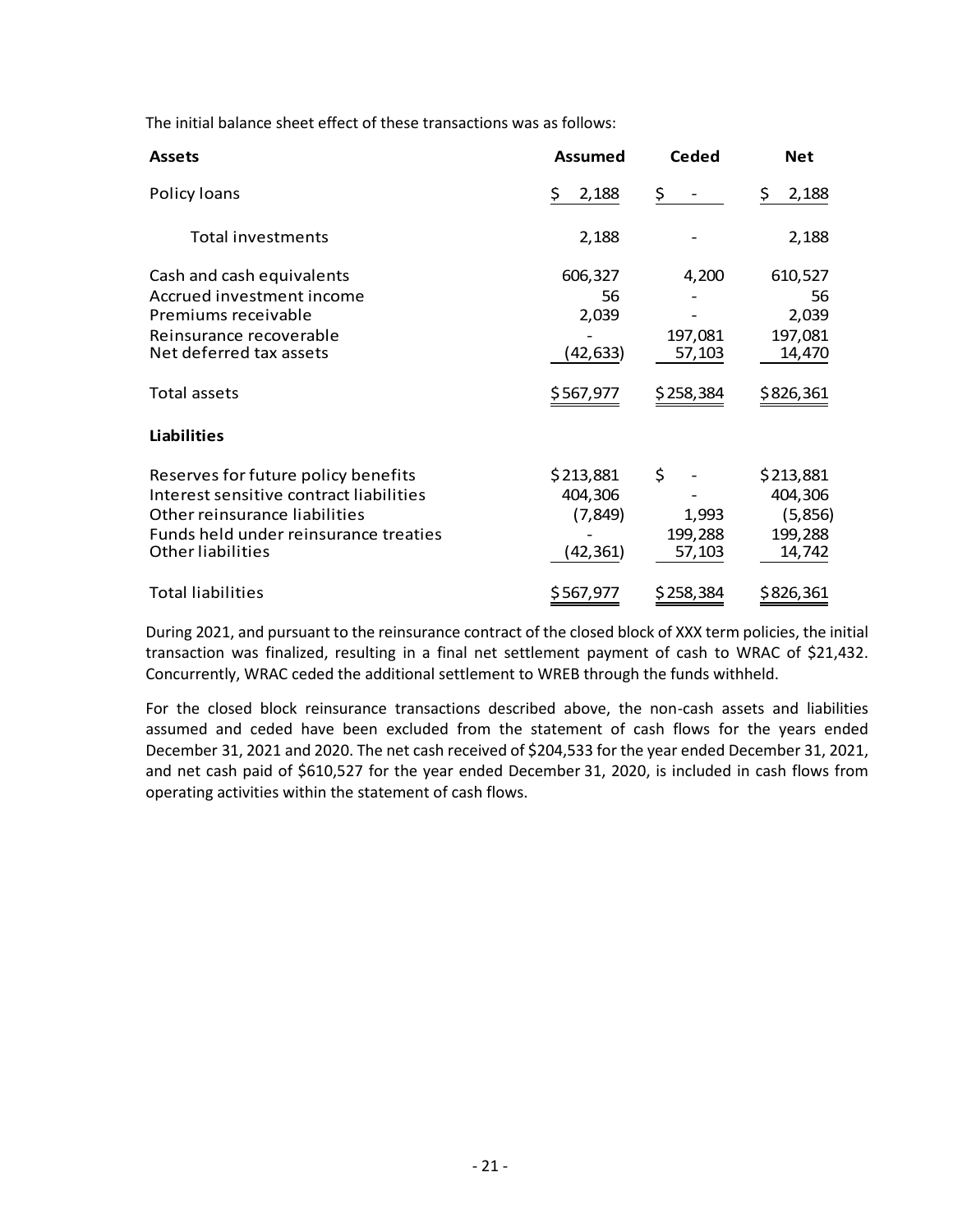The initial balance sheet effect of these transactions was as follows:

| <b>Assets</b>                                                                                                                                                                 | <b>Assumed</b>                               | <b>Ceded</b>                     | <b>Net</b>                                           |
|-------------------------------------------------------------------------------------------------------------------------------------------------------------------------------|----------------------------------------------|----------------------------------|------------------------------------------------------|
| Policy loans                                                                                                                                                                  | \$<br>2,188                                  | Ş.                               | 2,188<br>\$.                                         |
| Total investments                                                                                                                                                             | 2,188                                        |                                  | 2,188                                                |
| Cash and cash equivalents<br>Accrued investment income<br>Premiums receivable<br>Reinsurance recoverable<br>Net deferred tax assets                                           | 606,327<br>56<br>2,039<br>(42,633)           | 4,200<br>197,081<br>57,103       | 610,527<br>56<br>2,039<br>197,081<br>14,470          |
| Total assets                                                                                                                                                                  | \$567,977                                    | \$258,384                        | \$826,361                                            |
| <b>Liabilities</b>                                                                                                                                                            |                                              |                                  |                                                      |
| Reserves for future policy benefits<br>Interest sensitive contract liabilities<br>Other reinsurance liabilities<br>Funds held under reinsurance treaties<br>Other liabilities | \$213,881<br>404,306<br>(7, 849)<br>(42,361) | \$<br>1,993<br>199,288<br>57,103 | \$213,881<br>404,306<br>(5,856)<br>199,288<br>14,742 |
| <b>Total liabilities</b>                                                                                                                                                      | \$567,977                                    | \$258,384                        | \$826,361                                            |

During 2021, and pursuant to the reinsurance contract of the closed block of XXX term policies, the initial transaction was finalized, resulting in a final net settlement payment of cash to WRAC of \$21,432. Concurrently, WRAC ceded the additional settlement to WREB through the funds withheld.

For the closed block reinsurance transactions described above, the non-cash assets and liabilities assumed and ceded have been excluded from the statement of cash flows for the years ended December 31, 2021 and 2020. The net cash received of \$204,533 for the year ended December 31, 2021, and net cash paid of \$610,527 for the year ended December 31, 2020, is included in cash flows from operating activities within the statement of cash flows.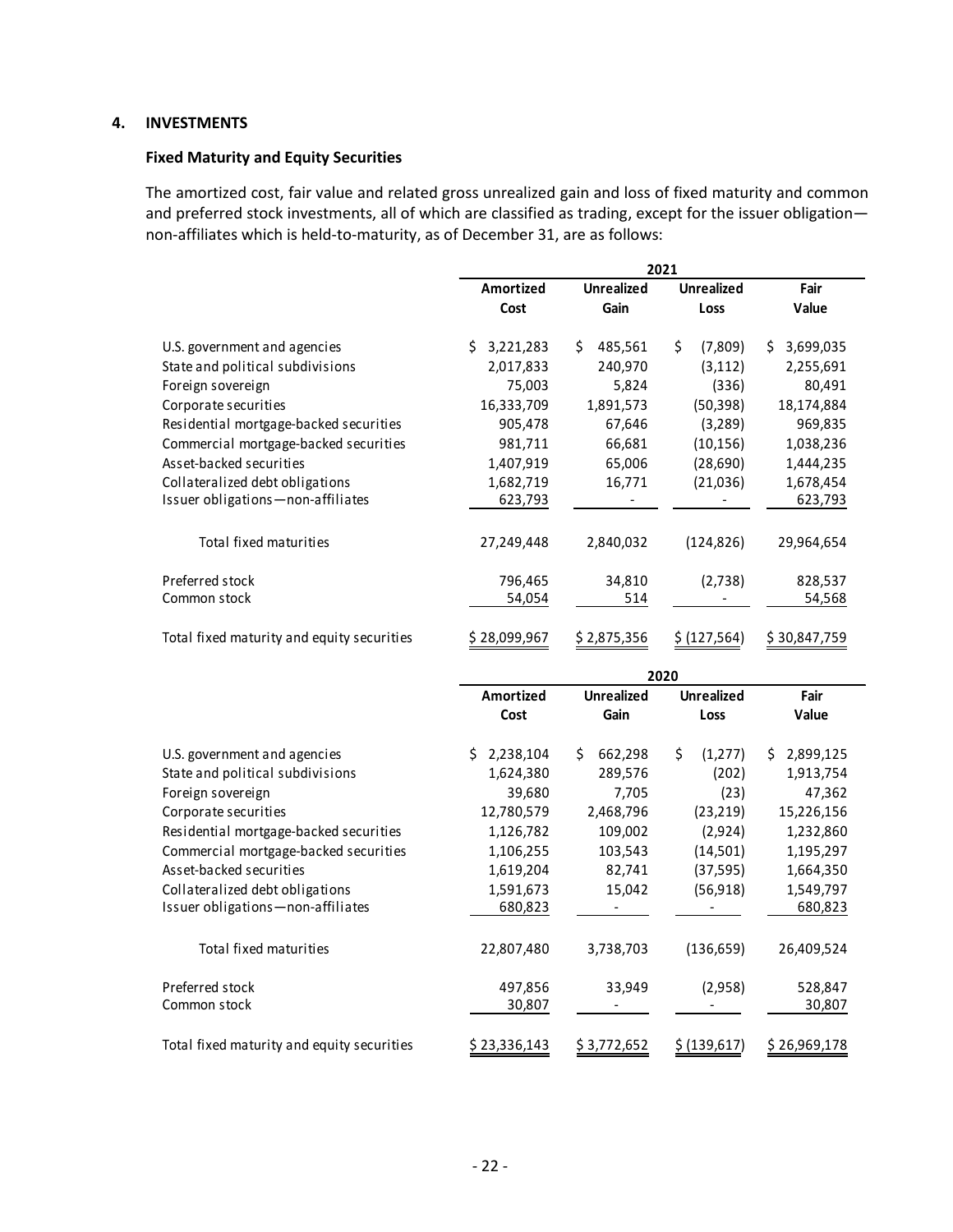#### **4. INVESTMENTS**

#### **Fixed Maturity and Equity Securities**

The amortized cost, fair value and related gross unrealized gain and loss of fixed maturity and common and preferred stock investments, all of which are classified as trading, except for the issuer obligation non-affiliates which is held-to-maturity, as of December 31, are as follows:

|                                            | 2021            |                   |                   |                 |  |  |
|--------------------------------------------|-----------------|-------------------|-------------------|-----------------|--|--|
|                                            | Amortized       | <b>Unrealized</b> | <b>Unrealized</b> | Fair            |  |  |
|                                            | Cost            | Gain              | Loss              | Value           |  |  |
| U.S. government and agencies               | Ś.<br>3,221,283 | Ś.<br>485,561     | Ŝ.<br>(7,809)     | 3,699,035<br>Ŝ. |  |  |
| State and political subdivisions           | 2,017,833       | 240,970           | (3, 112)          | 2,255,691       |  |  |
| Foreign sovereign                          | 75,003          | 5,824             | (336)             | 80,491          |  |  |
| Corporate securities                       | 16,333,709      | 1,891,573         | (50, 398)         | 18,174,884      |  |  |
| Residential mortgage-backed securities     | 905,478         | 67,646            | (3,289)           | 969,835         |  |  |
| Commercial mortgage-backed securities      | 981,711         | 66,681            | (10, 156)         | 1,038,236       |  |  |
| Asset-backed securities                    | 1,407,919       | 65,006            | (28, 690)         | 1,444,235       |  |  |
| Collateralized debt obligations            | 1,682,719       | 16,771            | (21, 036)         | 1,678,454       |  |  |
| Issuer obligations-non-affiliates          | 623,793         |                   |                   | 623,793         |  |  |
| Total fixed maturities                     | 27,249,448      | 2,840,032         | (124, 826)        | 29,964,654      |  |  |
| Preferred stock                            | 796,465         | 34,810            | (2,738)           | 828,537         |  |  |
| Common stock                               | 54,054          | 514               |                   | 54,568          |  |  |
| Total fixed maturity and equity securities | \$ 28,099,967   | \$2,875,356       | \$ (127, 564)     | \$30,847,759    |  |  |

|                                            | 2020              |                   |                   |                   |  |  |
|--------------------------------------------|-------------------|-------------------|-------------------|-------------------|--|--|
|                                            | Amortized         | <b>Unrealized</b> | <b>Unrealized</b> | Fair              |  |  |
|                                            | Cost              | Gain              | Loss              | Value             |  |  |
| U.S. government and agencies               | 2,238,104<br>Ś.   | Ś.<br>662,298     | Ś.<br>(1,277)     | 2,899,125<br>Ś.   |  |  |
| State and political subdivisions           | 1,624,380         | 289,576           | (202)             | 1,913,754         |  |  |
| Foreign sovereign                          | 39,680            | 7,705             | (23)              | 47,362            |  |  |
| Corporate securities                       | 12,780,579        | 2,468,796         | (23, 219)         | 15,226,156        |  |  |
| Residential mortgage-backed securities     | 1,126,782         | 109,002           | (2,924)           | 1,232,860         |  |  |
| Commercial mortgage-backed securities      | 1,106,255         | 103,543           | (14, 501)         | 1,195,297         |  |  |
| Asset-backed securities                    | 1,619,204         | 82,741            | (37, 595)         | 1,664,350         |  |  |
| Collateralized debt obligations            | 1,591,673         | 15,042            | (56, 918)         | 1,549,797         |  |  |
| Issuer obligations-non-affiliates          | 680,823           |                   |                   | 680,823           |  |  |
| Total fixed maturities                     | 22,807,480        | 3,738,703         | (136, 659)        | 26,409,524        |  |  |
| Preferred stock<br>Common stock            | 497,856<br>30,807 | 33,949            | (2,958)           | 528,847<br>30,807 |  |  |
| Total fixed maturity and equity securities | \$ 23,336,143     | \$ 3,772,652      | \$(139,617)       | \$26,969,178      |  |  |
|                                            |                   |                   |                   |                   |  |  |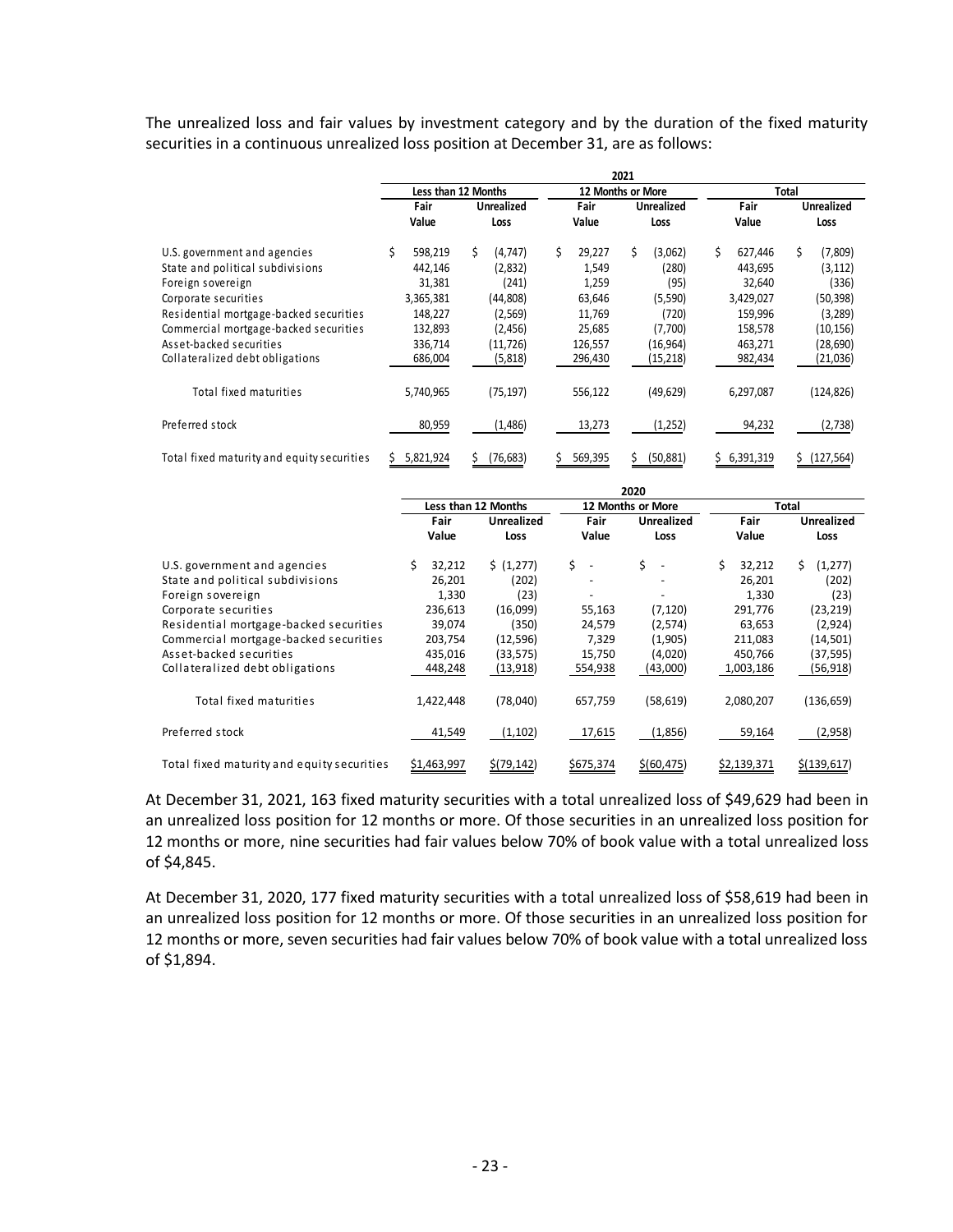The unrealized loss and fair values by investment category and by the duration of the fixed maturity securities in a continuous unrealized loss position at December 31, are as follows:

|                                            | 2021 |                     |    |                   |    |                   |    |                   |       |           |                   |            |
|--------------------------------------------|------|---------------------|----|-------------------|----|-------------------|----|-------------------|-------|-----------|-------------------|------------|
|                                            |      | Less than 12 Months |    |                   |    | 12 Months or More |    |                   | Total |           |                   |            |
|                                            |      | Fair                |    | <b>Unrealized</b> |    | Fair              |    | <b>Unrealized</b> | Fair  |           | <b>Unrealized</b> |            |
|                                            |      | Value               |    | Loss              |    | Value             |    | Loss              |       | Value     |                   | Loss       |
| U.S. government and agencies               | S    | 598,219             | Ś. | (4, 747)          | \$ | 29,227            | Ś. | (3,062)           | Ś.    | 627,446   | Ś.                | (7,809)    |
| State and political subdivisions           |      | 442,146             |    | (2,832)           |    | 1,549             |    | (280)             |       | 443,695   |                   | (3, 112)   |
| Foreign sovereign                          |      | 31,381              |    | (241)             |    | 1,259             |    | (95)              |       | 32,640    |                   | (336)      |
| Corporate securities                       |      | 3,365,381           |    | (44,808)          |    | 63,646            |    | (5,590)           |       | 3,429,027 |                   | (50,398)   |
| Residential mortgage-backed securities     |      | 148,227             |    | (2, 569)          |    | 11,769            |    | (720)             |       | 159,996   |                   | (3, 289)   |
| Commercial mortgage-backed securities      |      | 132,893             |    | (2,456)           |    | 25,685            |    | (7,700)           |       | 158,578   |                   | (10, 156)  |
| Asset-backed securities                    |      | 336,714             |    | (11, 726)         |    | 126,557           |    | (16, 964)         |       | 463,271   |                   | (28, 690)  |
| Collateralized debt obligations            |      | 686,004             |    | (5,818)           |    | 296,430           |    | (15,218)          |       | 982,434   |                   | (21,036)   |
| Total fixed maturities                     |      | 5,740,965           |    | (75, 197)         |    | 556,122           |    | (49, 629)         |       | 6,297,087 |                   | (124, 826) |
| Preferred stock                            |      | 80,959              |    | (1,486)           |    | 13,273            |    | (1, 252)          |       | 94,232    |                   | (2,738)    |
| Total fixed maturity and equity securities |      | 5,821,924           |    | (76, 683)         |    | 569,395           | S  | (50, 881)         |       | 6,391,319 |                   | (127,564)  |

|                                            | 2020        |                           |           |                          |             |                   |
|--------------------------------------------|-------------|---------------------------|-----------|--------------------------|-------------|-------------------|
|                                            |             | Less than 12 Months       |           | <b>12 Months or More</b> | Total       |                   |
|                                            | Fair        | <b>Unrealized</b><br>Fair |           | <b>Unrealized</b>        | Fair        | <b>Unrealized</b> |
|                                            | Value       | Loss                      | Value     | Loss                     | Value       | Loss              |
| U.S. government and agencies               | 32,212      | \$(1,277)                 | \$.       | Ś.                       | 32,212      | Ś.<br>(1,277)     |
| State and political subdivisions           | 26,201      | (202)                     |           |                          | 26,201      | (202)             |
| Foreign sovereign                          | 1,330       | (23)                      |           |                          | 1,330       | (23)              |
| Corporate securities                       | 236,613     | (16,099)                  | 55,163    | (7, 120)                 | 291,776     | (23,219)          |
| Residential mortgage-backed securities     | 39.074      | (350)                     | 24,579    | (2,574)                  | 63,653      | (2,924)           |
| Commercial mortgage-backed securities      | 203,754     | (12, 596)                 | 7,329     | (1,905)                  | 211,083     | (14,501)          |
| Asset-backed securities                    | 435,016     | (33, 575)                 | 15,750    | (4,020)                  | 450.766     | (37, 595)         |
| Collateralized debt obligations            | 448,248     | (13,918)                  | 554,938   | (43,000)                 | 1,003,186   | (56,918)          |
| Total fixed maturities                     | 1,422,448   | (78,040)                  | 657,759   | (58, 619)                | 2,080,207   | (136, 659)        |
| Preferred stock                            | 41,549      | (1,102)                   | 17,615    | (1,856)                  | 59,164      | (2,958)           |
| Total fixed maturity and equity securities | \$1,463,997 | \$(79, 142)               | \$675,374 | \$(60, 475)              | \$2,139,371 | \$(139, 617)      |

At December 31, 2021, 163 fixed maturity securities with a total unrealized loss of \$49,629 had been in an unrealized loss position for 12 months or more. Of those securities in an unrealized loss position for 12 months or more, nine securities had fair values below 70% of book value with a total unrealized loss of \$4,845.

At December 31, 2020, 177 fixed maturity securities with a total unrealized loss of \$58,619 had been in an unrealized loss position for 12 months or more. Of those securities in an unrealized loss position for 12 months or more, seven securities had fair values below 70% of book value with a total unrealized loss of \$1,894.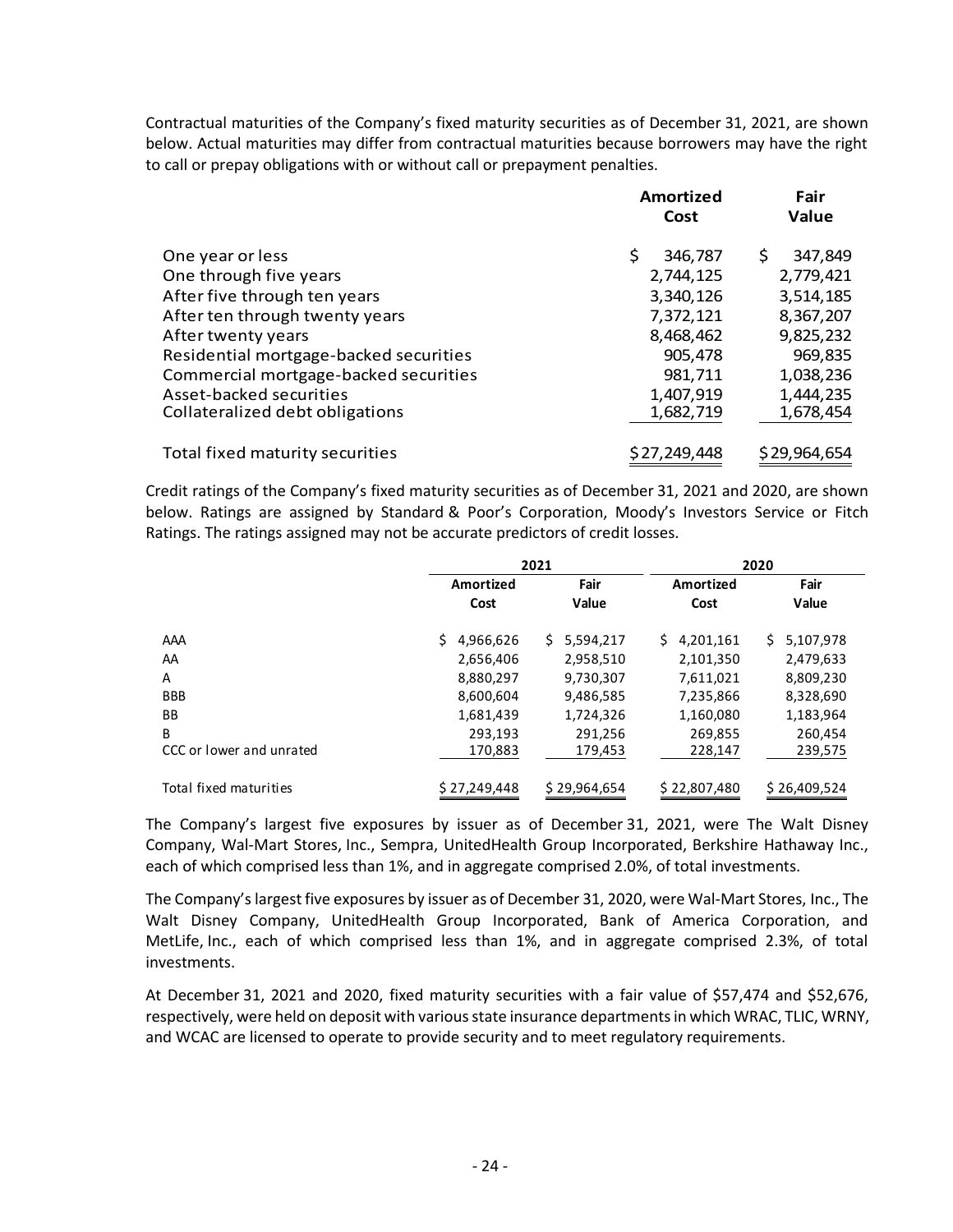Contractual maturities of the Company's fixed maturity securities as of December 31, 2021, are shown below. Actual maturities may differ from contractual maturities because borrowers may have the right to call or prepay obligations with or without call or prepayment penalties.

|                                        | Amortized<br>Cost | Fair<br>Value |
|----------------------------------------|-------------------|---------------|
| One year or less                       | S<br>346.787      | \$<br>347,849 |
| One through five years                 | 2,744,125         | 2,779,421     |
| After five through ten years           | 3,340,126         | 3,514,185     |
| After ten through twenty years         | 7,372,121         | 8,367,207     |
| After twenty years                     | 8,468,462         | 9,825,232     |
| Residential mortgage-backed securities | 905,478           | 969,835       |
| Commercial mortgage-backed securities  | 981,711           | 1,038,236     |
| Asset-backed securities                | 1,407,919         | 1,444,235     |
| Collateralized debt obligations        | 1,682,719         | 1,678,454     |
| Total fixed maturity securities        | \$27,249,448      | \$29,964,654  |

Credit ratings of the Company's fixed maturity securities as of December 31, 2021 and 2020, are shown below. Ratings are assigned by Standard & Poor's Corporation, Moody's Investors Service or Fitch Ratings. The ratings assigned may not be accurate predictors of credit losses.

|                          |              | 2021            | 2020            |                 |  |  |
|--------------------------|--------------|-----------------|-----------------|-----------------|--|--|
|                          | Amortized    | Fair            | Amortized       | Fair            |  |  |
|                          | Cost         | Value           | Cost            | Value           |  |  |
| AAA                      | 4,966,626    | 5,594,217<br>S. | Ś.<br>4,201,161 | 5,107,978<br>S. |  |  |
| AA                       | 2,656,406    | 2,958,510       | 2,101,350       | 2,479,633       |  |  |
| A                        | 8,880,297    | 9,730,307       | 7,611,021       | 8,809,230       |  |  |
| <b>BBB</b>               | 8,600,604    | 9,486,585       | 7,235,866       | 8,328,690       |  |  |
| <b>BB</b>                | 1,681,439    | 1,724,326       | 1,160,080       | 1,183,964       |  |  |
| <sub>B</sub>             | 293.193      | 291,256         | 269,855         | 260,454         |  |  |
| CCC or lower and unrated | 170,883      | 179,453         | 228,147         | 239,575         |  |  |
| Total fixed maturities   | \$27,249,448 | \$29,964,654    | \$22,807,480    | \$26,409,524    |  |  |

The Company's largest five exposures by issuer as of December 31, 2021, were The Walt Disney Company, Wal-Mart Stores, Inc., Sempra, UnitedHealth Group Incorporated, Berkshire Hathaway Inc., each of which comprised less than 1%, and in aggregate comprised 2.0%, of total investments.

The Company's largest five exposures by issuer as of December 31, 2020, were Wal-Mart Stores, Inc., The Walt Disney Company, UnitedHealth Group Incorporated, Bank of America Corporation, and MetLife, Inc., each of which comprised less than 1%, and in aggregate comprised 2.3%, of total investments.

At December 31, 2021 and 2020, fixed maturity securities with a fair value of \$57,474 and \$52,676, respectively, were held on deposit with various state insurance departments in which WRAC, TLIC, WRNY, and WCAC are licensed to operate to provide security and to meet regulatory requirements.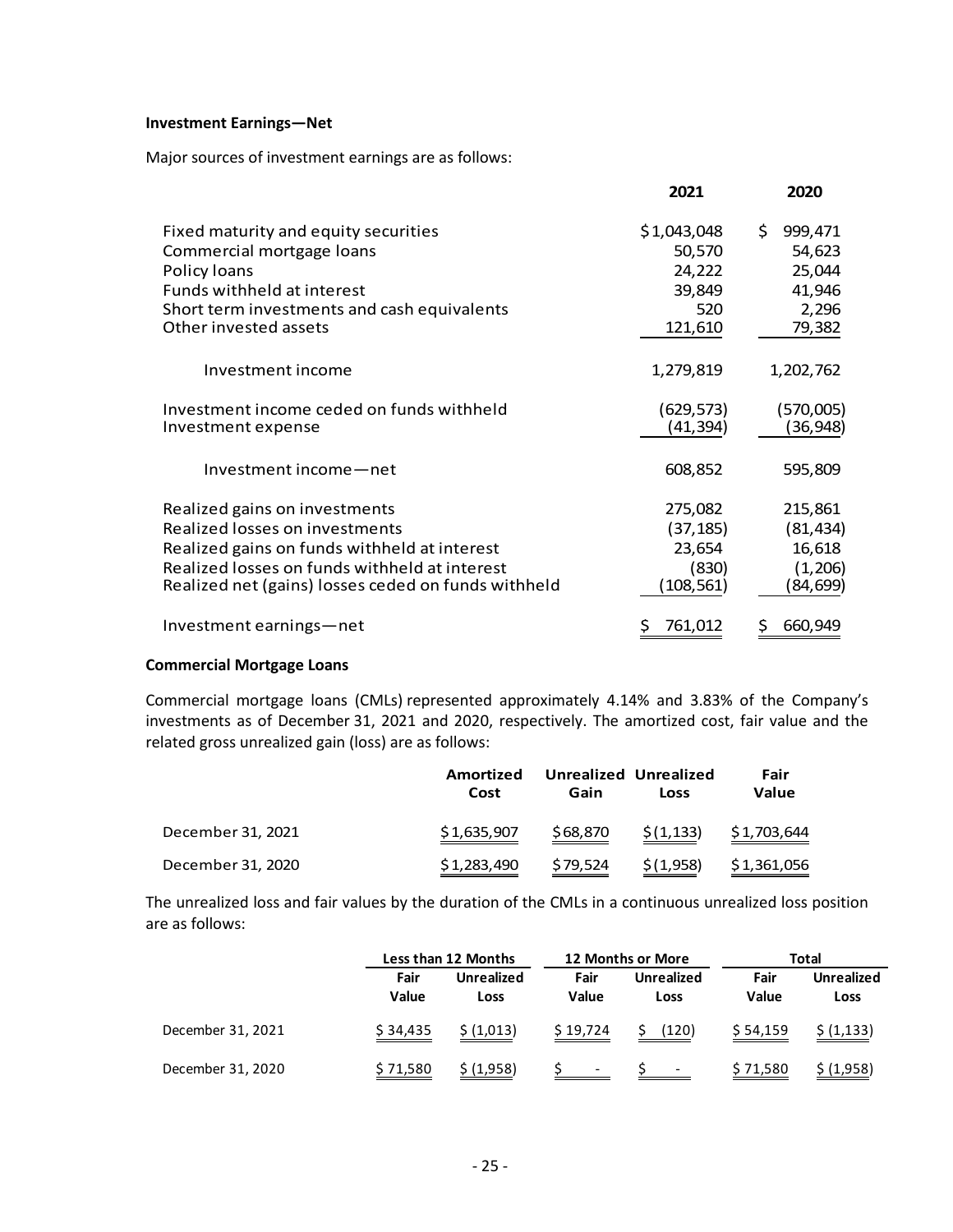#### **Investment Earnings—Net**

Major sources of investment earnings are as follows:

|                                                     | 2021        | 2020           |
|-----------------------------------------------------|-------------|----------------|
| Fixed maturity and equity securities                | \$1,043,048 | \$.<br>999,471 |
| Commercial mortgage loans                           | 50,570      | 54,623         |
| Policy loans                                        | 24,222      | 25,044         |
| Funds withheld at interest                          | 39,849      | 41,946         |
| Short term investments and cash equivalents         | 520         | 2,296          |
| Other invested assets                               | 121,610     | 79,382         |
| Investment income                                   | 1,279,819   | 1,202,762      |
| Investment income ceded on funds withheld           | (629, 573)  | (570,005)      |
| Investment expense                                  | (41,394)    | (36, 948)      |
| Investment income-net                               | 608,852     | 595,809        |
| Realized gains on investments                       | 275,082     | 215,861        |
| Realized losses on investments                      | (37,185)    | (81, 434)      |
| Realized gains on funds withheld at interest        | 23,654      | 16,618         |
| Realized losses on funds withheld at interest       | (830)       | (1,206)        |
| Realized net (gains) losses ceded on funds withheld | (108, 561)  | (84, 699)      |
| Investment earnings-net                             | 761,012     | 660,949        |

#### **Commercial Mortgage Loans**

Commercial mortgage loans (CMLs) represented approximately 4.14% and 3.83% of the Company's investments as of December 31, 2021 and 2020, respectively. The amortized cost, fair value and the related gross unrealized gain (loss) are as follows:

|                   | Amortized<br>Cost | Unrealized Unrealized<br>Gain | Loss      | Fair<br>Value |
|-------------------|-------------------|-------------------------------|-----------|---------------|
| December 31, 2021 | \$1,635,907       | \$68,870                      | \$(1,133) | \$1,703,644   |
| December 31, 2020 | \$1,283,490       | \$79,524                      | \$(1,958) | \$1,361,056   |

The unrealized loss and fair values by the duration of the CMLs in a continuous unrealized loss position are as follows:

|                   |               | Less than 12 Months       |                          | 12 Months or More        | Total         |                           |  |
|-------------------|---------------|---------------------------|--------------------------|--------------------------|---------------|---------------------------|--|
|                   | Fair<br>Value | <b>Unrealized</b><br>Loss | Fair<br>Value            | Unrealized<br>Loss       | Fair<br>Value | <b>Unrealized</b><br>Loss |  |
| December 31, 2021 | \$34,435      | \$(1,013)                 | \$19,724                 | (120)                    | \$54,159      | \$ (1,133)                |  |
| December 31, 2020 | \$71,580      | \$(1,958)                 | $\overline{\phantom{a}}$ | $\overline{\phantom{a}}$ | \$71,580      | \$ (1,958)                |  |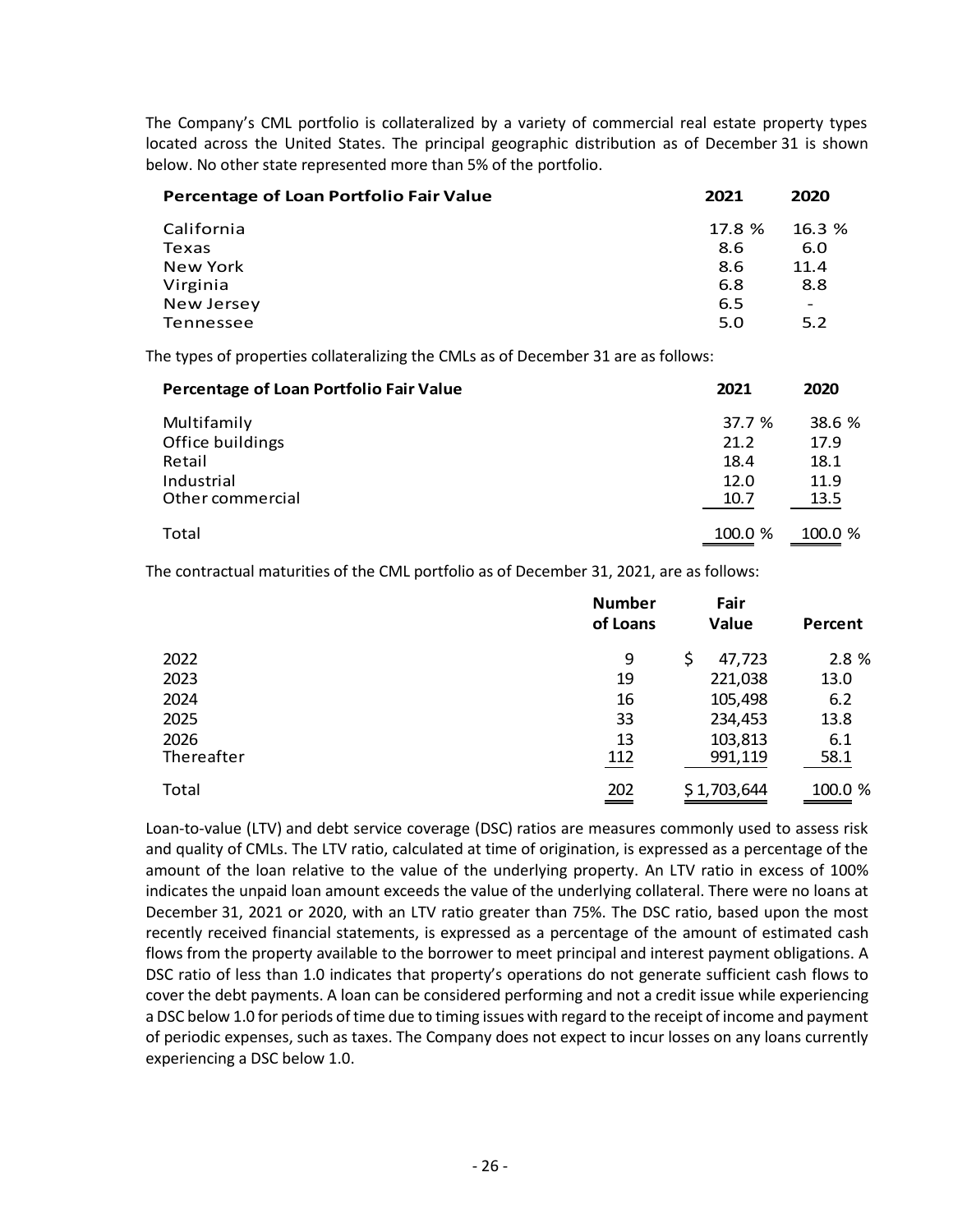The Company's CML portfolio is collateralized by a variety of commercial real estate property types located across the United States. The principal geographic distribution as of December 31 is shown below. No other state represented more than 5% of the portfolio.

| Percentage of Loan Portfolio Fair Value | 2021   | 2020           |
|-----------------------------------------|--------|----------------|
| California                              | 17.8 % | 16.3 %         |
| Texas                                   | 8.6    | 6.0            |
| New York                                | 8.6    | 11.4           |
| Virginia                                | 6.8    | 8.8            |
| New Jersey                              | 6.5    | $\blacksquare$ |
| Tennessee                               | 5.0    | 5.2            |
|                                         |        |                |

The types of properties collateralizing the CMLs as of December 31 are as follows:

| Percentage of Loan Portfolio Fair Value | 2021    | 2020    |
|-----------------------------------------|---------|---------|
| Multifamily                             | 37.7 %  | 38.6 %  |
| Office buildings                        | 21.2    | 17.9    |
| Retail                                  | 18.4    | 18.1    |
| Industrial                              | 12.0    | 11.9    |
| Other commercial                        | 10.7    | 13.5    |
| Total                                   | 100.0 % | 100.0 % |
|                                         |         |         |

The contractual maturities of the CML portfolio as of December 31, 2021, are as follows:

|            | <b>Number</b><br>of Loans | Fair<br>Value | Percent |
|------------|---------------------------|---------------|---------|
| 2022       | 9                         | \$<br>47,723  | 2.8 %   |
| 2023       | 19                        | 221,038       | 13.0    |
| 2024       | 16                        | 105,498       | 6.2     |
| 2025       | 33                        | 234,453       | 13.8    |
| 2026       | 13                        | 103,813       | 6.1     |
| Thereafter | 112                       | 991,119       | 58.1    |
| Total      | 202                       | \$1,703,644   | 100.0 % |

Loan-to-value (LTV) and debt service coverage (DSC) ratios are measures commonly used to assess risk and quality of CMLs. The LTV ratio, calculated at time of origination, is expressed as a percentage of the amount of the loan relative to the value of the underlying property. An LTV ratio in excess of 100% indicates the unpaid loan amount exceeds the value of the underlying collateral. There were no loans at December 31, 2021 or 2020, with an LTV ratio greater than 75%. The DSC ratio, based upon the most recently received financial statements, is expressed as a percentage of the amount of estimated cash flows from the property available to the borrower to meet principal and interest payment obligations. A DSC ratio of less than 1.0 indicates that property's operations do not generate sufficient cash flows to cover the debt payments. A loan can be considered performing and not a credit issue while experiencing a DSC below 1.0 for periods of time due to timing issues with regard to the receipt of income and payment of periodic expenses, such as taxes. The Company does not expect to incur losses on any loans currently experiencing a DSC below 1.0.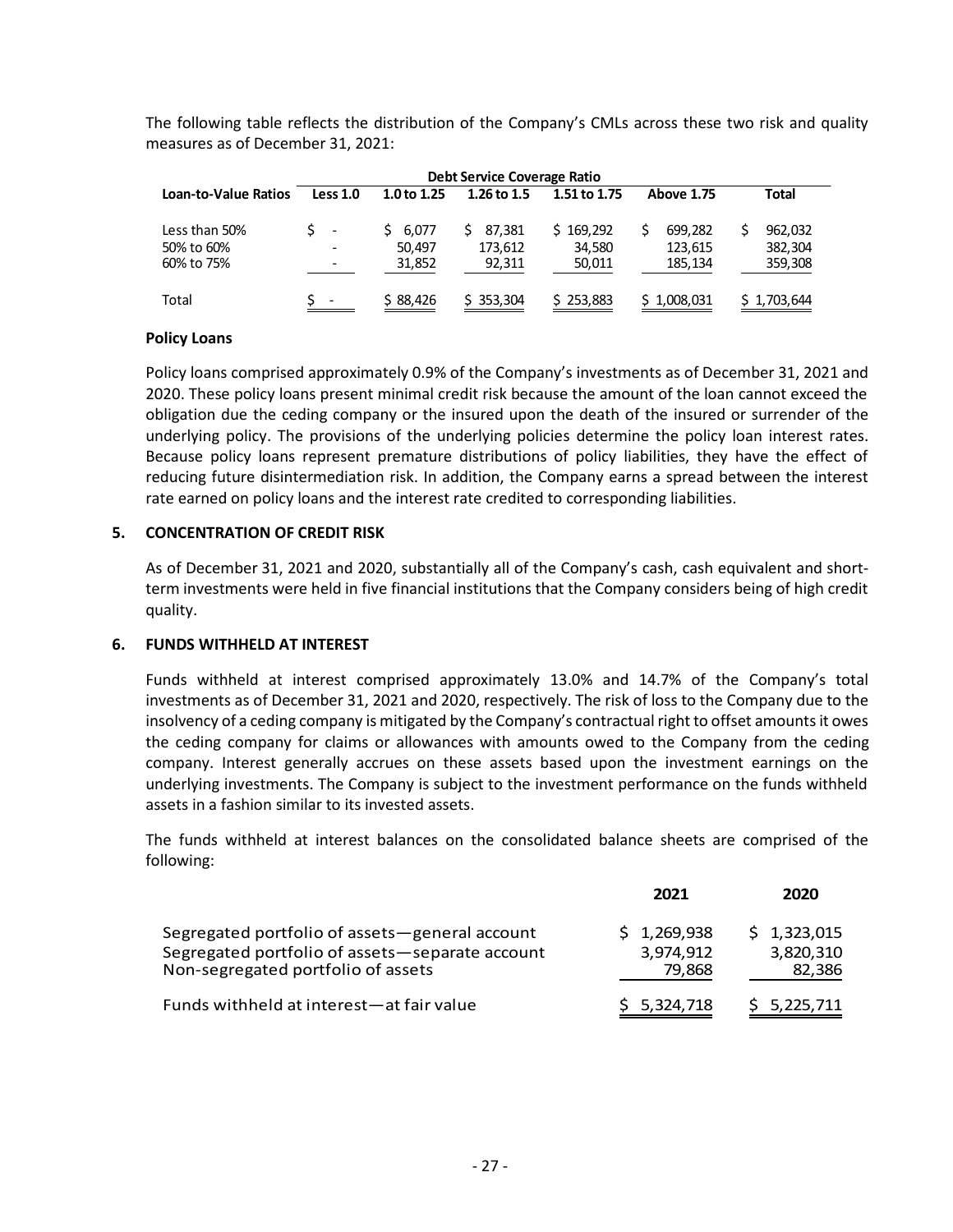| <b>Debt Service Coverage Ratio</b>        |                                                                                  |                           |                             |                                   |                               |                               |
|-------------------------------------------|----------------------------------------------------------------------------------|---------------------------|-----------------------------|-----------------------------------|-------------------------------|-------------------------------|
| <b>Loan-to-Value Ratios</b>               | Less $1.0$                                                                       | 1.0 to 1.25               | 1.26 to 1.5                 | 1.51 to 1.75                      | <b>Above 1.75</b>             | Total                         |
| Less than 50%<br>50% to 60%<br>60% to 75% | $\overline{\phantom{a}}$<br>$\overline{\phantom{a}}$<br>$\overline{\phantom{a}}$ | 6,077<br>50,497<br>31,852 | 87.381<br>173.612<br>92,311 | 169.292<br>S.<br>34.580<br>50,011 | 699.282<br>123,615<br>185,134 | 962,032<br>382,304<br>359,308 |
| Total                                     |                                                                                  | \$88,426                  | 353,304                     | \$253,883                         | \$1,008,031                   | 1,703,644                     |

The following table reflects the distribution of the Company's CMLs across these two risk and quality measures as of December 31, 2021:

#### **Policy Loans**

Policy loans comprised approximately 0.9% of the Company's investments as of December 31, 2021 and 2020. These policy loans present minimal credit risk because the amount of the loan cannot exceed the obligation due the ceding company or the insured upon the death of the insured or surrender of the underlying policy. The provisions of the underlying policies determine the policy loan interest rates. Because policy loans represent premature distributions of policy liabilities, they have the effect of reducing future disintermediation risk. In addition, the Company earns a spread between the interest rate earned on policy loans and the interest rate credited to corresponding liabilities.

#### **5. CONCENTRATION OF CREDIT RISK**

As of December 31, 2021 and 2020, substantially all of the Company's cash, cash equivalent and shortterm investments were held in five financial institutions that the Company considers being of high credit quality.

#### **6. FUNDS WITHHELD AT INTEREST**

Funds withheld at interest comprised approximately 13.0% and 14.7% of the Company's total investments as of December 31, 2021 and 2020, respectively. The risk of loss to the Company due to the insolvency of a ceding company is mitigated by the Company's contractual right to offset amounts it owes the ceding company for claims or allowances with amounts owed to the Company from the ceding company. Interest generally accrues on these assets based upon the investment earnings on the underlying investments. The Company is subject to the investment performance on the funds withheld assets in a fashion similar to its invested assets.

The funds withheld at interest balances on the consolidated balance sheets are comprised of the following:

|                                                                                                                                         | 2021                               | 2020                               |
|-----------------------------------------------------------------------------------------------------------------------------------------|------------------------------------|------------------------------------|
| Segregated portfolio of assets-general account<br>Segregated portfolio of assets-separate account<br>Non-segregated portfolio of assets | \$1,269,938<br>3,974,912<br>79,868 | \$1,323,015<br>3,820,310<br>82,386 |
| Funds withheld at interest-at fair value                                                                                                | \$5,324,718                        | \$5,225,711                        |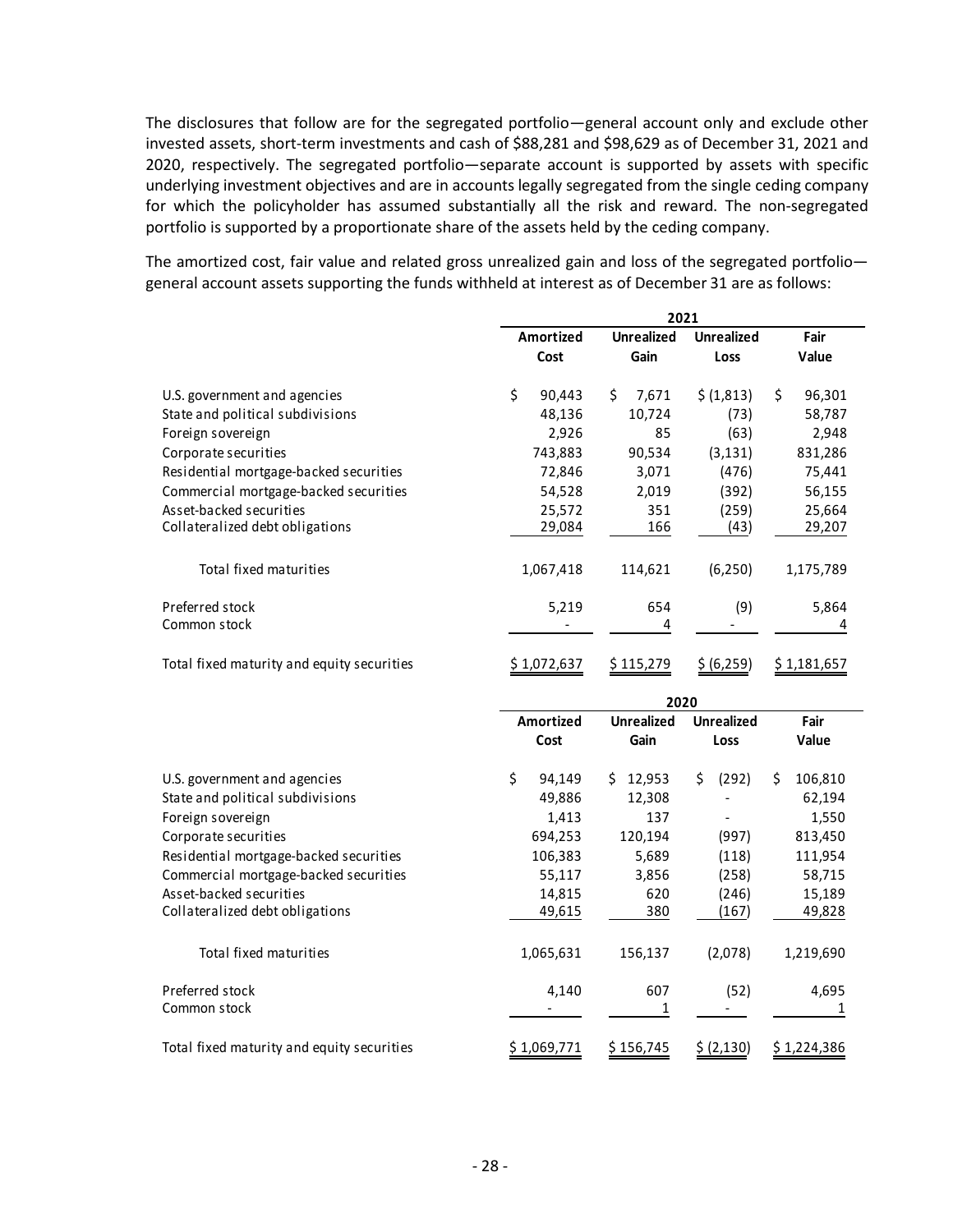The disclosures that follow are for the segregated portfolio—general account only and exclude other invested assets, short-term investments and cash of \$88,281 and \$98,629 as of December 31, 2021 and 2020, respectively. The segregated portfolio—separate account is supported by assets with specific underlying investment objectives and are in accounts legally segregated from the single ceding company for which the policyholder has assumed substantially all the risk and reward. The non-segregated portfolio is supported by a proportionate share of the assets held by the ceding company.

The amortized cost, fair value and related gross unrealized gain and loss of the segregated portfolio general account assets supporting the funds withheld at interest as of December 31 are as follows:

|                                            | 2021         |                   |                   |              |  |
|--------------------------------------------|--------------|-------------------|-------------------|--------------|--|
|                                            | Amortized    | <b>Unrealized</b> | <b>Unrealized</b> | Fair         |  |
|                                            | Cost         | Gain              | Loss              | Value        |  |
| U.S. government and agencies               | \$<br>90,443 | Ś.<br>7,671       | \$ (1,813)        | \$<br>96,301 |  |
| State and political subdivisions           | 48,136       | 10,724            | (73)              | 58,787       |  |
| Foreign sovereign                          | 2,926        | 85                | (63)              | 2,948        |  |
| Corporate securities                       | 743,883      | 90,534            | (3, 131)          | 831,286      |  |
| Residential mortgage-backed securities     | 72,846       | 3,071             | (476)             | 75,441       |  |
| Commercial mortgage-backed securities      | 54,528       | 2,019             | (392)             | 56,155       |  |
| Asset-backed securities                    | 25,572       | 351               | (259)             | 25,664       |  |
| Collateralized debt obligations            | 29,084       | 166               | (43)              | 29,207       |  |
| Total fixed maturities                     | 1,067,418    | 114,621           | (6,250)           | 1,175,789    |  |
| Preferred stock                            | 5,219        | 654               | (9)               | 5,864        |  |
| Common stock                               |              | 4                 |                   | 4            |  |
| Total fixed maturity and equity securities | \$ 1,072,637 | \$ 115,279        | \$ (6,259)        | \$1,181,657  |  |

|                                            | 2020         |                   |                          |               |  |
|--------------------------------------------|--------------|-------------------|--------------------------|---------------|--|
|                                            | Amortized    | <b>Unrealized</b> | <b>Unrealized</b>        | Fair          |  |
|                                            | Cost         | Gain              | Loss                     | Value         |  |
| U.S. government and agencies               | \$<br>94,149 | Ś.<br>12,953      | Ś.<br>(292)              | \$<br>106,810 |  |
| State and political subdivisions           | 49,886       | 12,308            |                          | 62,194        |  |
| Foreign sovereign                          | 1,413        | 137               | $\overline{\phantom{a}}$ | 1,550         |  |
| Corporate securities                       | 694,253      | 120,194           | (997)                    | 813,450       |  |
| Residential mortgage-backed securities     | 106,383      | 5,689             | (118)                    | 111,954       |  |
| Commercial mortgage-backed securities      | 55,117       | 3,856             | (258)                    | 58,715        |  |
| Asset-backed securities                    | 14,815       | 620               | (246)                    | 15,189        |  |
| Collateralized debt obligations            | 49,615       | 380               | (167)                    | 49,828        |  |
| Total fixed maturities                     | 1,065,631    | 156,137           | (2,078)                  | 1,219,690     |  |
| Preferred stock<br>Common stock            | 4,140        | 607               | (52)                     | 4,695         |  |
| Total fixed maturity and equity securities | \$ 1,069,771 | \$ 156,745        | \$ (2,130)               | \$1,224,386   |  |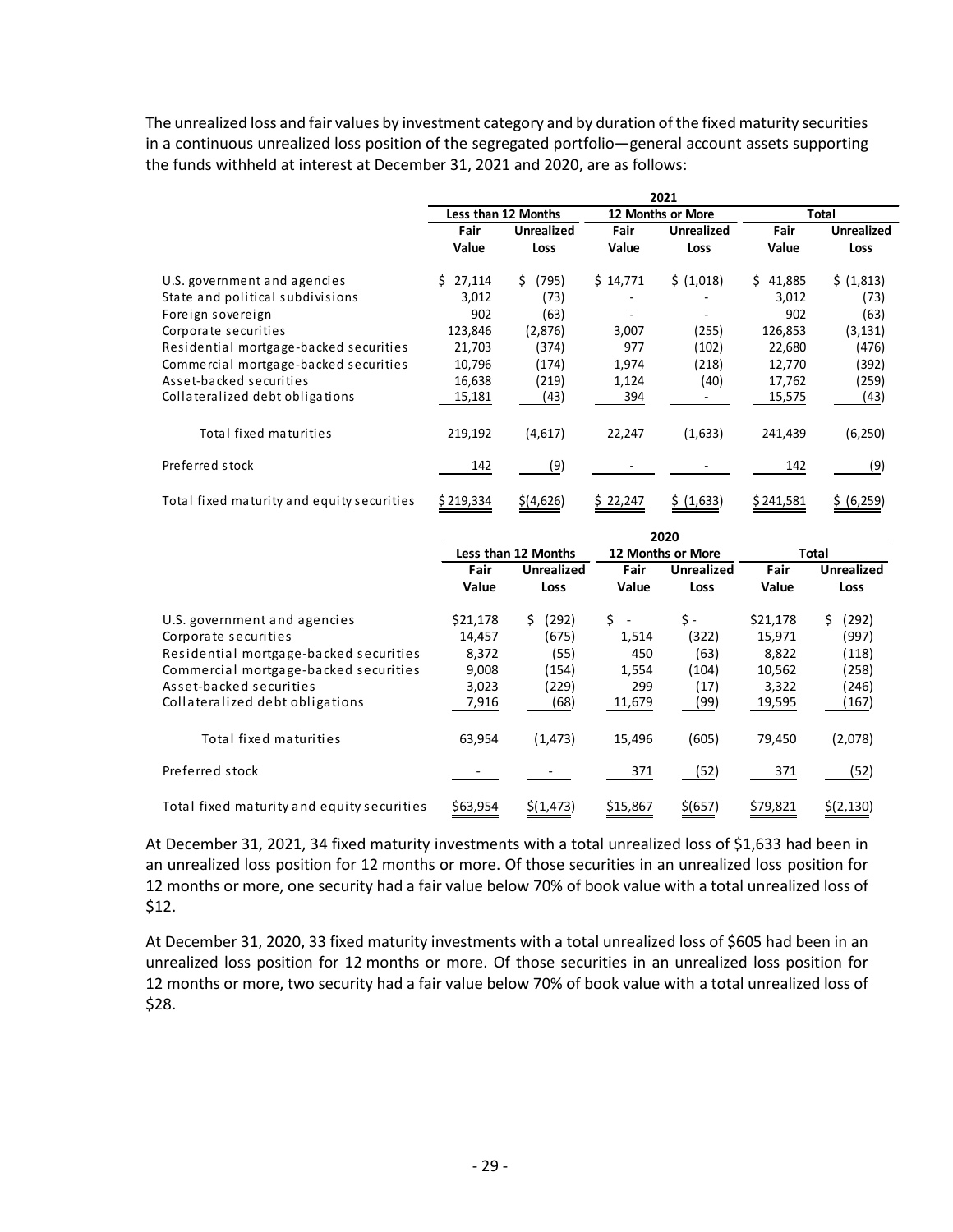The unrealized loss and fair values by investment category and by duration of the fixed maturity securities in a continuous unrealized loss position of the segregated portfolio—general account assets supporting the funds withheld at interest at December 31, 2021 and 2020, are as follows:

|                                            |           |                     |          | 2021              |           |                   |
|--------------------------------------------|-----------|---------------------|----------|-------------------|-----------|-------------------|
|                                            |           | Less than 12 Months |          | 12 Months or More | Total     |                   |
|                                            | Fair      | Unrealized          | Fair     | <b>Unrealized</b> | Fair      | <b>Unrealized</b> |
|                                            | Value     | Loss                | Value    | Loss              | Value     | Loss              |
| U.S. government and agencies               | \$27,114  | (795)<br>S.         | \$14,771 | \$ (1,018)        | \$41,885  | \$ (1,813)        |
| State and political subdivisions           | 3,012     | (73)                |          |                   | 3,012     | (73)              |
| Foreign sovereign                          | 902       | (63)                |          |                   | 902       | (63)              |
| Corporate securities                       | 123,846   | (2,876)             | 3,007    | (255)             | 126,853   | (3,131)           |
| Residential mortgage-backed securities     | 21,703    | (374)               | 977      | (102)             | 22,680    | (476)             |
| Commercial mortgage-backed securities      | 10,796    | (174)               | 1,974    | (218)             | 12,770    | (392)             |
| Asset-backed securities                    | 16,638    | (219)               | 1,124    | (40)              | 17,762    | (259)             |
| Collateralized debt obligations            | 15,181    | (43)                | 394      |                   | 15,575    | (43)              |
| Total fixed maturities                     | 219,192   | (4,617)             | 22,247   | (1,633)           | 241,439   | (6,250)           |
| Preferred stock                            | 142       | (9)                 |          |                   | 142       | (9)               |
| Total fixed maturity and equity securities | \$219,334 | \$(4,626)           | \$22,247 | \$ (1,633)        | \$241,581 | \$ (6,259)        |

|                                            |          |                     |                   | 2020              |              |                   |
|--------------------------------------------|----------|---------------------|-------------------|-------------------|--------------|-------------------|
|                                            |          | Less than 12 Months | 12 Months or More |                   | <b>Total</b> |                   |
|                                            | Fair     | <b>Unrealized</b>   | Fair              | <b>Unrealized</b> | Fair         | <b>Unrealized</b> |
|                                            | Value    | Loss                | Value             | Loss              | Value        | <b>Loss</b>       |
| U.S. government and agencies               | \$21,178 | (292)<br>Ś.         | \$ -              | \$ -              | \$21,178     | Ś.<br>(292)       |
| Corporate securities                       | 14,457   | (675)               | 1,514             | (322)             | 15,971       | (997)             |
| Residential mortgage-backed securities     | 8,372    | (55)                | 450               | (63)              | 8,822        | (118)             |
| Commercial mortgage-backed securities      | 9,008    | (154)               | 1,554             | (104)             | 10,562       | (258)             |
| Asset-backed securities                    | 3,023    | (229)               | 299               | (17)              | 3,322        | (246)             |
| Collateralized debt obligations            | 7,916    | (68)                | 11,679            | (99)              | 19,595       | (167)             |
| Total fixed maturities                     | 63,954   | (1, 473)            | 15,496            | (605)             | 79,450       | (2,078)           |
| Preferred stock                            |          |                     | 371               | (52)              | 371          | (52)              |
| Total fixed maturity and equity securities | \$63,954 | \$(1, 473)          | \$15,867          | \$(657)           | \$79,821     | \$(2, 130)        |

At December 31, 2021, 34 fixed maturity investments with a total unrealized loss of \$1,633 had been in an unrealized loss position for 12 months or more. Of those securities in an unrealized loss position for 12 months or more, one security had a fair value below 70% of book value with a total unrealized loss of \$12.

At December 31, 2020, 33 fixed maturity investments with a total unrealized loss of \$605 had been in an unrealized loss position for 12 months or more. Of those securities in an unrealized loss position for 12 months or more, two security had a fair value below 70% of book value with a total unrealized loss of \$28.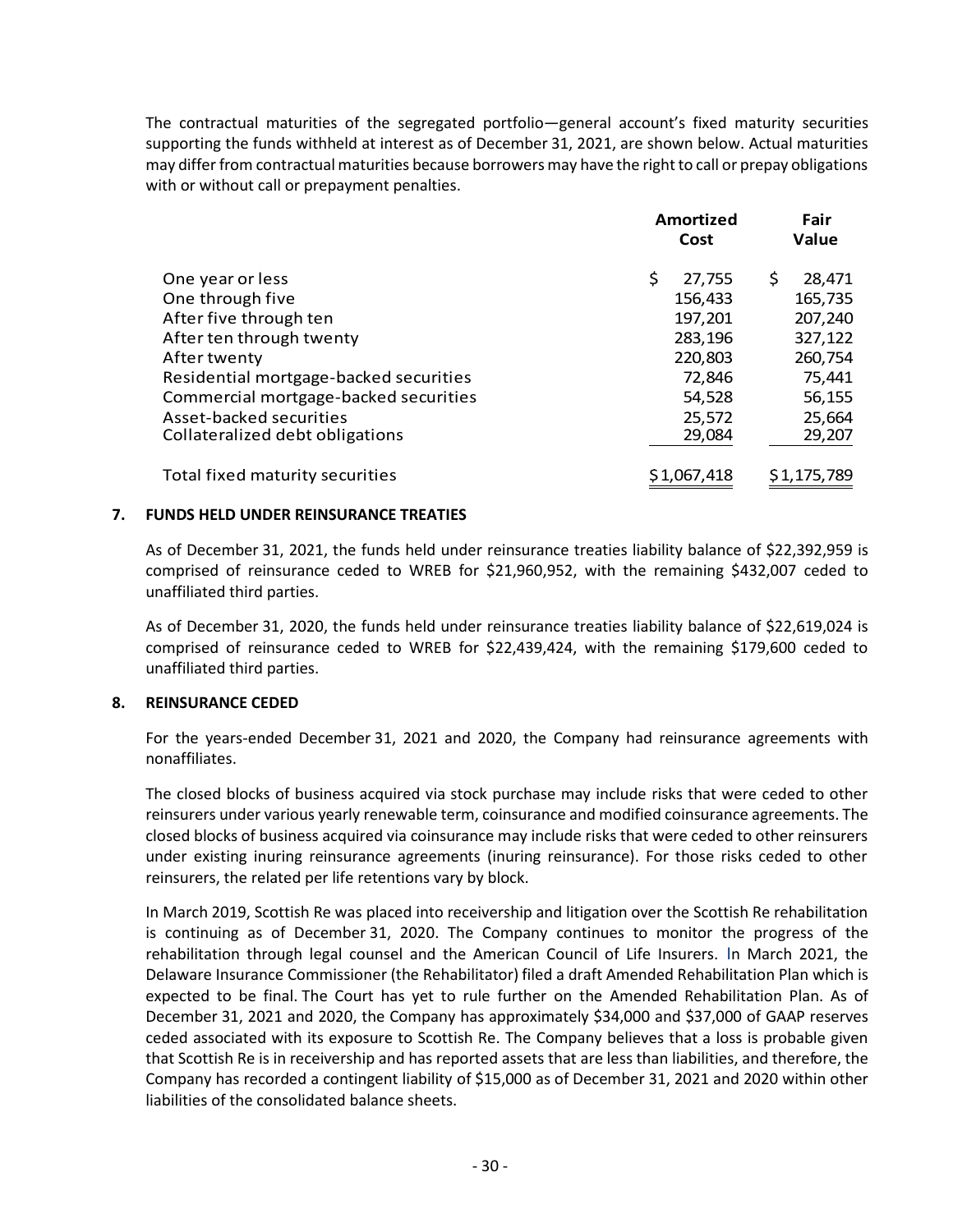The contractual maturities of the segregated portfolio—general account's fixed maturity securities supporting the funds withheld at interest as of December 31, 2021, are shown below. Actual maturities may differ from contractual maturities because borrowers may have the right to call or prepay obligations with or without call or prepayment penalties.

|                                        | Amortized<br>Cost | Fair<br>Value |
|----------------------------------------|-------------------|---------------|
| One year or less                       | \$<br>27,755      | \$<br>28,471  |
| One through five                       | 156,433           | 165,735       |
| After five through ten                 | 197,201           | 207,240       |
| After ten through twenty               | 283,196           | 327,122       |
| After twenty                           | 220,803           | 260,754       |
| Residential mortgage-backed securities | 72,846            | 75,441        |
| Commercial mortgage-backed securities  | 54,528            | 56,155        |
| Asset-backed securities                | 25,572            | 25,664        |
| Collateralized debt obligations        | 29,084            | 29,207        |
| Total fixed maturity securities        | \$1,067,418       | \$1,175,789   |

#### **7. FUNDS HELD UNDER REINSURANCE TREATIES**

As of December 31, 2021, the funds held under reinsurance treaties liability balance of \$22,392,959 is comprised of reinsurance ceded to WREB for \$21,960,952, with the remaining \$432,007 ceded to unaffiliated third parties.

As of December 31, 2020, the funds held under reinsurance treaties liability balance of \$22,619,024 is comprised of reinsurance ceded to WREB for \$22,439,424, with the remaining \$179,600 ceded to unaffiliated third parties.

#### **8. REINSURANCE CEDED**

For the years-ended December 31, 2021 and 2020, the Company had reinsurance agreements with nonaffiliates.

The closed blocks of business acquired via stock purchase may include risks that were ceded to other reinsurers under various yearly renewable term, coinsurance and modified coinsurance agreements. The closed blocks of business acquired via coinsurance may include risks that were ceded to other reinsurers under existing inuring reinsurance agreements (inuring reinsurance). For those risks ceded to other reinsurers, the related per life retentions vary by block.

In March 2019, Scottish Re was placed into receivership and litigation over the Scottish Re rehabilitation is continuing as of December 31, 2020. The Company continues to monitor the progress of the rehabilitation through legal counsel and the American Council of Life Insurers. In March 2021, the Delaware Insurance Commissioner (the Rehabilitator) filed a draft Amended Rehabilitation Plan which is expected to be final. The Court has yet to rule further on the Amended Rehabilitation Plan. As of December 31, 2021 and 2020, the Company has approximately \$34,000 and \$37,000 of GAAP reserves ceded associated with its exposure to Scottish Re. The Company believes that a loss is probable given that Scottish Re is in receivership and has reported assets that are less than liabilities, and therefore, the Company has recorded a contingent liability of \$15,000 as of December 31, 2021 and 2020 within other liabilities of the consolidated balance sheets.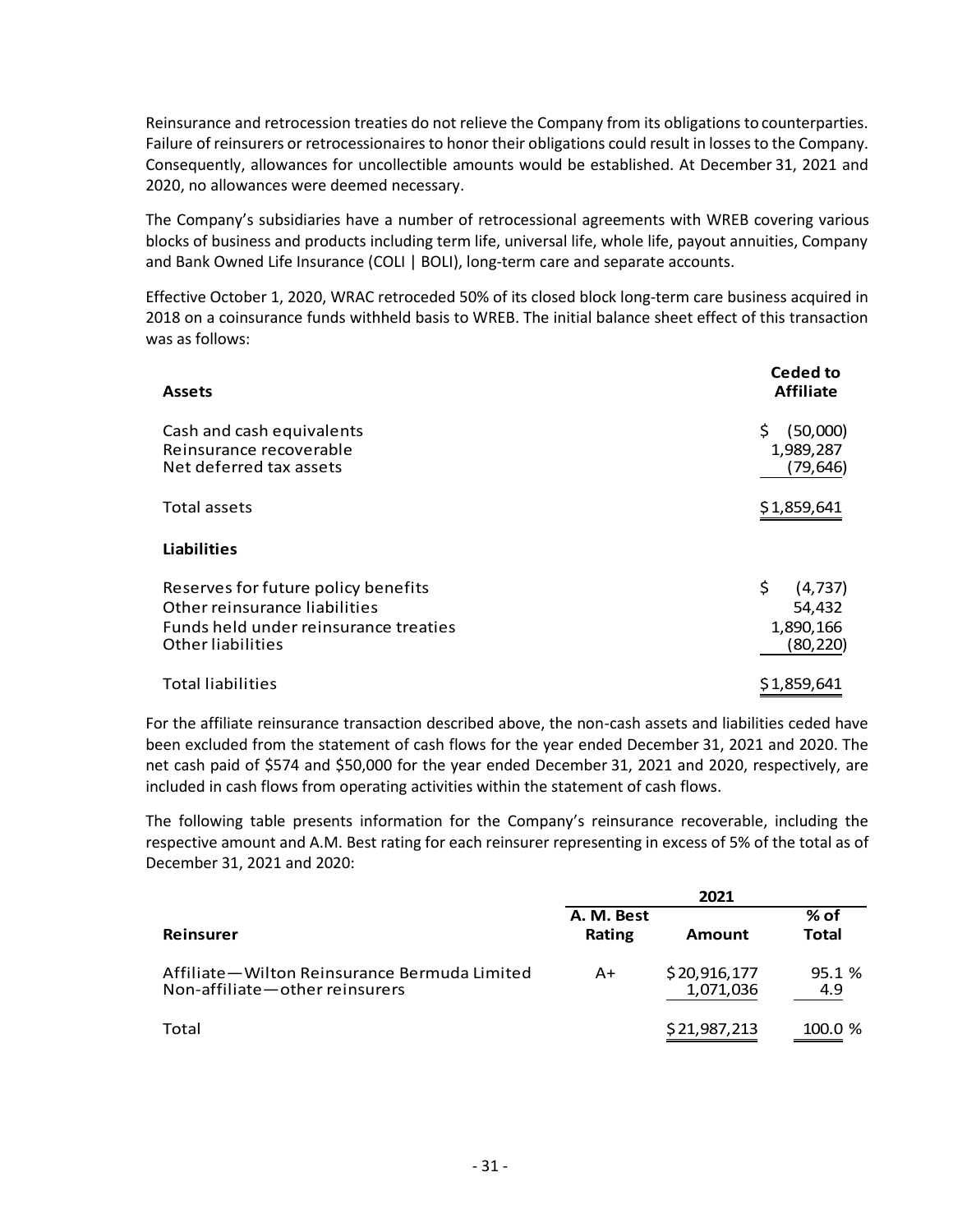Reinsurance and retrocession treaties do not relieve the Company from its obligations to counterparties. Failure of reinsurers or retrocessionaires to honor their obligations could result in losses to the Company. Consequently, allowances for uncollectible amounts would be established. At December 31, 2021 and 2020, no allowances were deemed necessary.

The Company's subsidiaries have a number of retrocessional agreements with WREB covering various blocks of business and products including term life, universal life, whole life, payout annuities, Company and Bank Owned Life Insurance (COLI | BOLI), long-term care and separate accounts.

Effective October 1, 2020, WRAC retroceded 50% of its closed block long-term care business acquired in 2018 on a coinsurance funds withheld basis to WREB. The initial balance sheet effect of this transaction was as follows:

| <b>Assets</b>                                                                                                                      | Ceded to<br><b>Affiliate</b>                        |
|------------------------------------------------------------------------------------------------------------------------------------|-----------------------------------------------------|
| Cash and cash equivalents<br>Reinsurance recoverable<br>Net deferred tax assets                                                    | S.<br>(50,000)<br>1,989,287<br>(79, 646)            |
| Total assets                                                                                                                       | \$1,859,641                                         |
| Liabilities                                                                                                                        |                                                     |
| Reserves for future policy benefits<br>Other reinsurance liabilities<br>Funds held under reinsurance treaties<br>Other liabilities | \$.<br>(4, 737)<br>54,432<br>1,890,166<br>(80, 220) |
| <b>Total liabilities</b>                                                                                                           | \$1,859,641                                         |

For the affiliate reinsurance transaction described above, the non-cash assets and liabilities ceded have been excluded from the statement of cash flows for the year ended December 31, 2021 and 2020. The net cash paid of \$574 and \$50,000 for the year ended December 31, 2021 and 2020, respectively, are included in cash flows from operating activities within the statement of cash flows.

The following table presents information for the Company's reinsurance recoverable, including the respective amount and A.M. Best rating for each reinsurer representing in excess of 5% of the total as of December 31, 2021 and 2020:

|                                                                                |                      | 2021                      |                      |
|--------------------------------------------------------------------------------|----------------------|---------------------------|----------------------|
| Reinsurer                                                                      | A. M. Best<br>Rating | Amount                    | % of<br><b>Total</b> |
| Affiliate-Wilton Reinsurance Bermuda Limited<br>Non-affiliate-other reinsurers | A+                   | \$20,916,177<br>1,071,036 | 95.1 %<br>4.9        |
| Total                                                                          |                      | \$21,987,213              | 100.0 %              |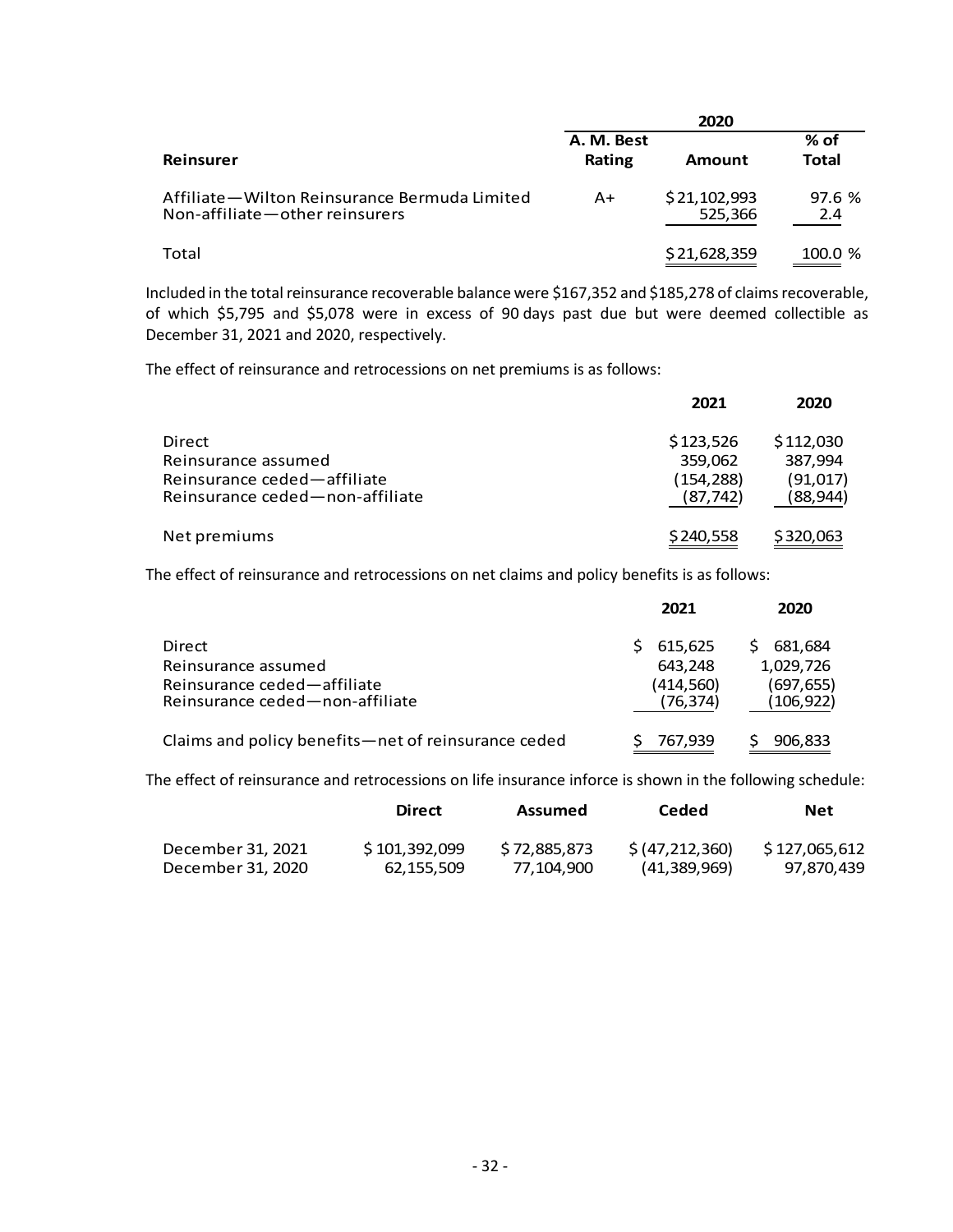|                                                                                  | 2020                 |                         |                 |
|----------------------------------------------------------------------------------|----------------------|-------------------------|-----------------|
| Reinsurer                                                                        | A. M. Best<br>Rating | <b>Amount</b>           | $%$ of<br>Total |
| Affiliate – Wilton Reinsurance Bermuda Limited<br>Non-affiliate-other reinsurers | A+                   | \$21,102,993<br>525,366 | 97.6%<br>2.4    |
| Total                                                                            |                      | \$21,628,359            | 100.0 %         |

Included in the total reinsurance recoverable balance were \$167,352 and \$185,278 of claims recoverable, of which \$5,795 and \$5,078 were in excess of 90 days past due but were deemed collectible as December 31, 2021 and 2020, respectively.

The effect of reinsurance and retrocessions on net premiums is as follows:

|                                                                | 2021                   | 2020                  |
|----------------------------------------------------------------|------------------------|-----------------------|
| Direct                                                         | \$123,526              | \$112,030             |
| Reinsurance assumed                                            | 359,062                | 387,994               |
| Reinsurance ceded-affiliate<br>Reinsurance ceded-non-affiliate | (154,288)<br>(87, 742) | (91, 017)<br>(88,944) |
| Net premiums                                                   | \$240,558              | \$320,063             |

The effect of reinsurance and retrocessions on net claims and policy benefits is as follows:

|                                                     | 2021          | 2020       |
|-----------------------------------------------------|---------------|------------|
| Direct                                              | 615,625<br>S. | 681.684    |
| Reinsurance assumed                                 | 643.248       | 1,029,726  |
| Reinsurance ceded-affiliate                         | (414, 560)    | (697, 655) |
| Reinsurance ceded-non-affiliate                     | (76,374)      | (106,922)  |
| Claims and policy benefits—net of reinsurance ceded | 767,939       | 906,833    |

The effect of reinsurance and retrocessions on life insurance inforce is shown in the following schedule:

|                   | <b>Direct</b> | Assumed      | Ceded             | Net           |
|-------------------|---------------|--------------|-------------------|---------------|
| December 31, 2021 | \$101.392.099 | \$72,885,873 | \$ (47, 212, 360) | \$127,065,612 |
| December 31, 2020 | 62.155.509    | 77.104.900   | (41,389,969)      | 97,870,439    |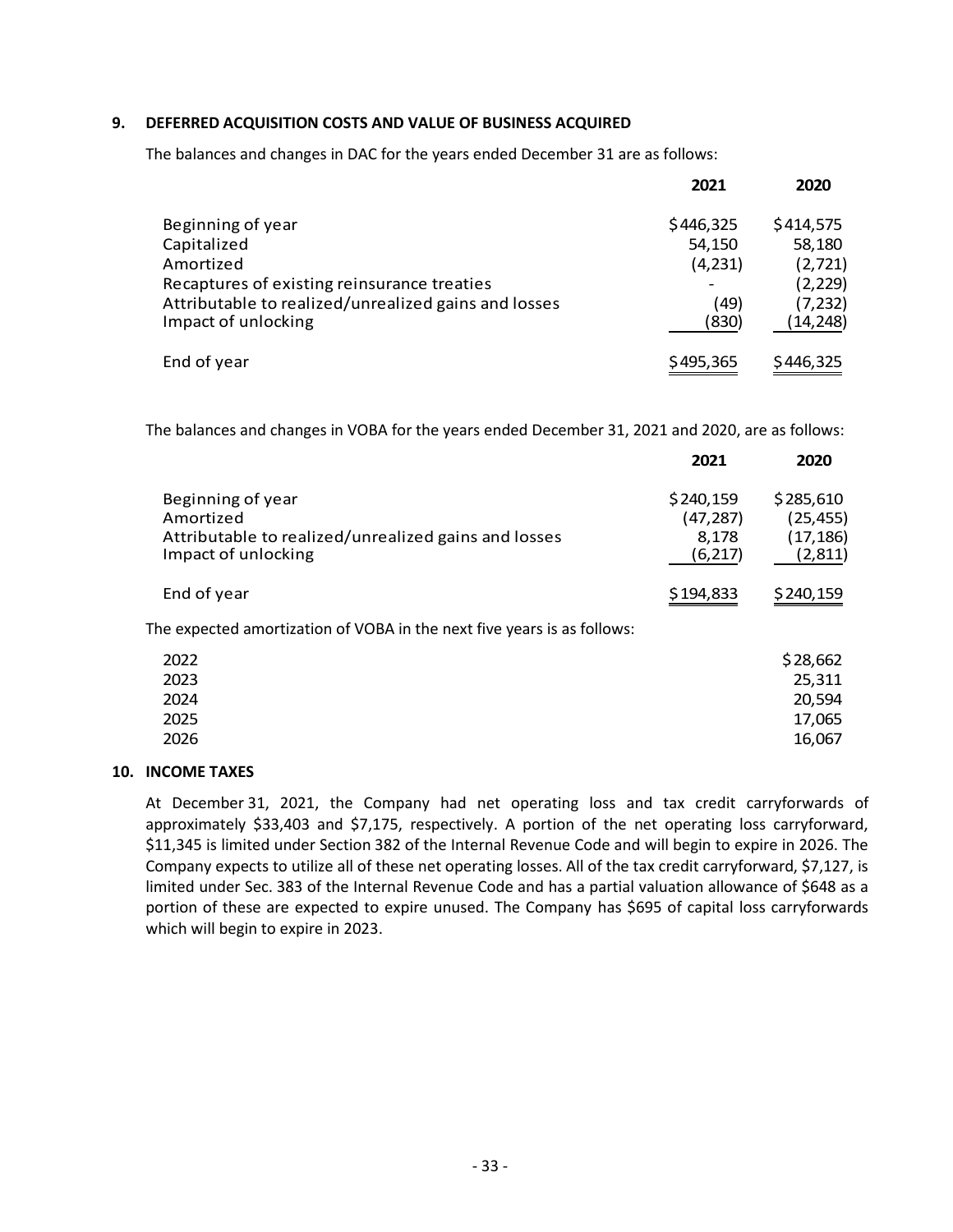#### **9. DEFERRED ACQUISITION COSTS AND VALUE OF BUSINESS ACQUIRED**

The balances and changes in DAC for the years ended December 31 are as follows:

|                                                      | 2021      | 2020      |
|------------------------------------------------------|-----------|-----------|
| Beginning of year                                    | \$446,325 | \$414,575 |
| Capitalized                                          | 54,150    | 58,180    |
| Amortized                                            | (4,231)   | (2, 721)  |
| Recaptures of existing reinsurance treaties          |           | (2, 229)  |
| Attributable to realized/unrealized gains and losses | (49)      | (7, 232)  |
| Impact of unlocking                                  | (830)     | (14,248)  |
| End of year                                          | \$495,365 | \$446,325 |

The balances and changes in VOBA for the years ended December 31, 2021 and 2020, are as follows:

|                                                                                                               | 2021                                       | 2020                                           |
|---------------------------------------------------------------------------------------------------------------|--------------------------------------------|------------------------------------------------|
| Beginning of year<br>Amortized<br>Attributable to realized/unrealized gains and losses<br>Impact of unlocking | \$240,159<br>(47, 287)<br>8,178<br>(6,217) | \$285,610<br>(25, 455)<br>(17, 186)<br>(2,811) |
| End of year                                                                                                   | \$194,833                                  | \$240,159                                      |
| The expected amortization of VOBA in the next five years is as follows:                                       |                                            |                                                |
| 2022                                                                                                          |                                            | \$28,662                                       |
| 2023                                                                                                          |                                            | 25,311                                         |
| 2024                                                                                                          |                                            | 20,594                                         |
| 2025                                                                                                          |                                            | 17,065                                         |
| 2026                                                                                                          |                                            | 16,067                                         |

#### **10. INCOME TAXES**

At December 31, 2021, the Company had net operating loss and tax credit carryforwards of approximately \$33,403 and \$7,175, respectively. A portion of the net operating loss carryforward, \$11,345 is limited under Section 382 of the Internal Revenue Code and will begin to expire in 2026. The Company expects to utilize all of these net operating losses. All of the tax credit carryforward, \$7,127, is limited under Sec. 383 of the Internal Revenue Code and has a partial valuation allowance of \$648 as a portion of these are expected to expire unused. The Company has \$695 of capital loss carryforwards which will begin to expire in 2023.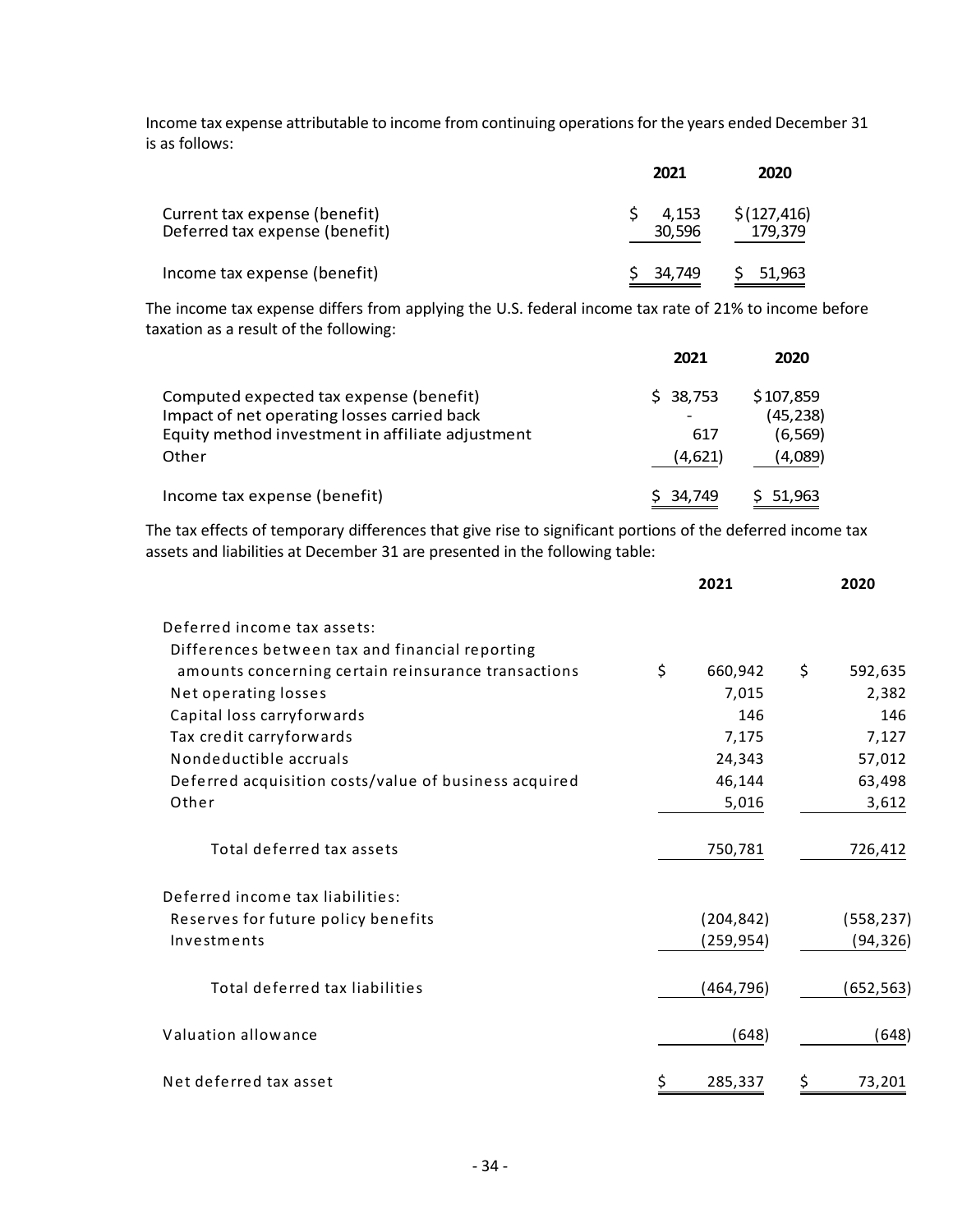Income tax expense attributable to income from continuing operations for the years ended December 31 is as follows:

|                                                                 | 2021            | 2020                    |
|-----------------------------------------------------------------|-----------------|-------------------------|
| Current tax expense (benefit)<br>Deferred tax expense (benefit) | 4.153<br>30,596 | \$(127, 416)<br>179,379 |
| Income tax expense (benefit)                                    | 34,749          | 51,963                  |

The income tax expense differs from applying the U.S. federal income tax rate of 21% to income before taxation as a result of the following:

|                                                  | 2021     | 2020      |
|--------------------------------------------------|----------|-----------|
| Computed expected tax expense (benefit)          | \$38,753 | \$107,859 |
| Impact of net operating losses carried back      |          | (45, 238) |
| Equity method investment in affiliate adjustment | 617      | (6, 569)  |
| Other                                            | (4.621)  | (4,089)   |
| Income tax expense (benefit)                     | 34,749   | 51,963    |

The tax effects of temporary differences that give rise to significant portions of the deferred income tax assets and liabilities at December 31 are presented in the following table:

|                                                       | 2021          | 2020          |
|-------------------------------------------------------|---------------|---------------|
| Deferred income tax assets:                           |               |               |
| Differences between tax and financial reporting       |               |               |
| amounts concerning certain reinsurance transactions   | \$<br>660,942 | \$<br>592,635 |
| Net operating losses                                  | 7,015         | 2,382         |
| Capital loss carryforwards                            | 146           | 146           |
| Tax credit carryforwards                              | 7,175         | 7,127         |
| Nondeductible accruals                                | 24,343        | 57,012        |
| Deferred acquisition costs/value of business acquired | 46,144        | 63,498        |
| Other                                                 | 5,016         | 3,612         |
| Total deferred tax assets                             | 750,781       | 726,412       |
| Deferred income tax liabilities:                      |               |               |
| Reserves for future policy benefits                   | (204, 842)    | (558, 237)    |
| Investments                                           | (259,954)     | (94,326)      |
| Total deferred tax liabilities                        | (464,796)     | (652, 563)    |
| Valuation allowance                                   | (648)         | (648)         |
| Net deferred tax asset                                | \$<br>285,337 | \$<br>73,201  |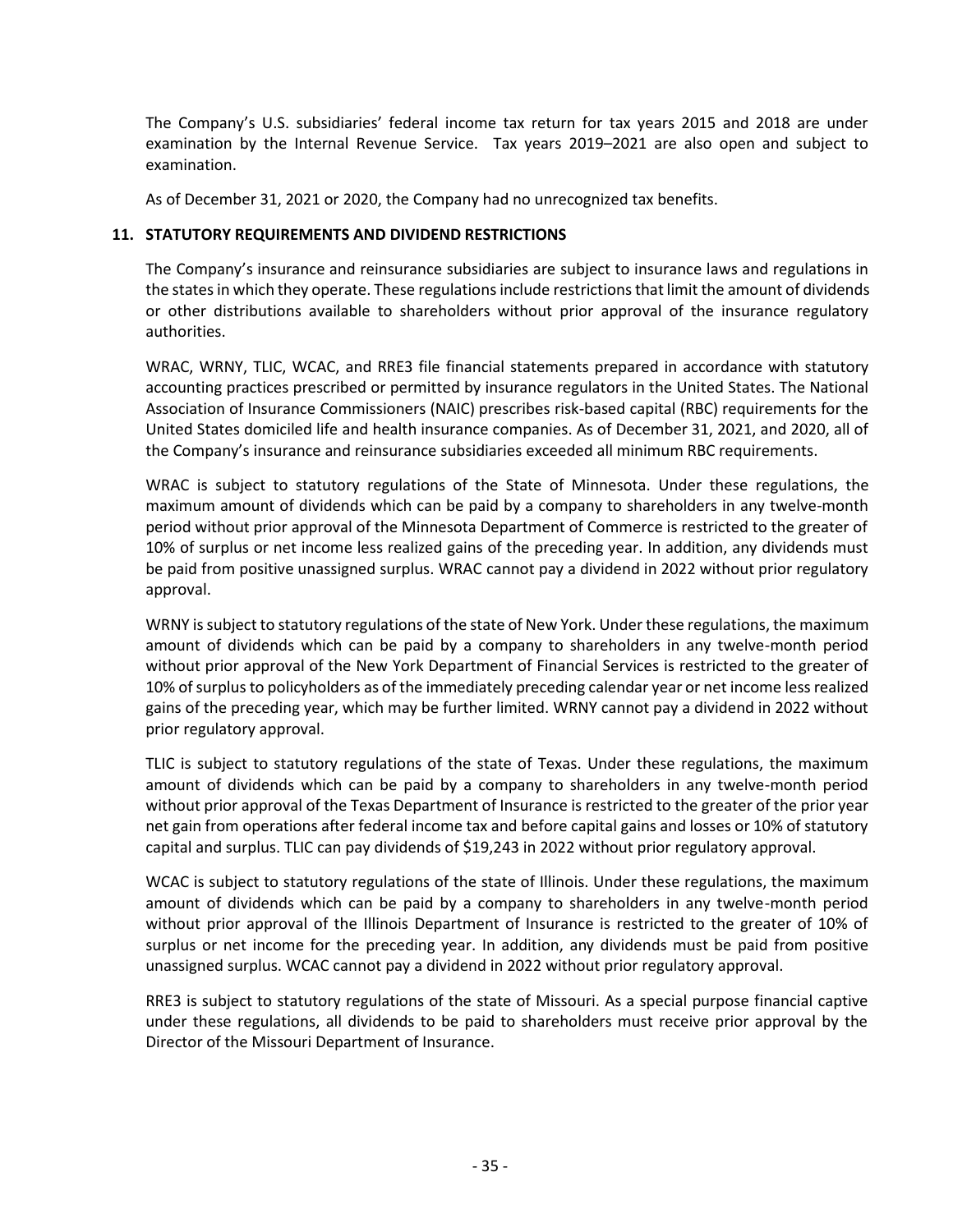The Company's U.S. subsidiaries' federal income tax return for tax years 2015 and 2018 are under examination by the Internal Revenue Service. Tax years 2019–2021 are also open and subject to examination.

As of December 31, 2021 or 2020, the Company had no unrecognized tax benefits.

#### **11. STATUTORY REQUIREMENTS AND DIVIDEND RESTRICTIONS**

The Company's insurance and reinsurance subsidiaries are subject to insurance laws and regulations in the states in which they operate. These regulations include restrictions that limit the amount of dividends or other distributions available to shareholders without prior approval of the insurance regulatory authorities.

WRAC, WRNY, TLIC, WCAC, and RRE3 file financial statements prepared in accordance with statutory accounting practices prescribed or permitted by insurance regulators in the United States. The National Association of Insurance Commissioners (NAIC) prescribes risk-based capital (RBC) requirements for the United States domiciled life and health insurance companies. As of December 31, 2021, and 2020, all of the Company's insurance and reinsurance subsidiaries exceeded all minimum RBC requirements.

WRAC is subject to statutory regulations of the State of Minnesota. Under these regulations, the maximum amount of dividends which can be paid by a company to shareholders in any twelve-month period without prior approval of the Minnesota Department of Commerce is restricted to the greater of 10% of surplus or net income less realized gains of the preceding year. In addition, any dividends must be paid from positive unassigned surplus. WRAC cannot pay a dividend in 2022 without prior regulatory approval.

WRNY is subject to statutory regulations of the state of New York. Under these regulations, the maximum amount of dividends which can be paid by a company to shareholders in any twelve-month period without prior approval of the New York Department of Financial Services is restricted to the greater of 10% of surplus to policyholders as of the immediately preceding calendar year or net income less realized gains of the preceding year, which may be further limited. WRNY cannot pay a dividend in 2022 without prior regulatory approval.

TLIC is subject to statutory regulations of the state of Texas. Under these regulations, the maximum amount of dividends which can be paid by a company to shareholders in any twelve-month period without prior approval of the Texas Department of Insurance is restricted to the greater of the prior year net gain from operations after federal income tax and before capital gains and losses or 10% of statutory capital and surplus. TLIC can pay dividends of \$19,243 in 2022 without prior regulatory approval.

WCAC is subject to statutory regulations of the state of Illinois. Under these regulations, the maximum amount of dividends which can be paid by a company to shareholders in any twelve-month period without prior approval of the Illinois Department of Insurance is restricted to the greater of 10% of surplus or net income for the preceding year. In addition, any dividends must be paid from positive unassigned surplus. WCAC cannot pay a dividend in 2022 without prior regulatory approval.

RRE3 is subject to statutory regulations of the state of Missouri. As a special purpose financial captive under these regulations, all dividends to be paid to shareholders must receive prior approval by the Director of the Missouri Department of Insurance.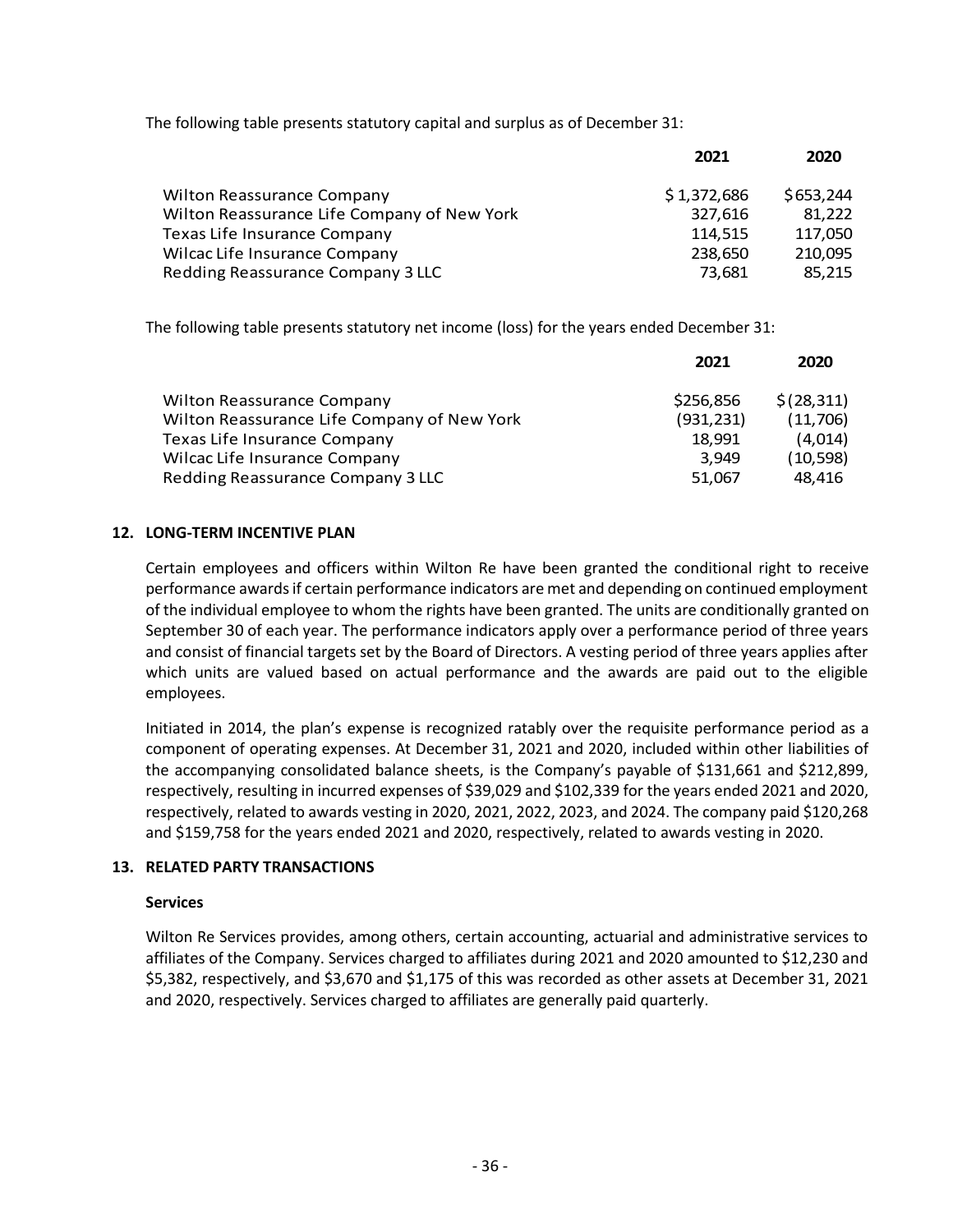The following table presents statutory capital and surplus as of December 31:

|                                             | 2021        | 2020      |
|---------------------------------------------|-------------|-----------|
| Wilton Reassurance Company                  | \$1,372,686 | \$653,244 |
| Wilton Reassurance Life Company of New York | 327,616     | 81,222    |
| Texas Life Insurance Company                | 114.515     | 117,050   |
| Wilcac Life Insurance Company               | 238.650     | 210.095   |
| Redding Reassurance Company 3 LLC           | 73.681      | 85,215    |
|                                             |             |           |

The following table presents statutory net income (loss) for the years ended December 31:

|                                             | 2021       | 2020        |
|---------------------------------------------|------------|-------------|
| <b>Wilton Reassurance Company</b>           | \$256,856  | \$(28, 311) |
| Wilton Reassurance Life Company of New York | (931, 231) | (11,706)    |
| Texas Life Insurance Company                | 18.991     | (4,014)     |
| Wilcac Life Insurance Company               | 3.949      | (10, 598)   |
| Redding Reassurance Company 3 LLC           | 51,067     | 48.416      |

#### **12. LONG-TERM INCENTIVE PLAN**

Certain employees and officers within Wilton Re have been granted the conditional right to receive performance awards if certain performance indicators are met and depending on continued employment of the individual employee to whom the rights have been granted. The units are conditionally granted on September 30 of each year. The performance indicators apply over a performance period of three years and consist of financial targets set by the Board of Directors. A vesting period of three years applies after which units are valued based on actual performance and the awards are paid out to the eligible employees.

Initiated in 2014, the plan's expense is recognized ratably over the requisite performance period as a component of operating expenses. At December 31, 2021 and 2020, included within other liabilities of the accompanying consolidated balance sheets, is the Company's payable of \$131,661 and \$212,899, respectively, resulting in incurred expenses of \$39,029 and \$102,339 for the years ended 2021 and 2020, respectively, related to awards vesting in 2020, 2021, 2022, 2023, and 2024. The company paid \$120,268 and \$159,758 for the years ended 2021 and 2020, respectively, related to awards vesting in 2020.

#### **13. RELATED PARTY TRANSACTIONS**

#### **Services**

Wilton Re Services provides, among others, certain accounting, actuarial and administrative services to affiliates of the Company. Services charged to affiliates during 2021 and 2020 amounted to \$12,230 and \$5,382, respectively, and \$3,670 and \$1,175 of this was recorded as other assets at December 31, 2021 and 2020, respectively. Services charged to affiliates are generally paid quarterly.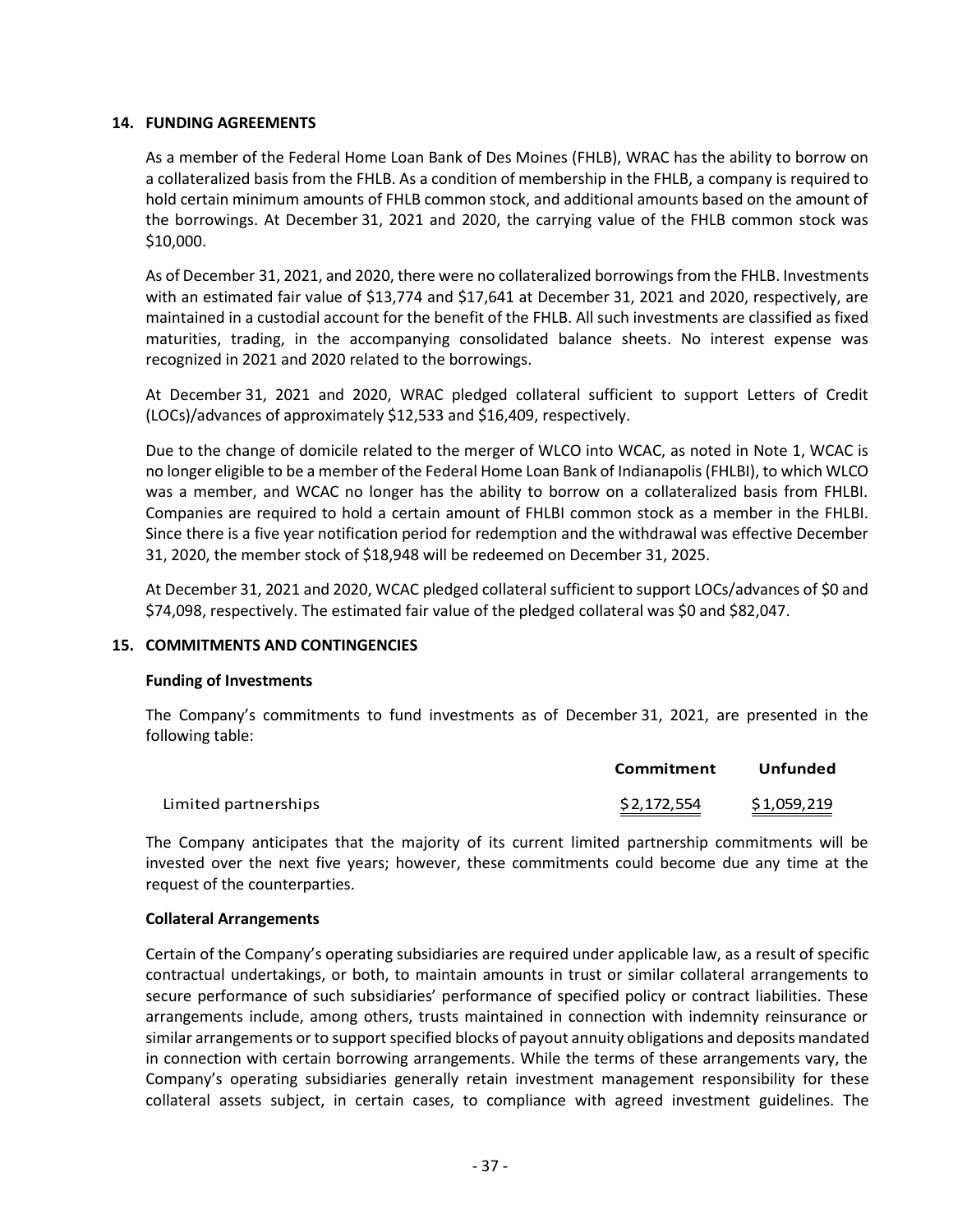#### **14. FUNDING AGREEMENTS**

As a member of the Federal Home Loan Bank of Des Moines (FHLB), WRAC has the ability to borrow on a collateralized basis from the FHLB. As a condition of membership in the FHLB, a company is required to hold certain minimum amounts of FHLB common stock, and additional amounts based on the amount of the borrowings. At December 31, 2021 and 2020, the carrying value of the FHLB common stock was \$10,000.

As of December 31, 2021, and 2020, there were no collateralized borrowings from the FHLB. Investments with an estimated fair value of \$13,774 and \$17,641 at December 31, 2021 and 2020, respectively, are maintained in a custodial account for the benefit of the FHLB. All such investments are classified as fixed maturities, trading, in the accompanying consolidated balance sheets. No interest expense was recognized in 2021 and 2020 related to the borrowings.

At December 31, 2021 and 2020, WRAC pledged collateral sufficient to support Letters of Credit (LOCs)/advances of approximately \$12,533 and \$16,409, respectively.

Due to the change of domicile related to the merger of WLCO into WCAC, as noted in Note 1, WCAC is no longer eligible to be a member of the Federal Home Loan Bank of Indianapolis (FHLBI), to which WLCO was a member, and WCAC no longer has the ability to borrow on a collateralized basis from FHLBI. Companies are required to hold a certain amount of FHLBI common stock as a member in the FHLBI. Since there is a five year notification period for redemption and the withdrawal was effective December 31, 2020, the member stock of \$18,948 will be redeemed on December 31, 2025.

At December 31, 2021 and 2020, WCAC pledged collateral sufficient to support LOCs/advances of \$0 and \$74,098, respectively. The estimated fair value of the pledged collateral was \$0 and \$82,047.

#### **15. COMMITMENTS AND CONTINGENCIES**

#### **Funding of Investments**

The Company's commitments to fund investments as of December 31, 2021, are presented in the following table:

|                      | Commitment  | Unfunded    |
|----------------------|-------------|-------------|
| Limited partnerships | \$2,172,554 | \$1,059,219 |

The Company anticipates that the majority of its current limited partnership commitments will be invested over the next five years; however, these commitments could become due any time at the request of the counterparties.

#### **Collateral Arrangements**

Certain of the Company's operating subsidiaries are required under applicable law, as a result of specific contractual undertakings, or both, to maintain amounts in trust or similar collateral arrangements to secure performance of such subsidiaries' performance of specified policy or contract liabilities. These arrangements include, among others, trusts maintained in connection with indemnity reinsurance or similar arrangements or to support specified blocks of payout annuity obligations and deposits mandated in connection with certain borrowing arrangements. While the terms of these arrangements vary, the Company's operating subsidiaries generally retain investment management responsibility for these collateral assets subject, in certain cases, to compliance with agreed investment guidelines. The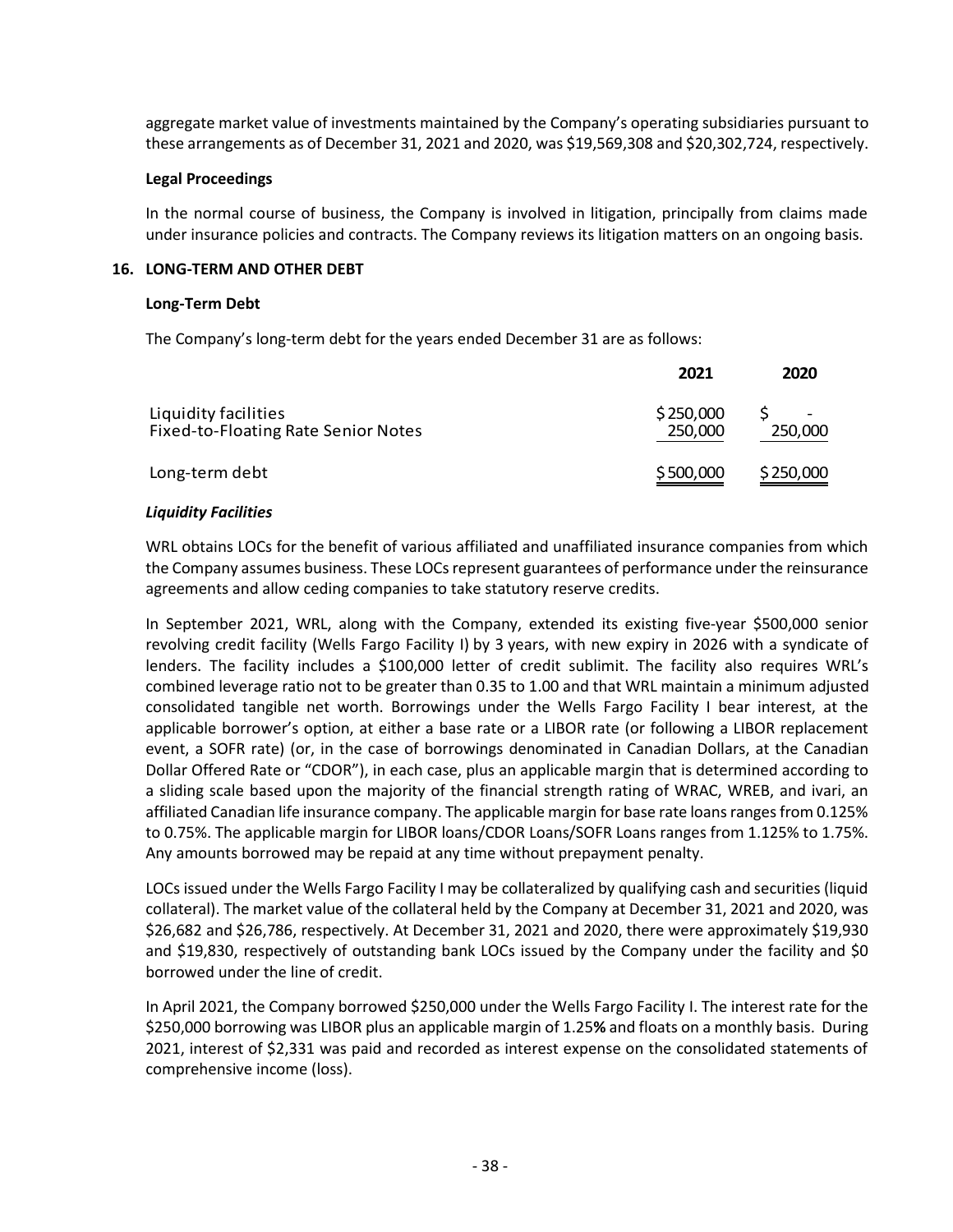aggregate market value of investments maintained by the Company's operating subsidiaries pursuant to these arrangements as of December 31, 2021 and 2020, was \$19,569,308 and \$20,302,724, respectively.

#### **Legal Proceedings**

In the normal course of business, the Company is involved in litigation, principally from claims made under insurance policies and contracts. The Company reviews its litigation matters on an ongoing basis.

#### **16. LONG-TERM AND OTHER DEBT**

#### **Long-Term Debt**

The Company's long-term debt for the years ended December 31 are as follows:

|                                                                    | 2021                 | 2020                                |
|--------------------------------------------------------------------|----------------------|-------------------------------------|
| Liquidity facilities<br><b>Fixed-to-Floating Rate Senior Notes</b> | \$250,000<br>250,000 | $\overline{\phantom{0}}$<br>250,000 |
| Long-term debt                                                     | \$500,000            | \$250,000                           |

#### *Liquidity Facilities*

WRL obtains LOCs for the benefit of various affiliated and unaffiliated insurance companies from which the Company assumes business. These LOCs represent guarantees of performance under the reinsurance agreements and allow ceding companies to take statutory reserve credits.

In September 2021, WRL, along with the Company, extended its existing five-year \$500,000 senior revolving credit facility (Wells Fargo Facility I) by 3 years, with new expiry in 2026 with a syndicate of lenders. The facility includes a \$100,000 letter of credit sublimit. The facility also requires WRL's combined leverage ratio not to be greater than 0.35 to 1.00 and that WRL maintain a minimum adjusted consolidated tangible net worth. Borrowings under the Wells Fargo Facility I bear interest, at the applicable borrower's option, at either a base rate or a LIBOR rate (or following a LIBOR replacement event, a SOFR rate) (or, in the case of borrowings denominated in Canadian Dollars, at the Canadian Dollar Offered Rate or "CDOR"), in each case, plus an applicable margin that is determined according to a sliding scale based upon the majority of the financial strength rating of WRAC, WREB, and ivari, an affiliated Canadian life insurance company. The applicable margin for base rate loans ranges from 0.125% to 0.75%. The applicable margin for LIBOR loans/CDOR Loans/SOFR Loans ranges from 1.125% to 1.75%. Any amounts borrowed may be repaid at any time without prepayment penalty.

LOCs issued under the Wells Fargo Facility I may be collateralized by qualifying cash and securities (liquid collateral). The market value of the collateral held by the Company at December 31, 2021 and 2020, was \$26,682 and \$26,786, respectively. At December 31, 2021 and 2020, there were approximately \$19,930 and \$19,830, respectively of outstanding bank LOCs issued by the Company under the facility and \$0 borrowed under the line of credit.

In April 2021, the Company borrowed \$250,000 under the Wells Fargo Facility I. The interest rate for the \$250,000 borrowing was LIBOR plus an applicable margin of 1.25**%** and floats on a monthly basis. During 2021, interest of \$2,331 was paid and recorded as interest expense on the consolidated statements of comprehensive income (loss).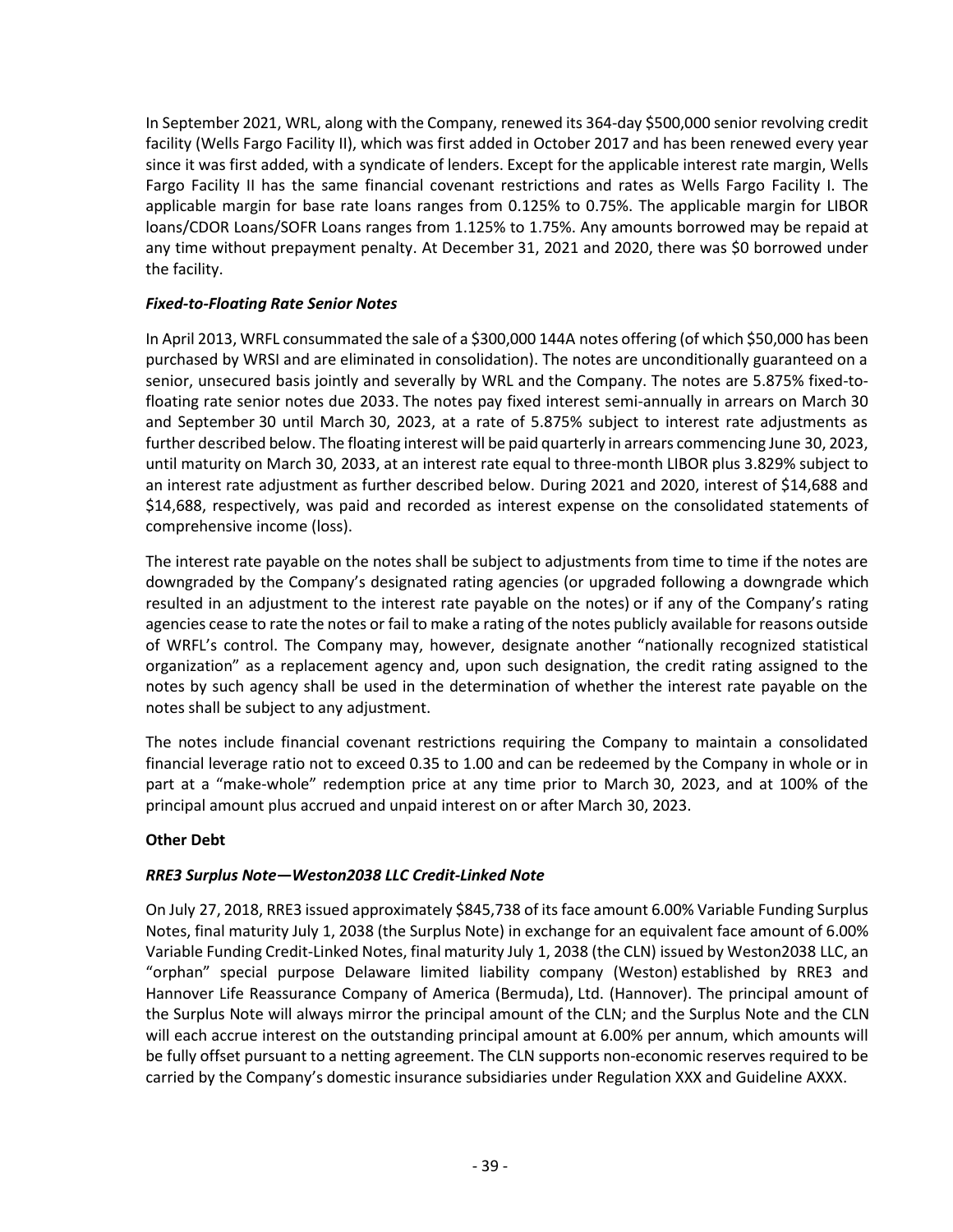In September 2021, WRL, along with the Company, renewed its 364-day \$500,000 senior revolving credit facility (Wells Fargo Facility II), which was first added in October 2017 and has been renewed every year since it was first added, with a syndicate of lenders. Except for the applicable interest rate margin, Wells Fargo Facility II has the same financial covenant restrictions and rates as Wells Fargo Facility I. The applicable margin for base rate loans ranges from 0.125% to 0.75%. The applicable margin for LIBOR loans/CDOR Loans/SOFR Loans ranges from 1.125% to 1.75%. Any amounts borrowed may be repaid at any time without prepayment penalty. At December 31, 2021 and 2020, there was \$0 borrowed under the facility.

#### *Fixed-to-Floating Rate Senior Notes*

In April 2013, WRFL consummated the sale of a \$300,000 144A notes offering (of which \$50,000 has been purchased by WRSI and are eliminated in consolidation). The notes are unconditionally guaranteed on a senior, unsecured basis jointly and severally by WRL and the Company. The notes are 5.875% fixed-tofloating rate senior notes due 2033. The notes pay fixed interest semi-annually in arrears on March 30 and September 30 until March 30, 2023, at a rate of 5.875% subject to interest rate adjustments as further described below. The floating interest will be paid quarterly in arrears commencing June 30, 2023, until maturity on March 30, 2033, at an interest rate equal to three-month LIBOR plus 3.829% subject to an interest rate adjustment as further described below. During 2021 and 2020, interest of \$14,688 and \$14,688, respectively, was paid and recorded as interest expense on the consolidated statements of comprehensive income (loss).

The interest rate payable on the notes shall be subject to adjustments from time to time if the notes are downgraded by the Company's designated rating agencies (or upgraded following a downgrade which resulted in an adjustment to the interest rate payable on the notes) or if any of the Company's rating agencies cease to rate the notes or fail to make a rating of the notes publicly available for reasons outside of WRFL's control. The Company may, however, designate another "nationally recognized statistical organization" as a replacement agency and, upon such designation, the credit rating assigned to the notes by such agency shall be used in the determination of whether the interest rate payable on the notes shall be subject to any adjustment.

The notes include financial covenant restrictions requiring the Company to maintain a consolidated financial leverage ratio not to exceed 0.35 to 1.00 and can be redeemed by the Company in whole or in part at a "make-whole" redemption price at any time prior to March 30, 2023, and at 100% of the principal amount plus accrued and unpaid interest on or after March 30, 2023.

#### **Other Debt**

#### *RRE3 Surplus Note—Weston2038 LLC Credit-Linked Note*

On July 27, 2018, RRE3 issued approximately \$845,738 of its face amount 6.00% Variable Funding Surplus Notes, final maturity July 1, 2038 (the Surplus Note) in exchange for an equivalent face amount of 6.00% Variable Funding Credit-Linked Notes, final maturity July 1, 2038 (the CLN) issued by Weston2038 LLC, an "orphan" special purpose Delaware limited liability company (Weston) established by RRE3 and Hannover Life Reassurance Company of America (Bermuda), Ltd. (Hannover). The principal amount of the Surplus Note will always mirror the principal amount of the CLN; and the Surplus Note and the CLN will each accrue interest on the outstanding principal amount at 6.00% per annum, which amounts will be fully offset pursuant to a netting agreement. The CLN supports non-economic reserves required to be carried by the Company's domestic insurance subsidiaries under Regulation XXX and Guideline AXXX.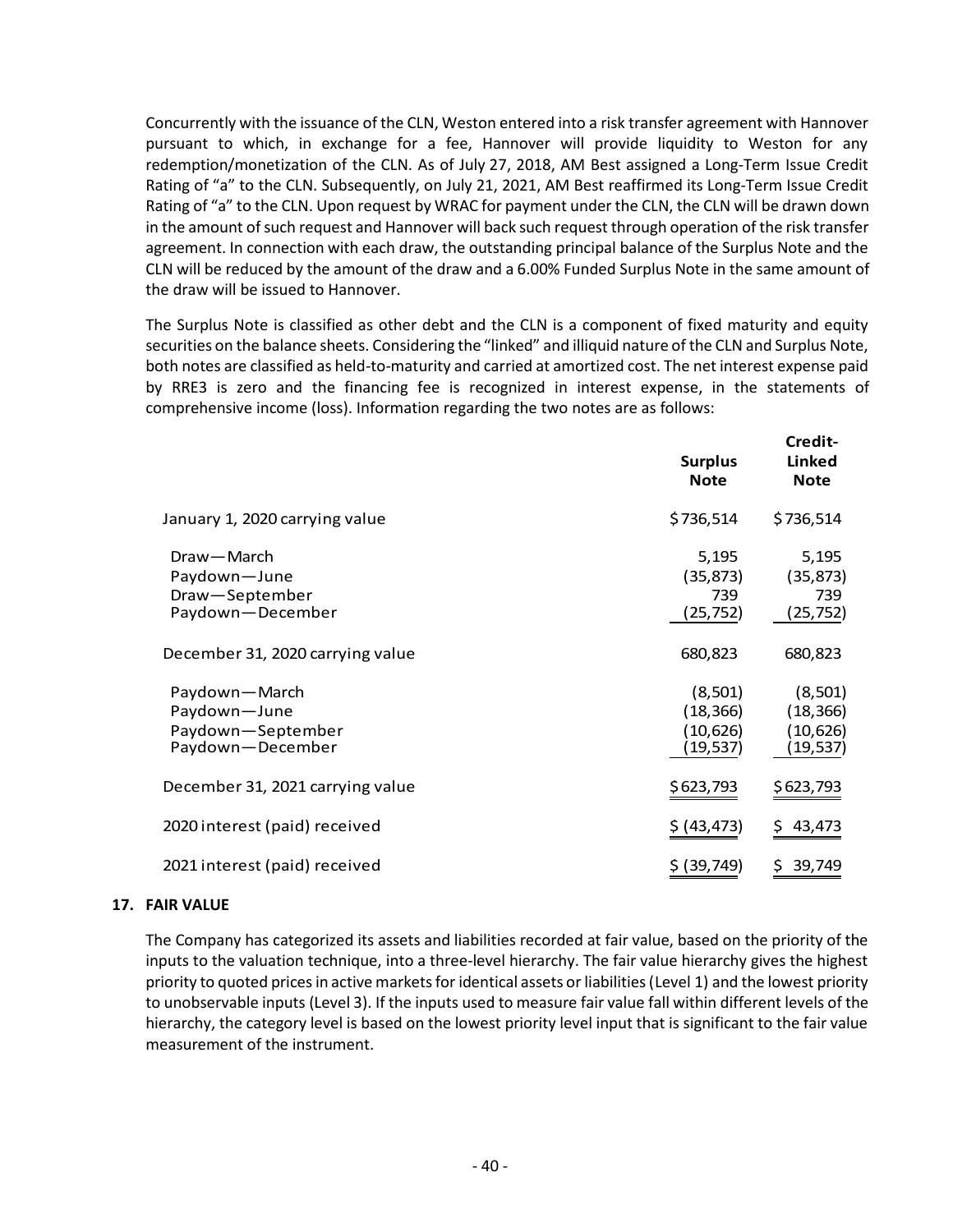Concurrently with the issuance of the CLN, Weston entered into a risk transfer agreement with Hannover pursuant to which, in exchange for a fee, Hannover will provide liquidity to Weston for any redemption/monetization of the CLN. As of July 27, 2018, AM Best assigned a Long-Term Issue Credit Rating of "a" to the CLN. Subsequently, on July 21, 2021, AM Best reaffirmed its Long-Term Issue Credit Rating of "a" to the CLN. Upon request by WRAC for payment under the CLN, the CLN will be drawn down in the amount of such request and Hannover will back such request through operation of the risk transfer agreement. In connection with each draw, the outstanding principal balance of the Surplus Note and the CLN will be reduced by the amount of the draw and a 6.00% Funded Surplus Note in the same amount of the draw will be issued to Hannover.

The Surplus Note is classified as other debt and the CLN is a component of fixed maturity and equity securities on the balance sheets. Considering the "linked" and illiquid nature of the CLN and Surplus Note, both notes are classified as held-to-maturity and carried at amortized cost. The net interest expense paid by RRE3 is zero and the financing fee is recognized in interest expense, in the statements of comprehensive income (loss). Information regarding the two notes are as follows:

|                                  | <b>Surplus</b><br><b>Note</b> | Credit-<br>Linked<br><b>Note</b> |
|----------------------------------|-------------------------------|----------------------------------|
| January 1, 2020 carrying value   | \$736,514                     | \$736,514                        |
| Draw - March                     | 5,195                         | 5,195                            |
| Paydown-June                     | (35, 873)                     | (35, 873)                        |
| Draw-September                   | 739                           | 739                              |
| Paydown-December                 | (25, 752)                     | (25,752)                         |
| December 31, 2020 carrying value | 680,823                       | 680,823                          |
| Paydown-March                    | (8, 501)                      | (8, 501)                         |
| Paydown-June                     | (18,366)                      | (18, 366)                        |
| Paydown-September                | (10,626)                      | (10, 626)                        |
| Paydown-December                 | (19,537)                      | (19, 537)                        |
| December 31, 2021 carrying value | \$623,793                     | \$623,793                        |
| 2020 interest (paid) received    | \$ (43, 473)                  | 43,473<br>Ş                      |
| 2021 interest (paid) received    | \$ (39, 749)                  | 39,749<br>\$                     |
|                                  |                               |                                  |

#### **17. FAIR VALUE**

The Company has categorized its assets and liabilities recorded at fair value, based on the priority of the inputs to the valuation technique, into a three-level hierarchy. The fair value hierarchy gives the highest priority to quoted prices in active markets for identical assets or liabilities (Level 1) and the lowest priority to unobservable inputs (Level 3). If the inputs used to measure fair value fall within different levels of the hierarchy, the category level is based on the lowest priority level input that is significant to the fair value measurement of the instrument.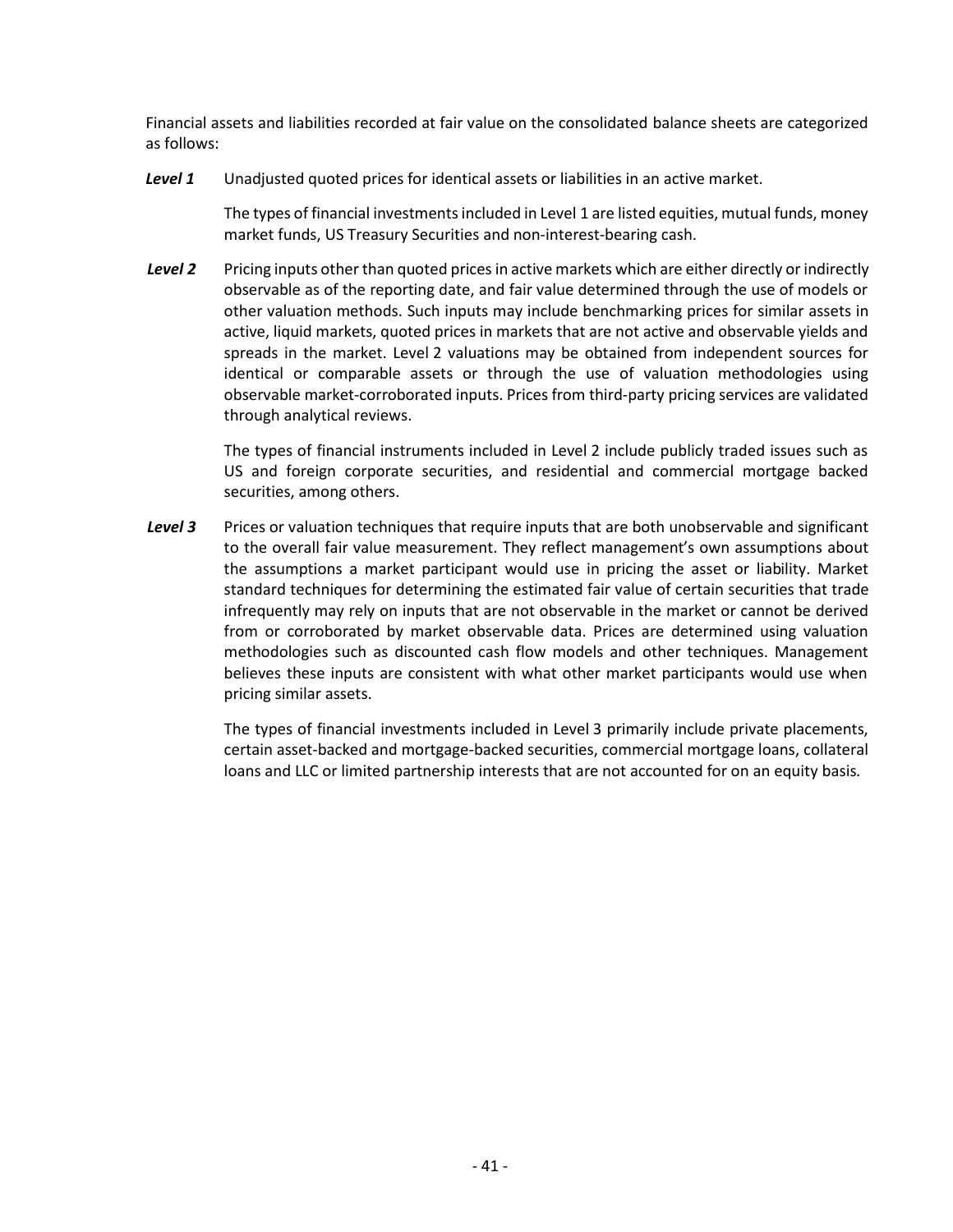Financial assets and liabilities recorded at fair value on the consolidated balance sheets are categorized as follows:

*Level 1* Unadjusted quoted prices for identical assets or liabilities in an active market.

The types of financial investments included in Level 1 are listed equities, mutual funds, money market funds, US Treasury Securities and non-interest-bearing cash.

**Level 2** Pricing inputs other than quoted prices in active markets which are either directly or indirectly observable as of the reporting date, and fair value determined through the use of models or other valuation methods. Such inputs may include benchmarking prices for similar assets in active, liquid markets, quoted prices in markets that are not active and observable yields and spreads in the market. Level 2 valuations may be obtained from independent sources for identical or comparable assets or through the use of valuation methodologies using observable market-corroborated inputs. Prices from third-party pricing services are validated through analytical reviews.

> The types of financial instruments included in Level 2 include publicly traded issues such as US and foreign corporate securities, and residential and commercial mortgage backed securities, among others.

**Level 3** Prices or valuation techniques that require inputs that are both unobservable and significant to the overall fair value measurement. They reflect management's own assumptions about the assumptions a market participant would use in pricing the asset or liability. Market standard techniques for determining the estimated fair value of certain securities that trade infrequently may rely on inputs that are not observable in the market or cannot be derived from or corroborated by market observable data. Prices are determined using valuation methodologies such as discounted cash flow models and other techniques. Management believes these inputs are consistent with what other market participants would use when pricing similar assets.

> The types of financial investments included in Level 3 primarily include private placements, certain asset-backed and mortgage-backed securities, commercial mortgage loans, collateral loans and LLC or limited partnership interests that are not accounted for on an equity basis.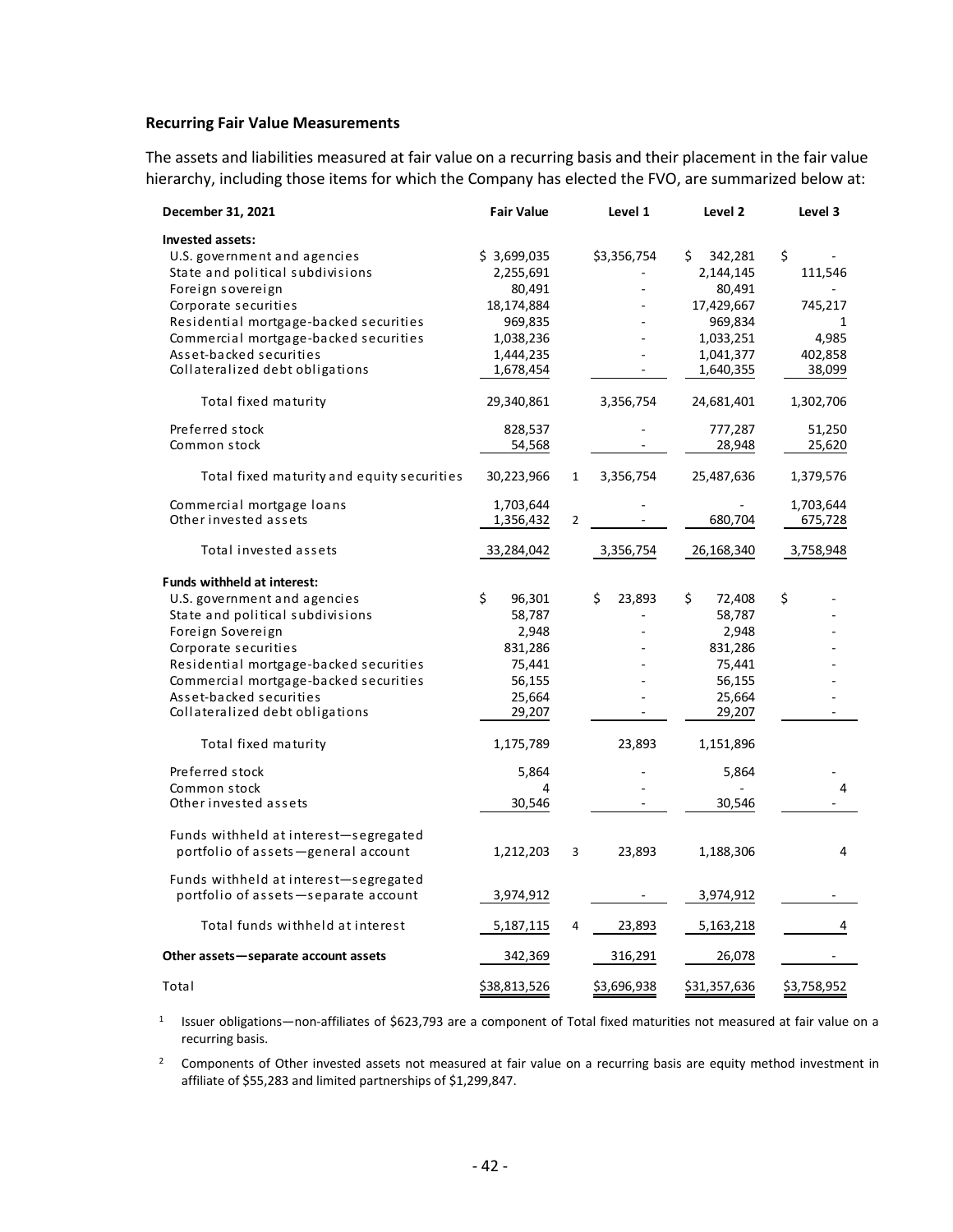#### **Recurring Fair Value Measurements**

The assets and liabilities measured at fair value on a recurring basis and their placement in the fair value hierarchy, including those items for which the Company has elected the FVO, are summarized below at:

| December 31, 2021                          | <b>Fair Value</b> |   | Level 1     | Level 2       | Level 3     |
|--------------------------------------------|-------------------|---|-------------|---------------|-------------|
| Invested assets:                           |                   |   |             |               |             |
| U.S. government and agencies               | \$3,699,035       |   | \$3,356,754 | Ś.<br>342,281 | \$          |
| State and political subdivisions           | 2,255,691         |   |             | 2,144,145     | 111,546     |
| Foreign sovereign                          | 80,491            |   |             | 80,491        |             |
| Corporate securities                       | 18,174,884        |   |             | 17,429,667    | 745,217     |
| Residential mortgage-backed securities     | 969,835           |   |             | 969,834       | 1           |
| Commercial mortgage-backed securities      | 1,038,236         |   |             | 1,033,251     | 4,985       |
| Asset-backed securities                    | 1,444,235         |   |             | 1,041,377     | 402,858     |
| Collateralized debt obligations            | 1,678,454         |   |             | 1,640,355     | 38,099      |
| Total fixed maturity                       | 29,340,861        |   | 3,356,754   | 24,681,401    | 1,302,706   |
| Preferred stock                            | 828,537           |   |             | 777,287       | 51,250      |
| Common stock                               | 54,568            |   |             | 28,948        | 25,620      |
| Total fixed maturity and equity securities | 30,223,966        | 1 | 3,356,754   | 25,487,636    | 1,379,576   |
| Commercial mortgage loans                  | 1,703,644         |   |             |               | 1,703,644   |
| Other invested assets                      | 1,356,432         | 2 |             | 680,704       | 675,728     |
| Total invested assets                      | 33,284,042        |   | 3,356,754   | 26,168,340    | 3,758,948   |
| Funds withheld at interest:                |                   |   |             |               |             |
| U.S. government and agencies               | \$<br>96,301      |   | Ś<br>23,893 | 72,408<br>\$  | \$          |
| State and political subdivisions           | 58,787            |   |             | 58,787        |             |
| Foreign Sovereign                          | 2,948             |   |             | 2,948         |             |
| Corporate securities                       | 831,286           |   |             | 831,286       |             |
| Residential mortgage-backed securities     | 75,441            |   |             | 75,441        |             |
| Commercial mortgage-backed securities      | 56,155            |   |             | 56,155        |             |
| Asset-backed securities                    | 25,664            |   |             | 25,664        |             |
| Collateralized debt obligations            | 29,207            |   |             | 29,207        |             |
| Total fixed maturity                       | 1,175,789         |   | 23,893      | 1,151,896     |             |
| Preferred stock                            | 5,864             |   |             | 5,864         |             |
| Common stock                               | 4                 |   |             |               | 4           |
| Other invested assets                      | 30,546            |   |             | 30,546        |             |
| Funds withheld at interest-segregated      |                   |   |             |               |             |
| portfolio of assets - general account      | 1,212,203         | 3 | 23,893      | 1,188,306     | 4           |
| Funds withheld at interest-segregated      |                   |   |             |               |             |
| portfolio of assets-separate account       | 3,974,912         |   |             | 3,974,912     |             |
| Total funds withheld at interest           | 5,187,115         | 4 | 23,893      | 5,163,218     | 4           |
| Other assets—separate account assets       | 342,369           |   | 316,291     | 26,078        |             |
| Total                                      | \$38,813,526      |   | \$3,696,938 | \$31,357,636  | \$3,758,952 |

 $1$  Issuer obligations—non-affiliates of \$623,793 are a component of Total fixed maturities not measured at fair value on a recurring basis.

<sup>2</sup> Components of Other invested assets not measured at fair value on a recurring basis are equity method investment in affiliate of \$55,283 and limited partnerships of \$1,299,847.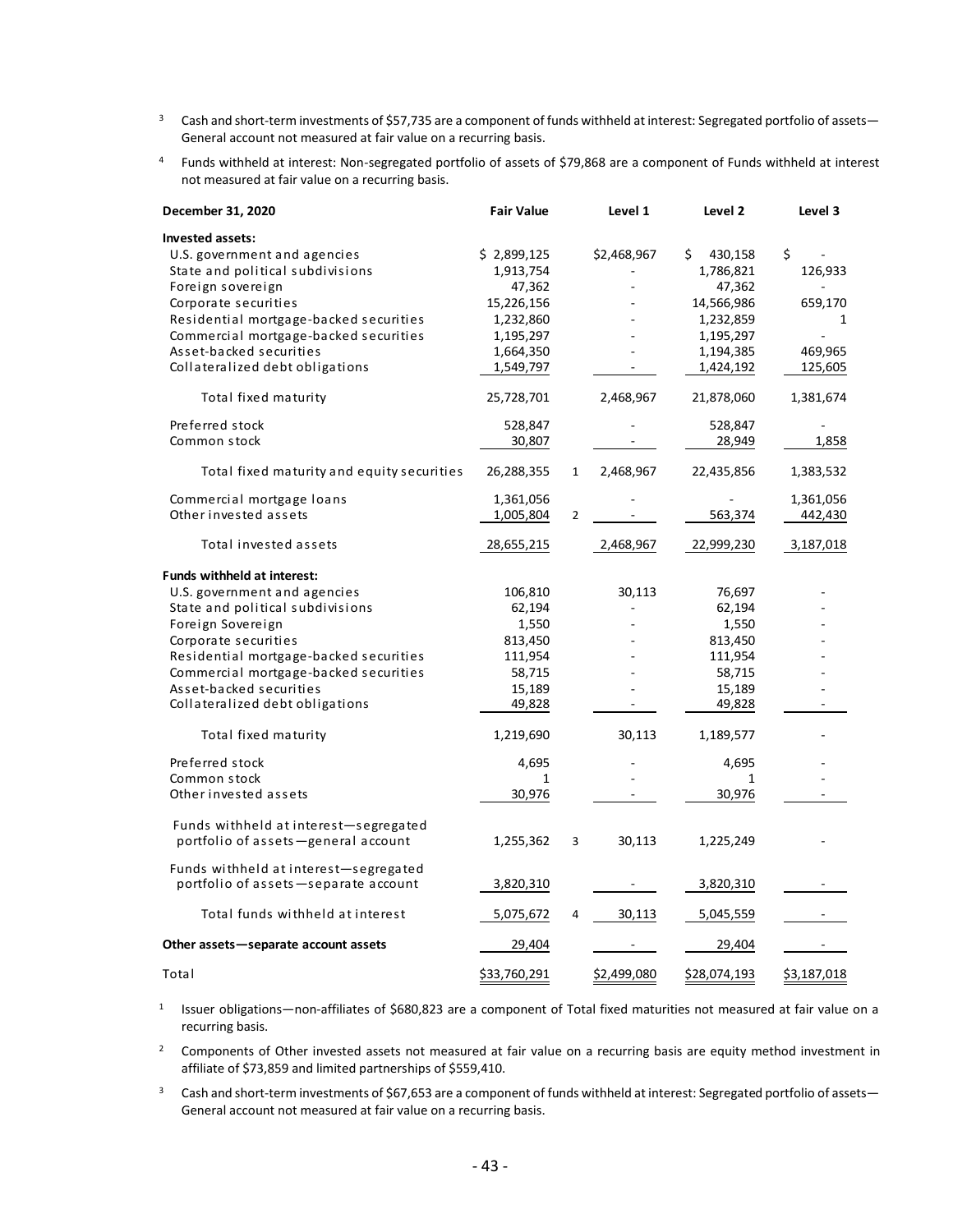- <sup>3</sup> Cash and short-term investments of \$57,735 are a component of funds withheld at interest: Segregated portfolio of assets-General account not measured at fair value on a recurring basis.
- <sup>4</sup> Funds withheld at interest: Non-segregated portfolio of assets of \$79,868 are a component of Funds withheld at interest not measured at fair value on a recurring basis.

| <b>December 31, 2020</b>                   | <b>Fair Value</b> |                | Level 1     | Level 2       | Level 3     |
|--------------------------------------------|-------------------|----------------|-------------|---------------|-------------|
| Invested assets:                           |                   |                |             |               |             |
| U.S. government and agencies               | \$2,899,125       |                | \$2,468,967 | \$<br>430,158 | \$          |
| State and political subdivisions           | 1,913,754         |                |             | 1,786,821     | 126,933     |
| Foreign sovereign                          | 47,362            |                |             | 47,362        |             |
| Corporate securities                       | 15,226,156        |                |             | 14,566,986    | 659,170     |
| Residential mortgage-backed securities     | 1,232,860         |                |             | 1,232,859     | 1           |
| Commercial mortgage-backed securities      | 1,195,297         |                |             | 1,195,297     |             |
| Asset-backed securities                    | 1,664,350         |                |             | 1,194,385     | 469,965     |
| Collateralized debt obligations            | 1,549,797         |                |             | 1,424,192     | 125,605     |
| Total fixed maturity                       | 25,728,701        |                | 2,468,967   | 21,878,060    | 1,381,674   |
| Preferred stock                            | 528,847           |                |             | 528,847       |             |
| Common stock                               | 30,807            |                |             | 28,949        | 1,858       |
| Total fixed maturity and equity securities | 26,288,355        | $\mathbf{1}$   | 2,468,967   | 22,435,856    | 1,383,532   |
| Commercial mortgage loans                  | 1,361,056         |                |             |               | 1,361,056   |
| Other invested assets                      | 1,005,804         | $\overline{2}$ |             | 563,374       | 442,430     |
| Total invested assets                      | 28,655,215        |                | 2,468,967   | 22,999,230    | 3,187,018   |
| <b>Funds withheld at interest:</b>         |                   |                |             |               |             |
| U.S. government and agencies               | 106,810           |                | 30,113      | 76,697        |             |
| State and political subdivisions           | 62,194            |                |             | 62,194        |             |
| Foreign Sovereign                          | 1,550             |                |             | 1,550         |             |
| Corporate securities                       | 813,450           |                |             | 813,450       |             |
| Residential mortgage-backed securities     | 111,954           |                |             | 111,954       |             |
| Commercial mortgage-backed securities      | 58,715            |                |             | 58,715        |             |
| Asset-backed securities                    | 15,189            |                |             | 15,189        |             |
| Collateralized debt obligations            | 49,828            |                |             | 49,828        | ٠           |
| Total fixed maturity                       | 1,219,690         |                | 30,113      | 1,189,577     |             |
| Preferred stock                            | 4,695             |                |             | 4,695         |             |
| Common stock                               | 1                 |                |             | $\mathbf{1}$  |             |
| Other invested assets                      | 30,976            |                |             | 30,976        | L.          |
| Funds withheld at interest-segregated      |                   |                |             |               |             |
| portfolio of assets - general account      | 1,255,362         | 3              | 30,113      | 1,225,249     |             |
| Funds withheld at interest-segregated      |                   |                |             |               |             |
| portfolio of assets-separate account       | 3,820,310         |                |             | 3,820,310     |             |
| Total funds withheld at interest           | 5,075,672         | 4              | 30,113      | 5,045,559     |             |
| Other assets - separate account assets     | 29,404            |                |             | 29,404        |             |
| Total                                      | \$33,760,291      |                | \$2,499,080 | \$28,074,193  | \$3,187,018 |

<sup>1</sup> Issuer obligations—non-affiliates of \$680,823 are a component of Total fixed maturities not measured at fair value on a recurring basis.

<sup>2</sup> Components of Other invested assets not measured at fair value on a recurring basis are equity method investment in affiliate of \$73,859 and limited partnerships of \$559,410.

<sup>3</sup> Cash and short-term investments of \$67,653 are a component of funds withheld at interest: Segregated portfolio of assets-General account not measured at fair value on a recurring basis.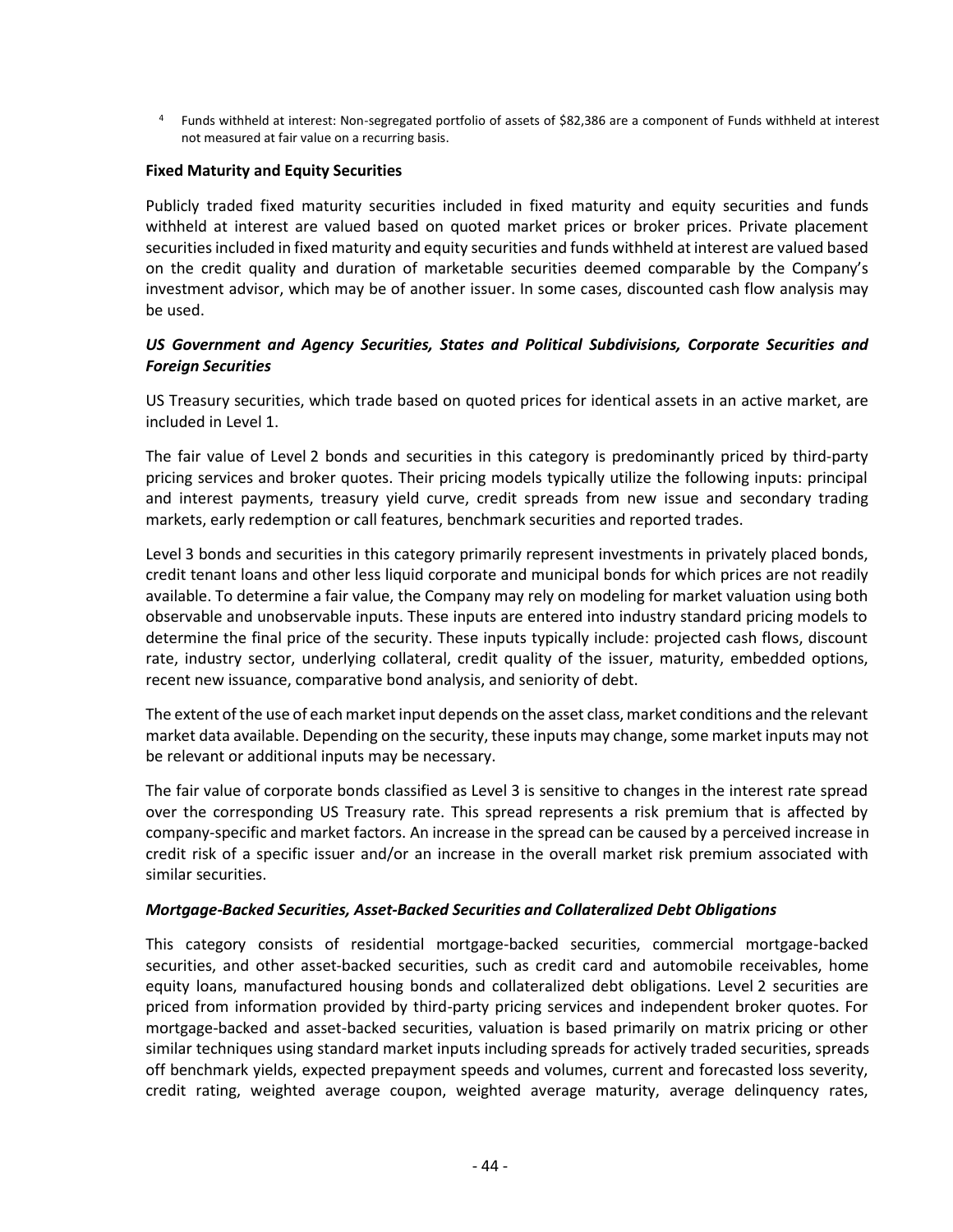<sup>4</sup> Funds withheld at interest: Non-segregated portfolio of assets of \$82,386 are a component of Funds withheld at interest not measured at fair value on a recurring basis.

#### **Fixed Maturity and Equity Securities**

Publicly traded fixed maturity securities included in fixed maturity and equity securities and funds withheld at interest are valued based on quoted market prices or broker prices. Private placement securities included in fixed maturity and equity securities and funds withheld at interest are valued based on the credit quality and duration of marketable securities deemed comparable by the Company's investment advisor, which may be of another issuer. In some cases, discounted cash flow analysis may be used.

#### *US Government and Agency Securities, States and Political Subdivisions, Corporate Securities and Foreign Securities*

US Treasury securities, which trade based on quoted prices for identical assets in an active market, are included in Level 1.

The fair value of Level 2 bonds and securities in this category is predominantly priced by third-party pricing services and broker quotes. Their pricing models typically utilize the following inputs: principal and interest payments, treasury yield curve, credit spreads from new issue and secondary trading markets, early redemption or call features, benchmark securities and reported trades.

Level 3 bonds and securities in this category primarily represent investments in privately placed bonds, credit tenant loans and other less liquid corporate and municipal bonds for which prices are not readily available. To determine a fair value, the Company may rely on modeling for market valuation using both observable and unobservable inputs. These inputs are entered into industry standard pricing models to determine the final price of the security. These inputs typically include: projected cash flows, discount rate, industry sector, underlying collateral, credit quality of the issuer, maturity, embedded options, recent new issuance, comparative bond analysis, and seniority of debt.

The extent of the use of each market input depends on the asset class, market conditions and the relevant market data available. Depending on the security, these inputs may change, some market inputs may not be relevant or additional inputs may be necessary.

The fair value of corporate bonds classified as Level 3 is sensitive to changes in the interest rate spread over the corresponding US Treasury rate. This spread represents a risk premium that is affected by company-specific and market factors. An increase in the spread can be caused by a perceived increase in credit risk of a specific issuer and/or an increase in the overall market risk premium associated with similar securities.

#### *Mortgage-Backed Securities, Asset-Backed Securities and Collateralized Debt Obligations*

This category consists of residential mortgage-backed securities, commercial mortgage-backed securities, and other asset-backed securities, such as credit card and automobile receivables, home equity loans, manufactured housing bonds and collateralized debt obligations. Level 2 securities are priced from information provided by third-party pricing services and independent broker quotes. For mortgage-backed and asset-backed securities, valuation is based primarily on matrix pricing or other similar techniques using standard market inputs including spreads for actively traded securities, spreads off benchmark yields, expected prepayment speeds and volumes, current and forecasted loss severity, credit rating, weighted average coupon, weighted average maturity, average delinquency rates,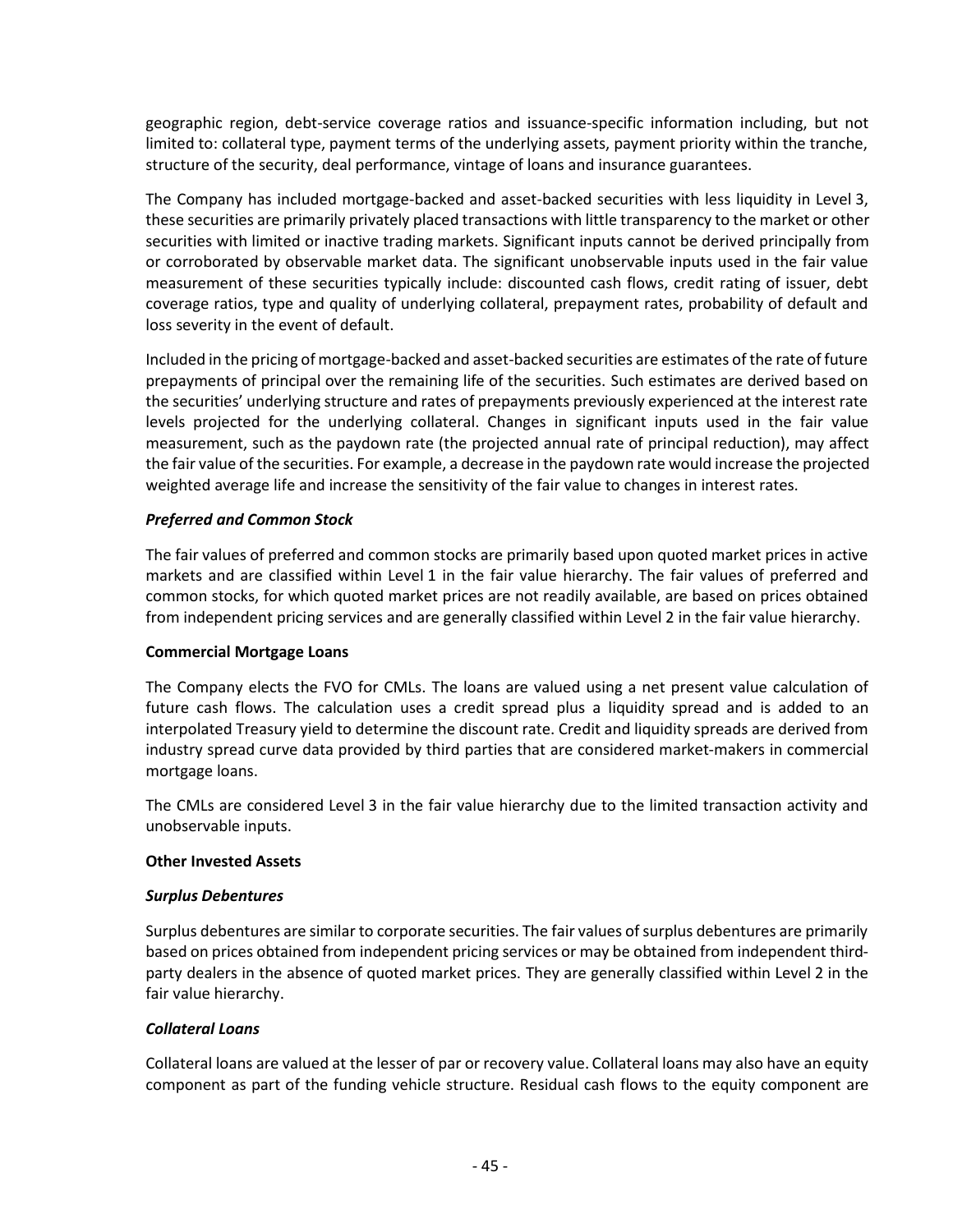geographic region, debt-service coverage ratios and issuance-specific information including, but not limited to: collateral type, payment terms of the underlying assets, payment priority within the tranche, structure of the security, deal performance, vintage of loans and insurance guarantees.

The Company has included mortgage-backed and asset-backed securities with less liquidity in Level 3, these securities are primarily privately placed transactions with little transparency to the market or other securities with limited or inactive trading markets. Significant inputs cannot be derived principally from or corroborated by observable market data. The significant unobservable inputs used in the fair value measurement of these securities typically include: discounted cash flows, credit rating of issuer, debt coverage ratios, type and quality of underlying collateral, prepayment rates, probability of default and loss severity in the event of default.

Included in the pricing of mortgage-backed and asset-backed securities are estimates of the rate of future prepayments of principal over the remaining life of the securities. Such estimates are derived based on the securities' underlying structure and rates of prepayments previously experienced at the interest rate levels projected for the underlying collateral. Changes in significant inputs used in the fair value measurement, such as the paydown rate (the projected annual rate of principal reduction), may affect the fair value of the securities. For example, a decrease in the paydown rate would increase the projected weighted average life and increase the sensitivity of the fair value to changes in interest rates.

#### *Preferred and Common Stock*

The fair values of preferred and common stocks are primarily based upon quoted market prices in active markets and are classified within Level 1 in the fair value hierarchy. The fair values of preferred and common stocks, for which quoted market prices are not readily available, are based on prices obtained from independent pricing services and are generally classified within Level 2 in the fair value hierarchy.

#### **Commercial Mortgage Loans**

The Company elects the FVO for CMLs. The loans are valued using a net present value calculation of future cash flows. The calculation uses a credit spread plus a liquidity spread and is added to an interpolated Treasury yield to determine the discount rate. Credit and liquidity spreads are derived from industry spread curve data provided by third parties that are considered market-makers in commercial mortgage loans.

The CMLs are considered Level 3 in the fair value hierarchy due to the limited transaction activity and unobservable inputs.

#### **Other Invested Assets**

#### *Surplus Debentures*

Surplus debentures are similar to corporate securities. The fair values of surplus debentures are primarily based on prices obtained from independent pricing services or may be obtained from independent thirdparty dealers in the absence of quoted market prices. They are generally classified within Level 2 in the fair value hierarchy.

#### *Collateral Loans*

Collateral loans are valued at the lesser of par or recovery value. Collateral loans may also have an equity component as part of the funding vehicle structure. Residual cash flows to the equity component are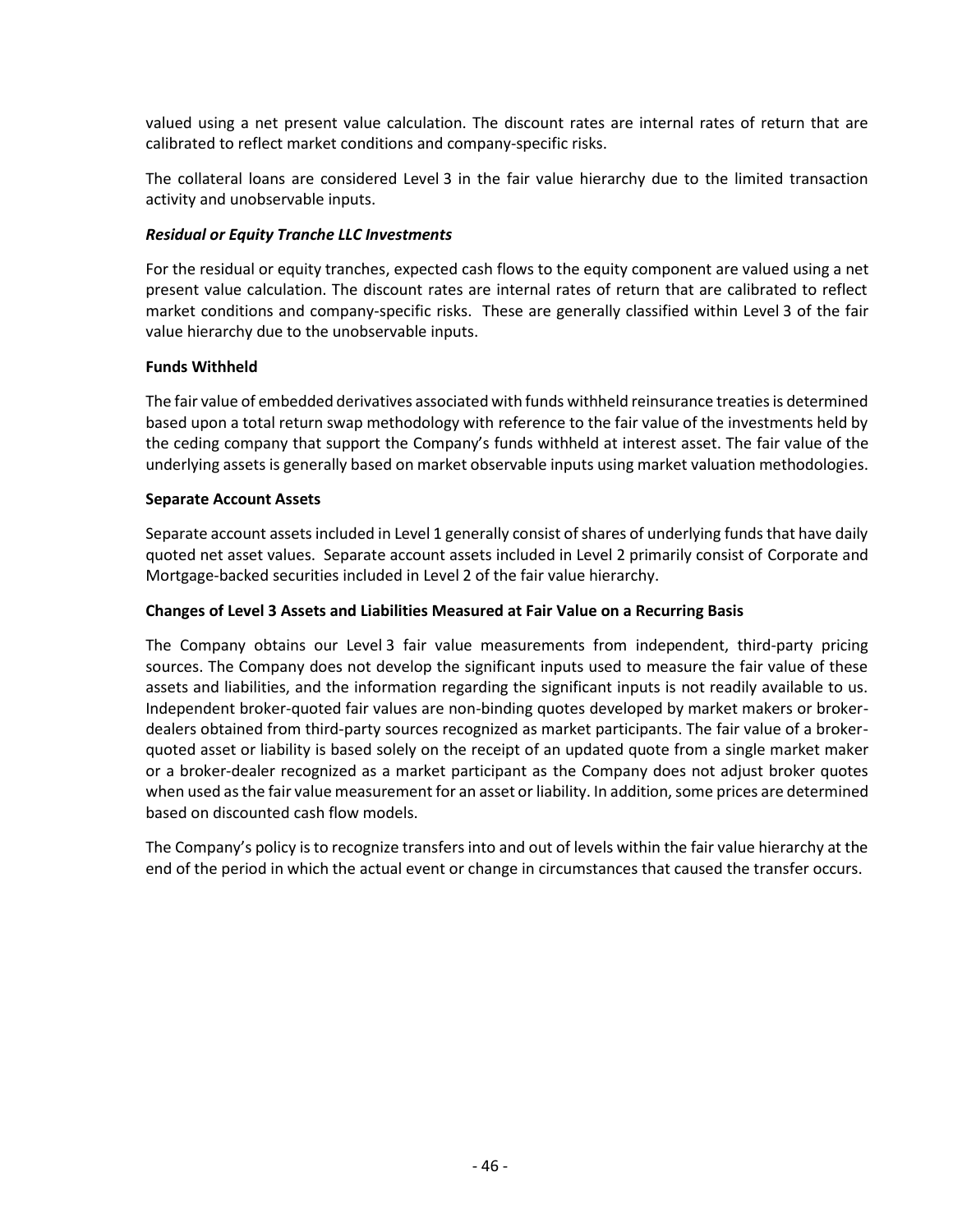valued using a net present value calculation. The discount rates are internal rates of return that are calibrated to reflect market conditions and company-specific risks.

The collateral loans are considered Level 3 in the fair value hierarchy due to the limited transaction activity and unobservable inputs.

#### *Residual or Equity Tranche LLC Investments*

For the residual or equity tranches, expected cash flows to the equity component are valued using a net present value calculation. The discount rates are internal rates of return that are calibrated to reflect market conditions and company-specific risks. These are generally classified within Level 3 of the fair value hierarchy due to the unobservable inputs.

#### **Funds Withheld**

The fair value of embedded derivatives associated with funds withheld reinsurance treaties is determined based upon a total return swap methodology with reference to the fair value of the investments held by the ceding company that support the Company's funds withheld at interest asset. The fair value of the underlying assets is generally based on market observable inputs using market valuation methodologies.

#### **Separate Account Assets**

Separate account assets included in Level 1 generally consist of shares of underlying funds that have daily quoted net asset values. Separate account assets included in Level 2 primarily consist of Corporate and Mortgage-backed securities included in Level 2 of the fair value hierarchy.

#### **Changes of Level 3 Assets and Liabilities Measured at Fair Value on a Recurring Basis**

The Company obtains our Level 3 fair value measurements from independent, third-party pricing sources. The Company does not develop the significant inputs used to measure the fair value of these assets and liabilities, and the information regarding the significant inputs is not readily available to us. Independent broker-quoted fair values are non-binding quotes developed by market makers or brokerdealers obtained from third-party sources recognized as market participants. The fair value of a brokerquoted asset or liability is based solely on the receipt of an updated quote from a single market maker or a broker-dealer recognized as a market participant as the Company does not adjust broker quotes when used as the fair value measurement for an asset or liability. In addition, some prices are determined based on discounted cash flow models.

The Company's policy is to recognize transfers into and out of levels within the fair value hierarchy at the end of the period in which the actual event or change in circumstances that caused the transfer occurs.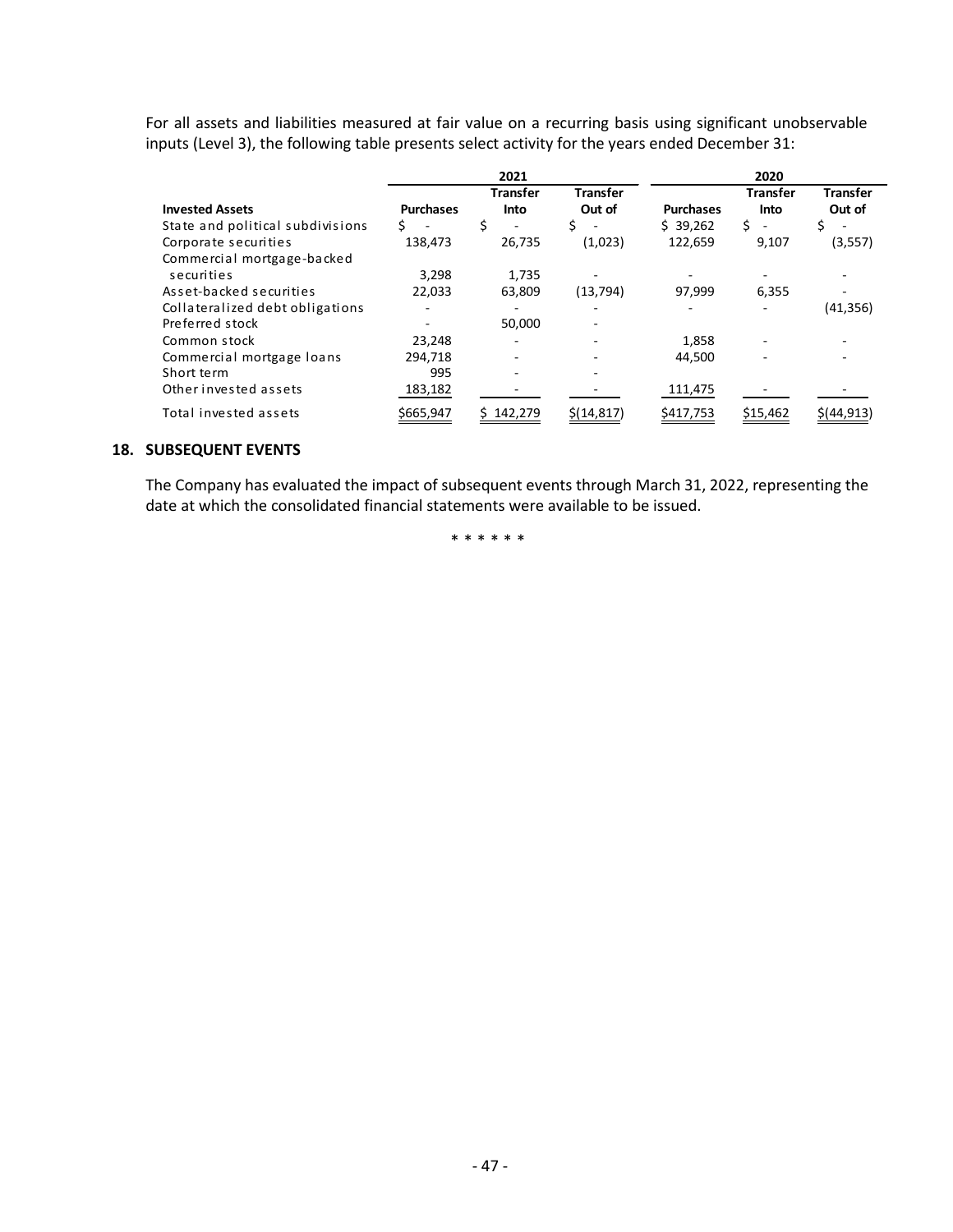For all assets and liabilities measured at fair value on a recurring basis using significant unobservable inputs (Level 3), the following table presents select activity for the years ended December 31:

|                                  |                  | 2021             |                           | 2020             |                                |                           |  |  |  |
|----------------------------------|------------------|------------------|---------------------------|------------------|--------------------------------|---------------------------|--|--|--|
| <b>Invested Assets</b>           | <b>Purchases</b> | Transfer<br>Into | <b>Transfer</b><br>Out of | <b>Purchases</b> | <b>Transfer</b><br>Into        | <b>Transfer</b><br>Out of |  |  |  |
| State and political subdivisions | S.<br>٠          | Ś<br>۰           | Ś                         | \$39,262         | \$<br>$\overline{\phantom{a}}$ | Ś                         |  |  |  |
| Corporate securities             | 138,473          | 26,735           | (1,023)                   | 122,659          | 9,107                          | (3, 557)                  |  |  |  |
| Commercial mortgage-backed       |                  |                  |                           |                  |                                |                           |  |  |  |
| securities                       | 3.298            | 1.735            |                           |                  |                                |                           |  |  |  |
| Asset-backed securities          | 22.033           | 63,809           | (13, 794)                 | 97,999           | 6,355                          |                           |  |  |  |
| Collateralized debt obligations  |                  |                  |                           |                  |                                | (41,356)                  |  |  |  |
| Preferred stock                  |                  | 50,000           |                           |                  |                                |                           |  |  |  |
| Common stock                     | 23,248           |                  |                           | 1,858            |                                |                           |  |  |  |
| Commercial mortgage loans        | 294,718          |                  |                           | 44,500           |                                |                           |  |  |  |
| Short term                       | 995              |                  |                           |                  |                                |                           |  |  |  |
| Other invested assets            | 183,182          |                  |                           | 111,475          |                                |                           |  |  |  |
| Total invested assets            | \$665,947        | 142,279          | \$(14, 817)               | \$417,753        | \$15,462                       | \$(44, 913)               |  |  |  |

#### **18. SUBSEQUENT EVENTS**

The Company has evaluated the impact of subsequent events through March 31, 2022, representing the date at which the consolidated financial statements were available to be issued.

\*\*\*\*\*\*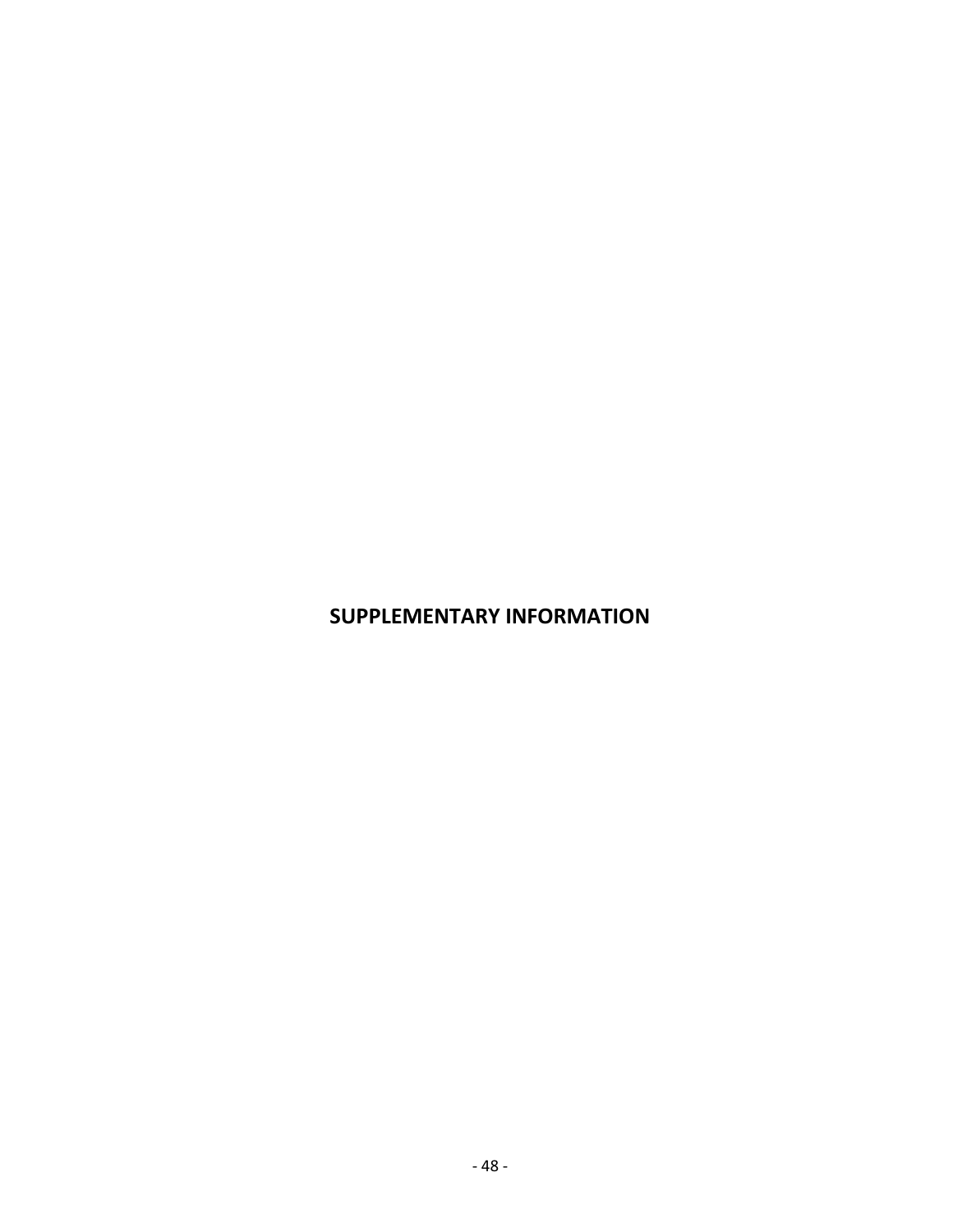## **SUPPLEMENTARY INFORMATION**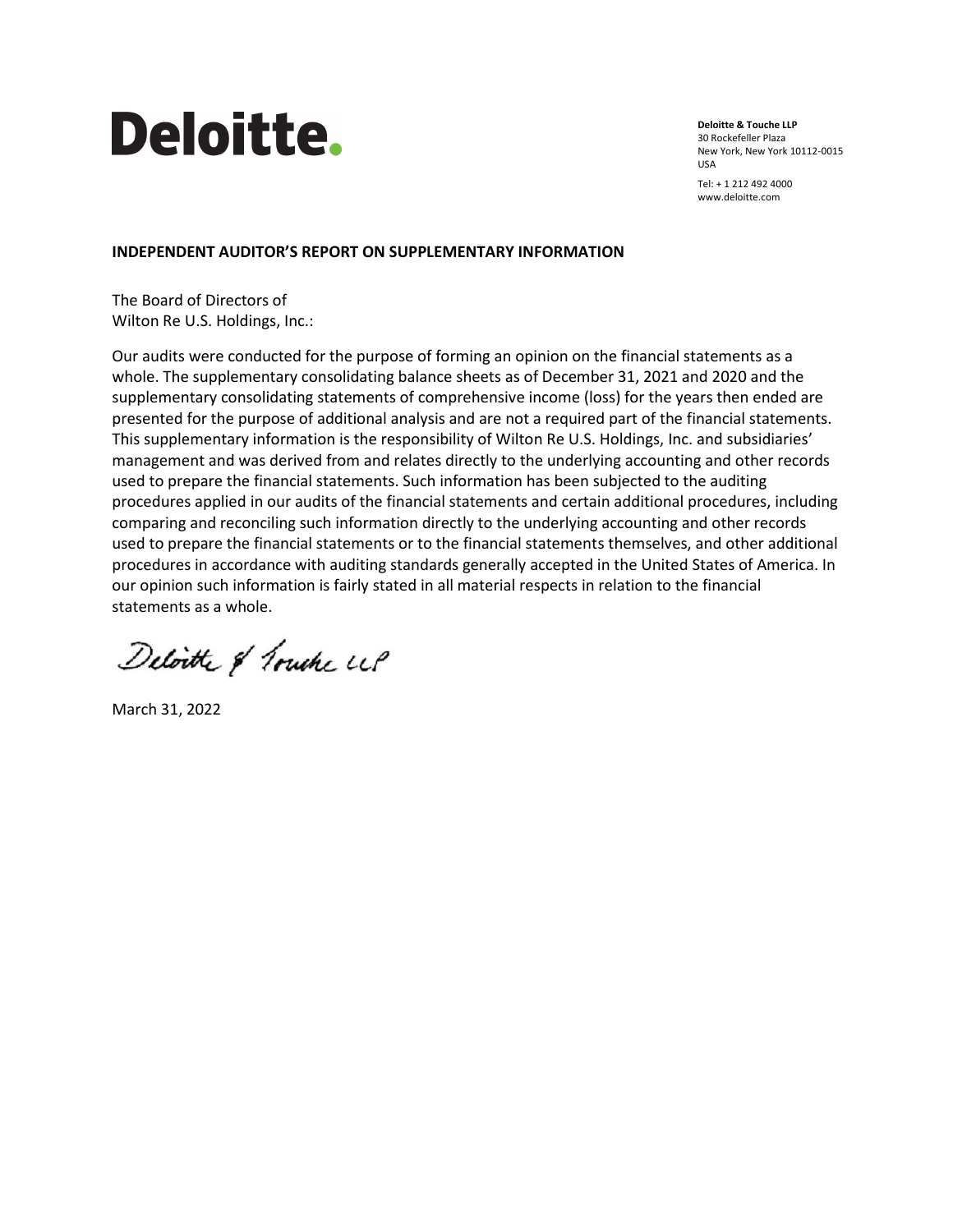

**Deloitte & Touche LLP** 30 Rockefeller Plaza New York, New York 10112-0015 USA

Tel: + 1 212 492 4000 <www.deloitte.com>

#### **INDEPENDENT AUDITOR'S REPORT ON SUPPLEMENTARY INFORMATION**

The Board of Directors of Wilton Re U.S. Holdings, Inc.:

Our audits were conducted for the purpose of forming an opinion on the financial statements as a whole. The supplementary consolidating balance sheets as of December 31, 2021 and 2020 and the supplementary consolidating statements of comprehensive income (loss) for the years then ended are presented for the purpose of additional analysis and are not a required part of the financial statements. This supplementary information is the responsibility of Wilton Re U.S. Holdings, Inc. and subsidiaries' management and was derived from and relates directly to the underlying accounting and other records used to prepare the financial statements. Such information has been subjected to the auditing procedures applied in our audits of the financial statements and certain additional procedures, including comparing and reconciling such information directly to the underlying accounting and other records used to prepare the financial statements or to the financial statements themselves, and other additional procedures in accordance with auditing standards generally accepted in the United States of America. In our opinion such information is fairly stated in all material respects in relation to the financial statements as a whole.

Deloitte of Touche UP

March 31, 2022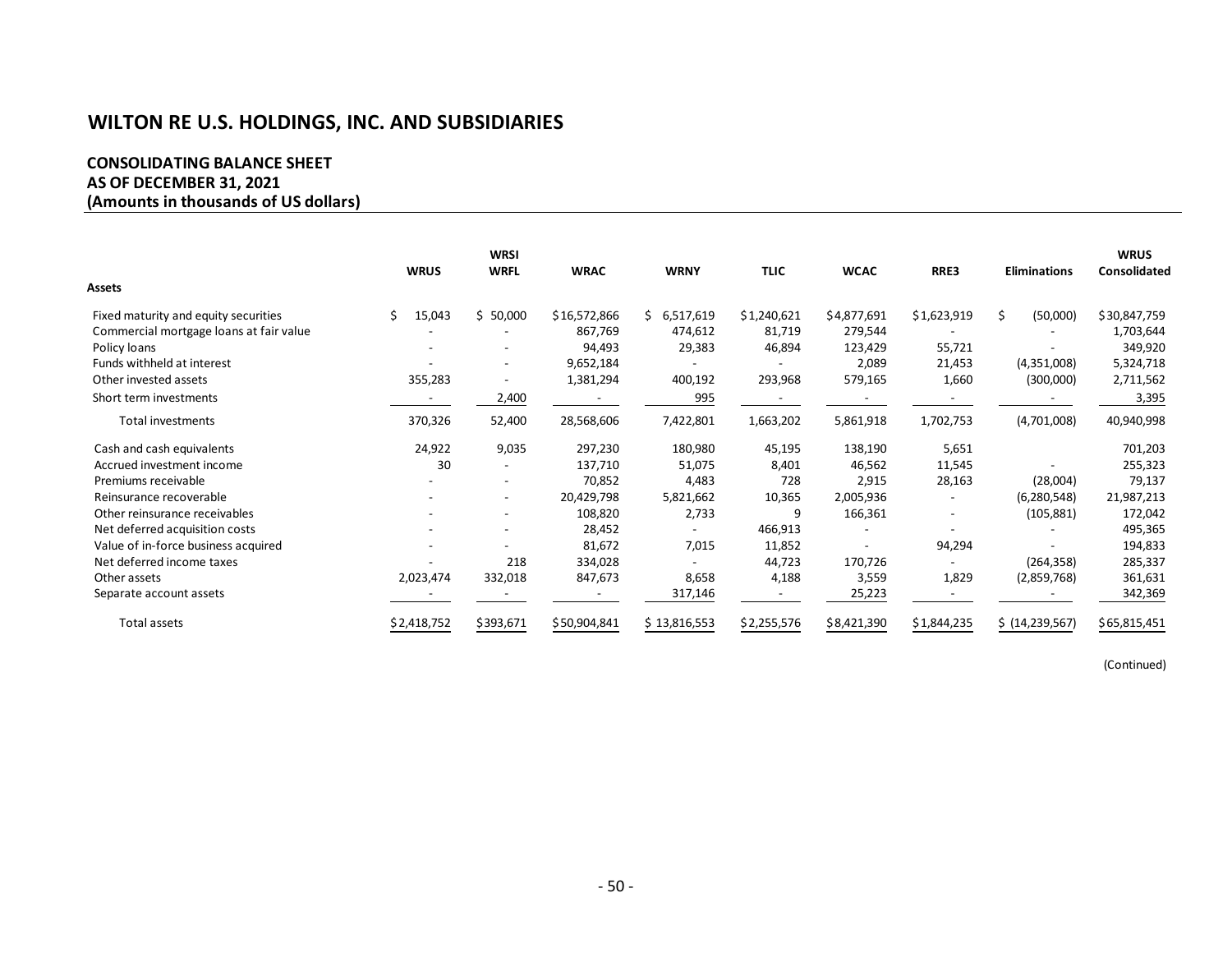#### **CONSOLIDATING BALANCE SHEET AS OF DECEMBER 31, 2021 (Amounts in thousands of US dollars)**

|                                         | <b>WRUS</b>  | <b>WRSI</b><br><b>WRFL</b> | <b>WRAC</b>  | <b>WRNY</b>     | <b>TLIC</b> | <b>WCAC</b> | <b>RRE3</b>              | <b>Eliminations</b> | <b>WRUS</b><br><b>Consolidated</b> |
|-----------------------------------------|--------------|----------------------------|--------------|-----------------|-------------|-------------|--------------------------|---------------------|------------------------------------|
| <b>Assets</b>                           |              |                            |              |                 |             |             |                          |                     |                                    |
| Fixed maturity and equity securities    | 15,043<br>Š. | \$50,000                   | \$16,572,866 | S.<br>6,517,619 | \$1,240,621 | \$4,877,691 | \$1,623,919              | (50,000)<br>S       | \$30,847,759                       |
| Commercial mortgage loans at fair value |              |                            | 867,769      | 474,612         | 81,719      | 279,544     |                          |                     | 1,703,644                          |
| Policy loans                            |              |                            | 94,493       | 29,383          | 46,894      | 123,429     | 55,721                   |                     | 349,920                            |
| Funds withheld at interest              |              |                            | 9,652,184    |                 |             | 2,089       | 21,453                   | (4,351,008)         | 5,324,718                          |
| Other invested assets                   | 355,283      | $\overline{\phantom{a}}$   | 1,381,294    | 400,192         | 293,968     | 579,165     | 1,660                    | (300,000)           | 2,711,562                          |
| Short term investments                  |              | 2,400                      |              | 995             |             |             |                          |                     | 3,395                              |
| Total investments                       | 370,326      | 52,400                     | 28,568,606   | 7,422,801       | 1,663,202   | 5,861,918   | 1,702,753                | (4,701,008)         | 40,940,998                         |
| Cash and cash equivalents               | 24,922       | 9,035                      | 297,230      | 180,980         | 45,195      | 138,190     | 5,651                    |                     | 701,203                            |
| Accrued investment income               | 30           | $\overline{\phantom{0}}$   | 137,710      | 51,075          | 8,401       | 46,562      | 11,545                   |                     | 255,323                            |
| Premiums receivable                     |              | $\overline{\phantom{0}}$   | 70,852       | 4,483           | 728         | 2,915       | 28,163                   | (28,004)            | 79,137                             |
| Reinsurance recoverable                 |              | $\overline{\phantom{0}}$   | 20,429,798   | 5,821,662       | 10,365      | 2,005,936   | $\overline{\phantom{a}}$ | (6, 280, 548)       | 21,987,213                         |
| Other reinsurance receivables           |              | ۰                          | 108,820      | 2,733           | 9           | 166,361     |                          | (105, 881)          | 172,042                            |
| Net deferred acquisition costs          |              | $\overline{\phantom{0}}$   | 28,452       |                 | 466,913     |             |                          |                     | 495,365                            |
| Value of in-force business acquired     |              | $\overline{\phantom{0}}$   | 81,672       | 7,015           | 11,852      |             | 94,294                   |                     | 194,833                            |
| Net deferred income taxes               |              | 218                        | 334,028      |                 | 44,723      | 170,726     |                          | (264, 358)          | 285,337                            |
| Other assets                            | 2,023,474    | 332,018                    | 847,673      | 8,658           | 4,188       | 3,559       | 1,829                    | (2,859,768)         | 361,631                            |
| Separate account assets                 |              |                            |              | 317,146         |             | 25,223      |                          |                     | 342,369                            |
| Total assets                            | \$2,418,752  | \$393,671                  | \$50,904,841 | \$13,816,553    | \$2,255,576 | \$8,421,390 | \$1,844,235              | \$ (14, 239, 567)   | \$65,815,451                       |

(Continued)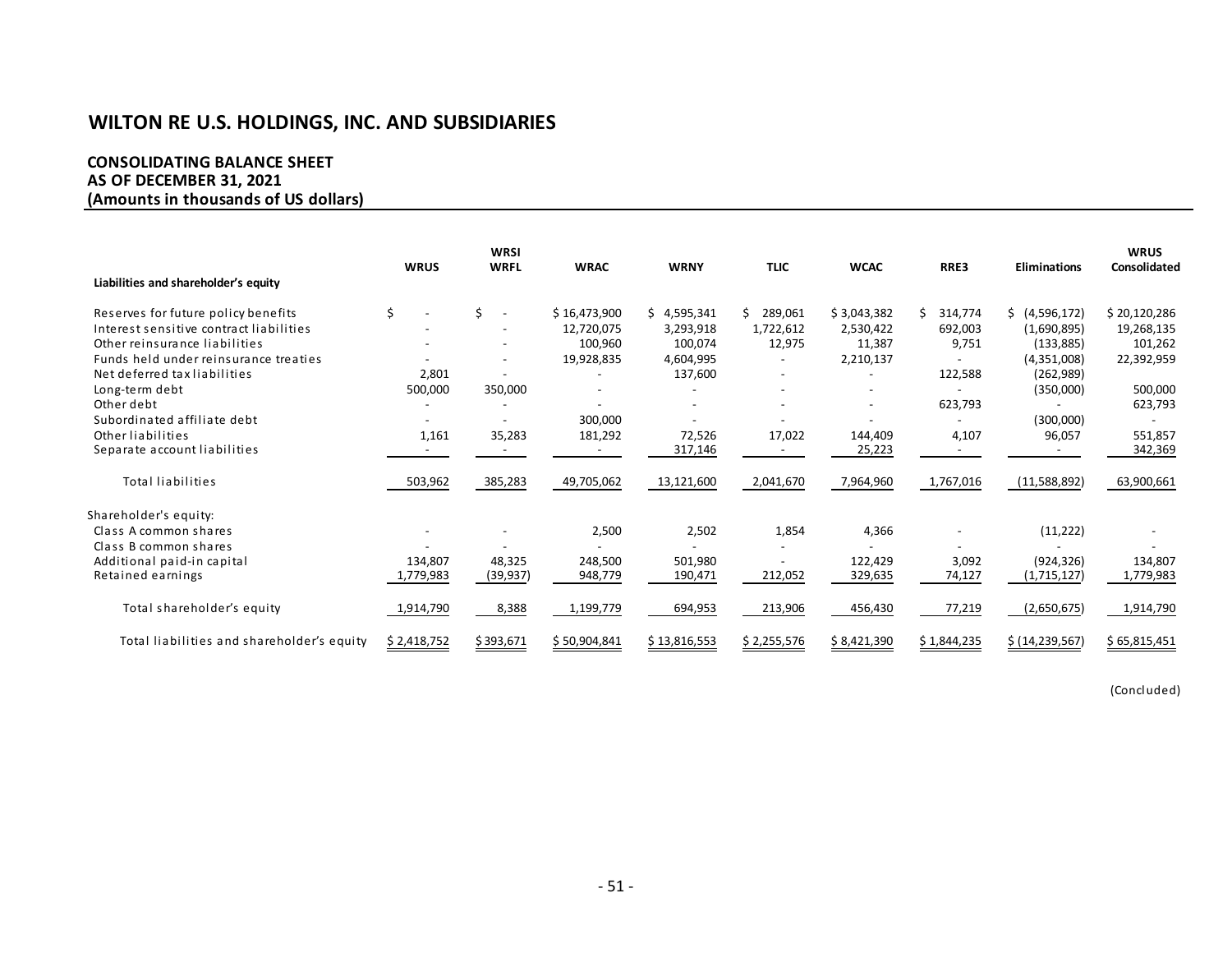#### **CONSOLIDATING BALANCE SHEET AS OF DECEMBER 31, 2021 (Amounts in thousands of US dollars)**

|                                            | <b>WRUS</b>  | <b>WRSI</b><br><b>WRFL</b> | <b>WRAC</b>  | <b>WRNY</b>  | <b>TLIC</b>   | <b>WCAC</b> | RRE3          | <b>Eliminations</b> | <b>WRUS</b><br>Consolidated |
|--------------------------------------------|--------------|----------------------------|--------------|--------------|---------------|-------------|---------------|---------------------|-----------------------------|
| Liabilities and shareholder's equity       |              |                            |              |              |               |             |               |                     |                             |
| Reserves for future policy benefits        | Ś.           |                            | \$16,473,900 | \$4,595,341  | 289,061<br>Ś. | \$3,043,382 | 314,774<br>Ś. | \$ (4,596,172)      | \$20,120,286                |
| Interest sensitive contract liabilities    |              |                            | 12,720,075   | 3,293,918    | 1,722,612     | 2,530,422   | 692,003       | (1,690,895)         | 19,268,135                  |
| Other reinsurance liabilities              |              |                            | 100,960      | 100,074      | 12,975        | 11,387      | 9,751         | (133, 885)          | 101,262                     |
| Funds held under reinsurance treaties      |              |                            | 19,928,835   | 4,604,995    |               | 2,210,137   |               | (4,351,008)         | 22,392,959                  |
| Net deferred tax liabilities               | 2,801        |                            |              | 137,600      |               |             | 122,588       | (262,989)           |                             |
| Long-term debt                             | 500,000      | 350,000                    |              |              |               |             |               | (350,000)           | 500,000                     |
| Other debt                                 |              |                            |              |              |               |             | 623,793       |                     | 623,793                     |
| Subordinated affiliate debt                |              | $\overline{\phantom{a}}$   | 300,000      |              |               |             |               | (300,000)           |                             |
| Other liabilities                          | 1,161        | 35,283                     | 181,292      | 72,526       | 17,022        | 144,409     | 4,107         | 96,057              | 551,857                     |
| Separate account liabilities               |              |                            |              | 317,146      |               | 25,223      |               |                     | 342,369                     |
| Total liabilities                          | 503,962      | 385,283                    | 49,705,062   | 13,121,600   | 2,041,670     | 7,964,960   | 1,767,016     | (11,588,892)        | 63,900,661                  |
| Shareholder's equity:                      |              |                            |              |              |               |             |               |                     |                             |
| Class A common shares                      |              |                            | 2,500        | 2,502        | 1,854         | 4,366       |               | (11, 222)           |                             |
| Class B common shares                      |              |                            |              |              |               |             |               |                     |                             |
| Additional paid-in capital                 | 134,807      | 48,325                     | 248,500      | 501,980      |               | 122,429     | 3,092         | (924, 326)          | 134,807                     |
| Retained earnings                          | 1,779,983    | (39, 937)                  | 948,779      | 190,471      | 212,052       | 329,635     | 74,127        | (1,715,127)         | 1,779,983                   |
| Total shareholder's equity                 | 1,914,790    | 8,388                      | 1,199,779    | 694,953      | 213,906       | 456,430     | 77,219        | (2,650,675)         | 1,914,790                   |
| Total liabilities and shareholder's equity | \$ 2,418,752 | \$393,671                  | \$50,904,841 | \$13,816,553 | \$2,255,576   | \$8,421,390 | \$1,844,235   | \$(14, 239, 567)    | \$65,815,451                |

(Concluded)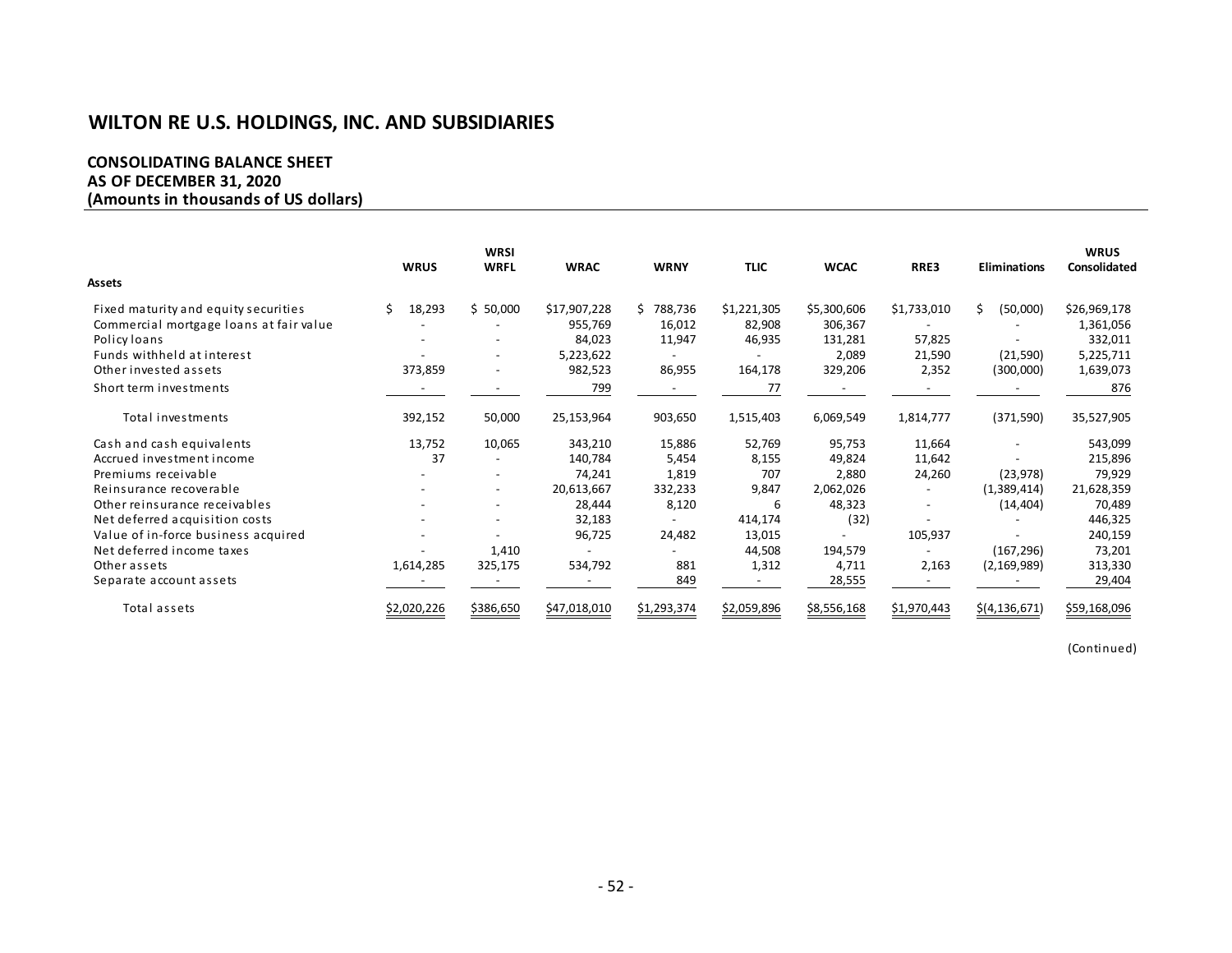#### **CONSOLIDATING BALANCE SHEET AS OF DECEMBER 31, 2020 (Amounts in thousands of US dollars)**

|                                         | <b>WRUS</b>  | <b>WRSI</b><br><b>WRFL</b> | <b>WRAC</b>  | <b>WRNY</b>   | <b>TLIC</b> | <b>WCAC</b> | RRE3                     | <b>Eliminations</b> | <b>WRUS</b><br>Consolidated |
|-----------------------------------------|--------------|----------------------------|--------------|---------------|-------------|-------------|--------------------------|---------------------|-----------------------------|
| Assets                                  |              |                            |              |               |             |             |                          |                     |                             |
| Fixed maturity and equity securities    | Ś.<br>18,293 | \$50,000                   | \$17,907,228 | 788,736<br>Ś. | \$1,221,305 | \$5,300,606 | \$1,733,010              | Ś.<br>(50,000)      | \$26,969,178                |
| Commercial mortgage loans at fair value |              |                            | 955,769      | 16,012        | 82,908      | 306,367     |                          |                     | 1,361,056                   |
| Policy loans                            |              |                            | 84,023       | 11,947        | 46,935      | 131,281     | 57,825                   |                     | 332,011                     |
| Funds withheld at interest              |              | $\overline{\phantom{a}}$   | 5,223,622    |               |             | 2,089       | 21,590                   | (21, 590)           | 5,225,711                   |
| Other invested assets                   | 373,859      | $\overline{\phantom{a}}$   | 982,523      | 86,955        | 164,178     | 329,206     | 2,352                    | (300,000)           | 1,639,073                   |
| Short term investments                  |              |                            | 799          |               | 77          |             |                          |                     | 876                         |
| Total investments                       | 392,152      | 50,000                     | 25,153,964   | 903,650       | 1,515,403   | 6,069,549   | 1,814,777                | (371, 590)          | 35,527,905                  |
| Cash and cash equivalents               | 13,752       | 10,065                     | 343,210      | 15,886        | 52,769      | 95,753      | 11,664                   |                     | 543,099                     |
| Accrued investment income               | 37           |                            | 140,784      | 5,454         | 8,155       | 49,824      | 11,642                   |                     | 215,896                     |
| Premiums receivable                     |              |                            | 74,241       | 1,819         | 707         | 2,880       | 24,260                   | (23, 978)           | 79,929                      |
| Reinsurance recoverable                 |              | $\overline{\phantom{a}}$   | 20,613,667   | 332,233       | 9,847       | 2,062,026   | $\overline{\phantom{a}}$ | (1,389,414)         | 21,628,359                  |
| Other reinsurance receivables           |              |                            | 28,444       | 8,120         | 6           | 48,323      | $\overline{\phantom{a}}$ | (14, 404)           | 70,489                      |
| Net deferred acquisition costs          |              |                            | 32,183       |               | 414,174     | (32)        |                          |                     | 446,325                     |
| Value of in-force business acquired     |              |                            | 96,725       | 24,482        | 13,015      |             | 105,937                  |                     | 240,159                     |
| Net deferred income taxes               |              | 1,410                      |              |               | 44,508      | 194,579     | $\overline{\phantom{a}}$ | (167, 296)          | 73,201                      |
| Other assets                            | 1,614,285    | 325,175                    | 534,792      | 881           | 1,312       | 4,711       | 2,163                    | (2, 169, 989)       | 313,330                     |
| Separate account assets                 |              |                            |              | 849           |             | 28,555      |                          |                     | 29,404                      |
| Total assets                            | \$2,020,226  | \$386,650                  | \$47,018,010 | \$1,293,374   | \$2,059,896 | \$8,556,168 | \$1,970,443              | \$(4, 136, 671)     | \$59,168,096                |

(Continued)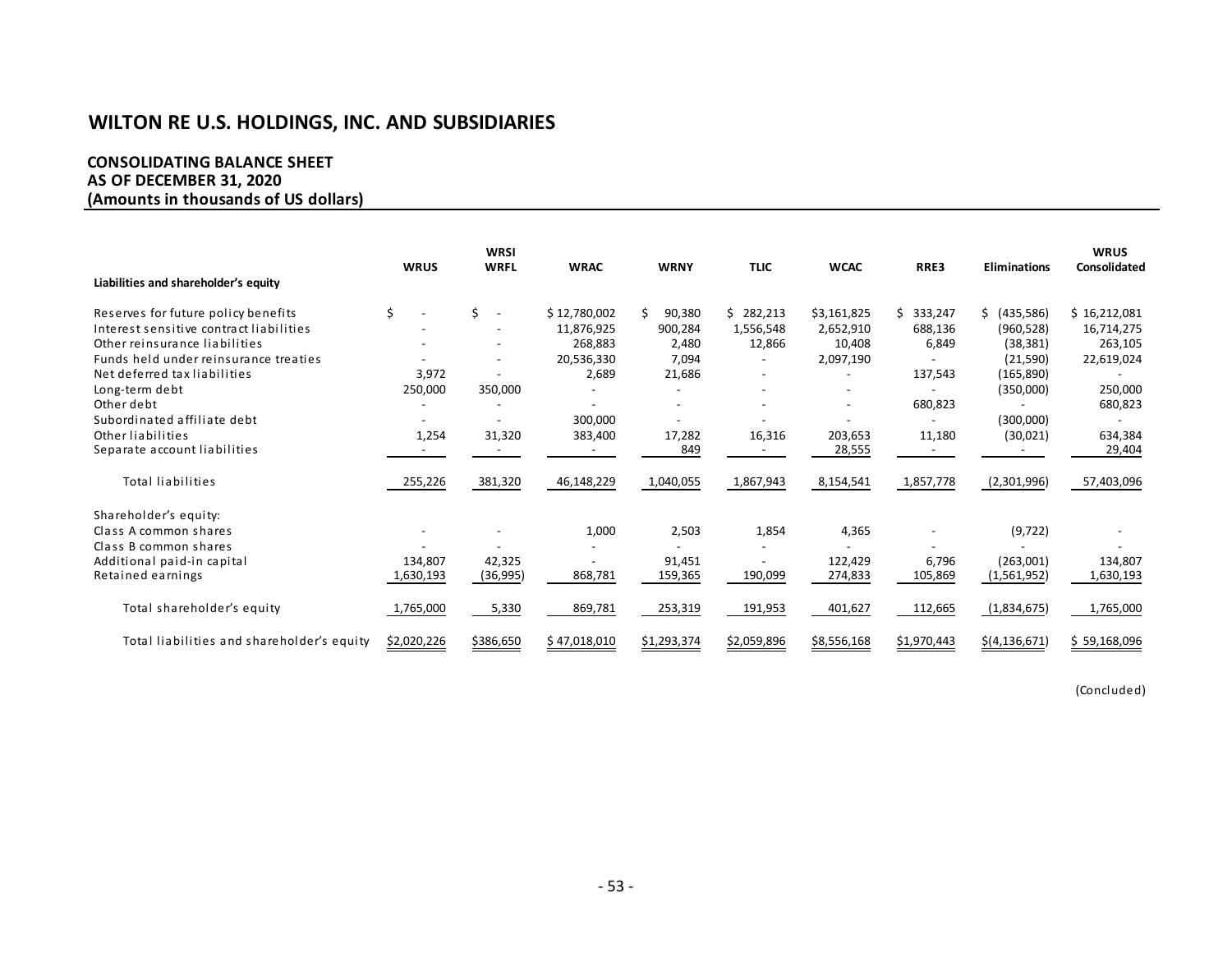#### **CONSOLIDATING BALANCE SHEET AS OF DECEMBER 31, 2020 (Amounts in thousands of US dollars)**

|                                            | <b>WRUS</b> | <b>WRSI</b><br><b>WRFL</b>    | <b>WRAC</b>  | <b>WRNY</b>  | <b>TLIC</b>              | <b>WCAC</b> | RRE3          | <b>Eliminations</b> | <b>WRUS</b><br><b>Consolidated</b> |
|--------------------------------------------|-------------|-------------------------------|--------------|--------------|--------------------------|-------------|---------------|---------------------|------------------------------------|
| Liabilities and shareholder's equity       |             |                               |              |              |                          |             |               |                     |                                    |
| Reserves for future policy benefits        | \$          | Ś<br>$\overline{\phantom{a}}$ | \$12,780,002 | Ś.<br>90,380 | Ś.<br>282,213            | \$3,161,825 | Ś.<br>333,247 | \$.<br>(435,586)    | \$16,212,081                       |
| Interest sensitive contract liabilities    |             |                               | 11,876,925   | 900,284      | 1,556,548                | 2,652,910   | 688,136       | (960, 528)          | 16,714,275                         |
| Other reinsurance liabilities              |             |                               | 268,883      | 2,480        | 12,866                   | 10,408      | 6,849         | (38, 381)           | 263,105                            |
| Funds held under reinsurance treaties      |             | $\overline{\phantom{a}}$      | 20,536,330   | 7,094        |                          | 2,097,190   |               | (21, 590)           | 22,619,024                         |
| Net deferred tax liabilities               | 3,972       |                               | 2,689        | 21,686       | $\overline{\phantom{a}}$ |             | 137,543       | (165, 890)          |                                    |
| Long-term debt                             | 250,000     | 350,000                       |              |              |                          |             |               | (350,000)           | 250,000                            |
| Other debt                                 |             |                               |              |              |                          |             | 680,823       |                     | 680,823                            |
| Subordinated affiliate debt                |             | $\overline{\phantom{a}}$      | 300,000      |              |                          |             |               | (300,000)           |                                    |
| Other liabilities                          | 1,254       | 31,320                        | 383,400      | 17,282       | 16,316                   | 203,653     | 11,180        | (30,021)            | 634,384                            |
| Separate account liabilities               |             |                               |              | 849          |                          | 28,555      |               |                     | 29,404                             |
| <b>Total liabilities</b>                   | 255,226     | 381,320                       | 46,148,229   | 1,040,055    | 1,867,943                | 8,154,541   | 1,857,778     | (2,301,996)         | 57,403,096                         |
| Shareholder's equity:                      |             |                               |              |              |                          |             |               |                     |                                    |
| Class A common shares                      |             |                               | 1,000        | 2,503        | 1,854                    | 4,365       |               | (9, 722)            |                                    |
| Class B common shares                      |             |                               |              |              |                          |             |               |                     |                                    |
| Additional paid-in capital                 | 134,807     | 42,325                        |              | 91,451       |                          | 122,429     | 6,796         | (263,001)           | 134,807                            |
| Retained earnings                          | 1,630,193   | (36,995)                      | 868,781      | 159,365      | 190,099                  | 274,833     | 105,869       | (1,561,952)         | 1,630,193                          |
| Total shareholder's equity                 | 1,765,000   | 5,330                         | 869,781      | 253,319      | 191,953                  | 401,627     | 112,665       | (1,834,675)         | 1,765,000                          |
| Total liabilities and shareholder's equity | \$2,020,226 | \$386,650                     | \$47,018,010 | \$1,293,374  | \$2,059,896              | \$8,556,168 | \$1,970,443   | \$(4, 136, 671)     | \$59,168,096                       |

(Concluded)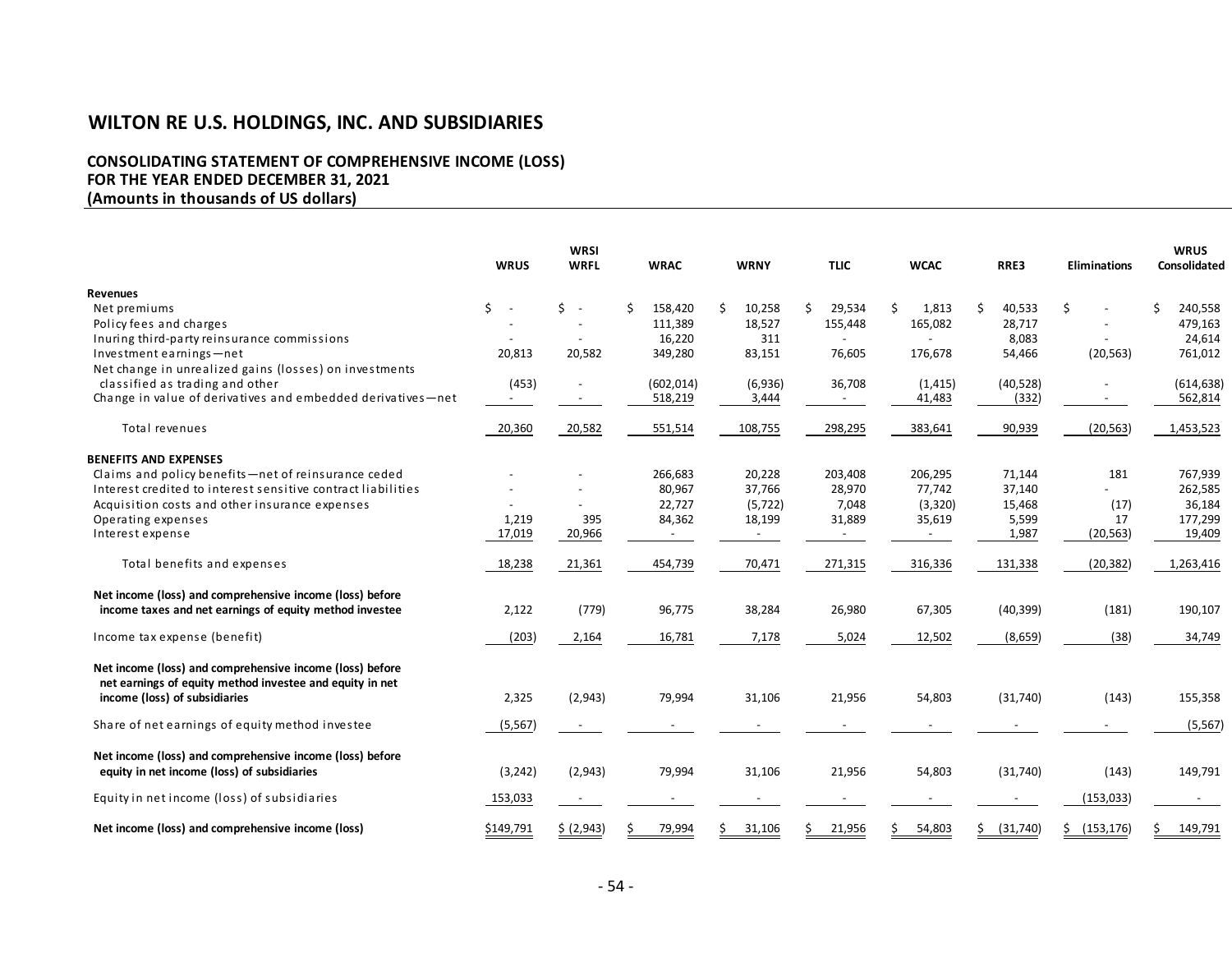#### **CONSOLIDATING STATEMENT OF COMPREHENSIVE INCOME (LOSS) FOR THE YEAR ENDED DECEMBER 31, 2021 (Amounts in thousands of US dollars)**

|                                                                                                                                                       | <b>WRUS</b>  | <b>WRSI</b><br><b>WRFL</b>     |     | <b>WRAC</b>              |   | <b>WRNY</b>              |   | <b>TLIC</b> | <b>WCAC</b> |     | RRE3      | <b>Eliminations</b> |           | <b>WRUS</b><br><b>Consolidated</b> |
|-------------------------------------------------------------------------------------------------------------------------------------------------------|--------------|--------------------------------|-----|--------------------------|---|--------------------------|---|-------------|-------------|-----|-----------|---------------------|-----------|------------------------------------|
| <b>Revenues</b>                                                                                                                                       |              |                                |     |                          |   |                          |   |             |             |     |           |                     |           |                                    |
| Net premiums                                                                                                                                          | \$<br>$\sim$ | Ś.<br>$\overline{\phantom{a}}$ | .\$ | 158,420                  | Ś | 10,258                   | Ś | 29,534      | \$<br>1,813 | .\$ | 40,533    | Ś                   |           | 240,558                            |
| Policy fees and charges                                                                                                                               |              | $\overline{\phantom{a}}$       |     | 111,389                  |   | 18,527                   |   | 155,448     | 165,082     |     | 28,717    | $\overline{a}$      |           | 479,163                            |
| Inuring third-party reinsurance commissions                                                                                                           |              |                                |     | 16.220                   |   | 311                      |   |             |             |     | 8,083     |                     |           | 24,614                             |
| Investment earnings-net<br>Net change in unrealized gains (losses) on investments                                                                     | 20,813       | 20,582                         |     | 349,280                  |   | 83,151                   |   | 76,605      | 176,678     |     | 54,466    |                     | (20, 563) | 761,012                            |
| classified as trading and other                                                                                                                       | (453)        |                                |     | (602, 014)               |   | (6,936)                  |   | 36,708      | (1, 415)    |     | (40, 528) |                     |           | (614, 638)                         |
| Change in value of derivatives and embedded derivatives-net                                                                                           |              |                                |     | 518,219                  |   | 3,444                    |   |             | 41,483      |     | (332)     |                     |           | 562,814                            |
|                                                                                                                                                       |              |                                |     |                          |   |                          |   |             |             |     |           |                     |           |                                    |
| Total revenues                                                                                                                                        | 20,360       | 20,582                         |     | 551,514                  |   | 108,755                  |   | 298,295     | 383,641     |     | 90,939    |                     | (20, 563) | 1,453,523                          |
| <b>BENEFITS AND EXPENSES</b>                                                                                                                          |              |                                |     |                          |   |                          |   |             |             |     |           |                     |           |                                    |
| Claims and policy benefits - net of reinsurance ceded                                                                                                 |              |                                |     | 266,683                  |   | 20,228                   |   | 203,408     | 206,295     |     | 71,144    |                     | 181       | 767,939                            |
| Interest credited to interest sensitive contract liabilities                                                                                          |              |                                |     | 80,967                   |   | 37,766                   |   | 28,970      | 77,742      |     | 37,140    |                     |           | 262,585                            |
| Acquisition costs and other insurance expenses                                                                                                        |              |                                |     | 22,727                   |   | (5, 722)                 |   | 7,048       | (3,320)     |     | 15,468    |                     | (17)      | 36,184                             |
| Operating expenses                                                                                                                                    | 1,219        | 395                            |     | 84,362                   |   | 18,199                   |   | 31,889      | 35,619      |     | 5,599     |                     | 17        | 177,299                            |
| Interest expense                                                                                                                                      | 17,019       | 20,966                         |     | $\overline{\phantom{a}}$ |   |                          |   |             | $\sim$      |     | 1,987     |                     | (20, 563) | 19,409                             |
| Total benefits and expenses                                                                                                                           | 18,238       | 21,361                         |     | 454,739                  |   | 70,471                   |   | 271,315     | 316,336     |     | 131,338   |                     | (20, 382) | 1,263,416                          |
| Net income (loss) and comprehensive income (loss) before<br>income taxes and net earnings of equity method investee                                   | 2,122        | (779)                          |     | 96,775                   |   | 38,284                   |   | 26,980      | 67,305      |     | (40, 399) |                     | (181)     | 190,107                            |
| Income tax expense (benefit)                                                                                                                          | (203)        | 2,164                          |     | 16,781                   |   | 7,178                    |   | 5,024       | 12,502      |     | (8,659)   |                     | (38)      | 34,749                             |
| Net income (loss) and comprehensive income (loss) before<br>net earnings of equity method investee and equity in net<br>income (loss) of subsidiaries | 2,325        | (2,943)                        |     | 79,994                   |   | 31,106                   |   | 21,956      | 54,803      |     | (31,740)  |                     | (143)     | 155,358                            |
| Share of net earnings of equity method investee                                                                                                       | (5, 567)     | $\sim$                         |     | $\overline{\phantom{a}}$ |   | $\overline{\phantom{a}}$ |   |             |             |     |           |                     |           | (5, 567)                           |
| Net income (loss) and comprehensive income (loss) before<br>equity in net income (loss) of subsidiaries                                               | (3, 242)     | (2,943)                        |     | 79,994                   |   | 31,106                   |   | 21,956      | 54,803      |     | (31,740)  |                     | (143)     | 149,791                            |
| Equity in net income (loss) of subsidiaries                                                                                                           | 153,033      |                                |     |                          |   |                          |   |             |             |     |           | (153, 033)          |           |                                    |
| Net income (loss) and comprehensive income (loss)                                                                                                     | \$149,791    | \$ (2,943)                     |     | 79,994                   |   | 31,106                   |   | 21,956      | 54,803      |     | (31, 740) | (153, 176)          |           | 149,791                            |